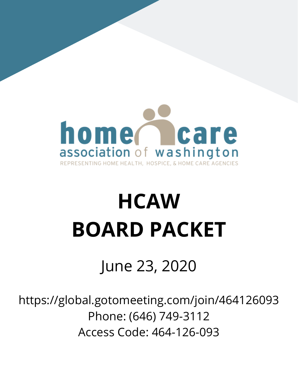

# **HCAW BOARD PACKET**

## June 23, 2020

https://global.gotomeeting.com/join/464126093 Phone: (646) 749-3112 Access Code: 464-126-093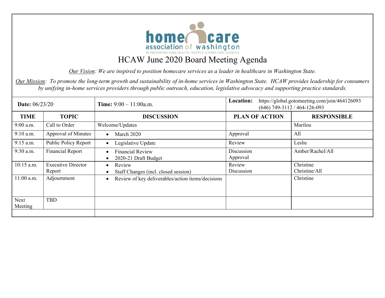

*Our Vision: We are inspired to position homecare services as a leader in healthcare in Washington State.* 

*Our Mission: To promote the long-term growth and sustainability of in-home services in Washington State. HCAW provides leadership for consumers by unifying in-home services providers through public outreach, education, legislative advocacy and supporting practice standards.*

| <b>Date:</b> 06/23/20 |                                     | <b>Time:</b> $9:00 - 11:00$ a.m.                               | Location:              | https://global.gotomeeting.com/join/464126093<br>$(646)$ 749-3112 / 464-126-093 |
|-----------------------|-------------------------------------|----------------------------------------------------------------|------------------------|---------------------------------------------------------------------------------|
| <b>TIME</b>           | <b>TOPIC</b>                        | <b>DISCUSSION</b>                                              | <b>PLAN OF ACTION</b>  | <b>RESPONSIBLE</b>                                                              |
| $9:00$ a.m.           | Call to Order                       | Welcome/Updates                                                |                        | Marilou                                                                         |
| 9:10 a.m.             | Approval of Minutes                 | March 2020                                                     | Approval               | All                                                                             |
| 9:15 a.m.             | Public Policy Report                | Legislative Update                                             | Review                 | Leslie                                                                          |
| 9:30 a.m.             | <b>Financial Report</b>             | <b>Financial Review</b><br>2020-21 Draft Budget                | Discussion<br>Approval | Amber/Rachel/All                                                                |
| 10:15 a.m.            | <b>Executive Director</b><br>Report | Review<br>Staff Changes (incl. closed session)                 | Review<br>Discussion   | Christine<br>Christine/All                                                      |
| 11:00 a.m.            | Adjournment                         | Review of key deliverables/action items/decisions<br>$\bullet$ |                        | Christine                                                                       |
| Next<br>Meeting       | <b>TBD</b>                          |                                                                |                        |                                                                                 |
|                       |                                     |                                                                |                        |                                                                                 |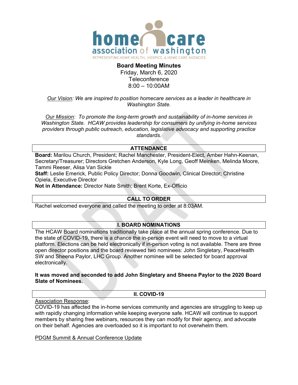

## **Board Meeting Minutes**  Friday, March 6, 2020 **Teleconference** 8:00 – 10:00AM

## *Our Vision: We are inspired to position homecare services as a leader in healthcare in Washington State.*

*Our Mission: To promote the long-term growth and sustainability of in-home services in Washington State. HCAW provides leadership for consumers by unifying in-home services providers through public outreach, education, legislative advocacy and supporting practice standards.* 

## **ATTENDANCE**

**Board:** Marilou Church, President; Rachel Manchester, President-Elect, Amber Hahn-Keenan, Secretary/Treasurer; Directors Gretchen Anderson, Kyle Long, Geoff Meinken, Melinda Moore, Tammi Reeser, Alisa Van Sickle

**Staff:** Leslie Emerick, Public Policy Director; Donna Goodwin, Clinical Director; Christine Opiela, Executive Director

**Not in Attendance:** Director Nate Smith; Brent Korte, Ex-Officio

## **CALL TO ORDER**

Rachel welcomed everyone and called the meeting to order at 8:03AM.

## **I. BOARD NOMINATIONS**

The HCAW Board nominations traditionally take place at the annual spring conference. Due to the state of COVID-19, there is a chance the in-person event will need to move to a virtual platform. Elections can be held electronically if in-person voting is not available. There are three open director positions and the board reviewed two nominees: John Singletary, PeaceHealth SW and Sheena Paylor, LHC Group. Another nominee will be selected for board approval electronically.

## **It was moved and seconded to add John Singletary and Sheena Paylor to the 2020 Board Slate of Nominees.**

## **II. COVID-19**

## Association Response:

COVID-19 has affected the in-home services community and agencies are struggling to keep up with rapidly changing information while keeping everyone safe. HCAW will continue to support members by sharing free webinars, resources they can modify for their agency, and advocate on their behalf. Agencies are overloaded so it is important to not overwhelm them.

## PDGM Summit & Annual Conference Update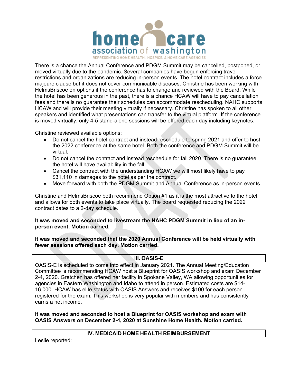

There is a chance the Annual Conference and PDGM Summit may be cancelled, postponed, or moved virtually due to the pandemic. Several companies have begun enforcing travel restrictions and organizations are reducing in-person events. The hotel contract includes a force majeure clause but it does not cover communicable diseases. Christine has been working with HelmsBriscoe on options if the conference has to change and reviewed with the Board. While the hotel has been generous in the past, there is a chance HCAW will have to pay cancellation fees and there is no guarantee their schedules can accommodate rescheduling. NAHC supports HCAW and will provide their meeting virtually if necessary. Christine has spoken to all other speakers and identified what presentations can transfer to the virtual platform. If the conference is moved virtually, only 4-5 stand-alone sessions will be offered each day including keynotes.

Christine reviewed available options:

- Do not cancel the hotel contract and instead reschedule to spring 2021 and offer to host the 2022 conference at the same hotel. Both the conference and PDGM Summit will be virtual.
- Do not cancel the contract and instead reschedule for fall 2020. There is no guarantee the hotel will have availability in the fall.
- Cancel the contract with the understanding HCAW we will most likely have to pay \$31,110 in damages to the hotel as per the contract.
- Move forward with both the PDGM Summit and Annual Conference as in-person events.

Christine and HelmsBriscoe both recommend Option #1 as it is the most attractive to the hotel and allows for both events to take place virtually. The board requested reducing the 2022 contract dates to a 2-day schedule.

## **It was moved and seconded to livestream the NAHC PDGM Summit in lieu of an inperson event. Motion carried.**

**It was moved and seconded that the 2020 Annual Conference will be held virtually with fewer sessions offered each day. Motion carried.** 

## **III. OASIS-E**

OASIS-E is scheduled to come into effect in January 2021. The Annual Meeting/Education Committee is recommending HCAW host a Blueprint for OASIS workshop and exam December 2-4, 2020. Gretchen has offered her facility in Spokane Valley, WA allowing opportunities for agencies in Eastern Washington and Idaho to attend in person. Estimated costs are \$14- 16,000. HCAW has elite status with OASIS Answers and receives \$100 for each person registered for the exam. This workshop is very popular with members and has consistently earns a net income.

**It was moved and seconded to host a Blueprint for OASIS workshop and exam with OASIS Answers on December 2-4, 2020 at Sunshine Home Health. Motion carried.** 

## **IV. MEDICAID HOME HEALTH REIMBURSEMENT**

Leslie reported: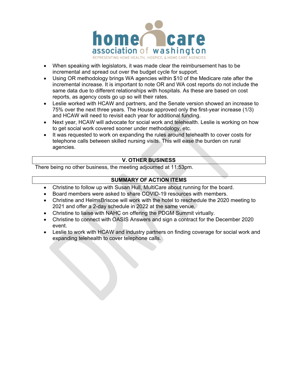

- When speaking with legislators, it was made clear the reimbursement has to be incremental and spread out over the budget cycle for support.
- Using OR methodology brings WA agencies within \$10 of the Medicare rate after the incremental increase. It is important to note OR and WA cost reports do not include the same data due to different relationships with hospitals. As these are based on cost reports, as agency costs go up so will their rates.
- Leslie worked with HCAW and partners, and the Senate version showed an increase to 75% over the next three years. The House approved only the first-year increase (1/3) and HCAW will need to revisit each year for additional funding.
- Next year, HCAW will advocate for social work and telehealth. Leslie is working on how to get social work covered sooner under methodology, etc.
- It was requested to work on expanding the rules around telehealth to cover costs for telephone calls between skilled nursing visits. This will ease the burden on rural agencies.

## **V. OTHER BUSINESS**

There being no other business, the meeting adjourned at 11:53pm.

## **SUMMARY OF ACTION ITEMS**

- Christine to follow up with Susan Hull, MultiCare about running for the board.
- Board members were asked to share COVID-19 resources with members.
- Christine and HelmsBriscoe will work with the hotel to reschedule the 2020 meeting to 2021 and offer a 2-day schedule in 2022 at the same venue.
- Christine to liaise with NAHC on offering the PDGM Summit virtually.
- Christine to connect with OASIS Answers and sign a contract for the December 2020 event.
- Leslie to work with HCAW and industry partners on finding coverage for social work and expanding telehealth to cover telephone calls.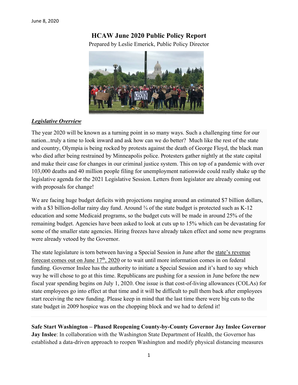## **HCAW June 2020 Public Policy Report**

Prepared by Leslie Emerick, Public Policy Director



## *Legislative Overview*

The year 2020 will be known as a turning point in so many ways. Such a challenging time for our nation...truly a time to look inward and ask how can we do better? Much like the rest of the state and country, Olympia is being rocked by protests against the death of George Floyd, the black man who died after being restrained by Minneapolis police. Protesters gather nightly at the state capital and make their case for changes in our criminal justice system. This on top of a pandemic with over 103,000 deaths and 40 million people filing for unemployment nationwide could really shake up the legislative agenda for the 2021 Legislative Session. Letters from legislator are already coming out with proposals for change!

We are facing huge budget deficits with projections ranging around an estimated \$7 billion dollars, with a \$3 billion-dollar rainy day fund. Around  $\frac{3}{4}$  of the state budget is protected such as K-12 education and some Medicaid programs, so the budget cuts will be made in around 25% of the remaining budget. Agencies have been asked to look at cuts up to 15% which can be devastating for some of the smaller state agencies. Hiring freezes have already taken effect and some new programs were already vetoed by the Governor.

The state legislature is torn between having a Special Session in June after the state's revenue forecast comes out on June 17<sup>th</sup>, 2020 or to wait until more information comes in on federal funding. Governor Inslee has the authority to initiate a Special Session and it's hard to say which way he will chose to go at this time. Republicans are pushing for a session in June before the new fiscal year spending begins on July 1, 2020. One issue is that cost-of-living allowances (COLAs) for state employees go into effect at that time and it will be difficult to pull them back after employees start receiving the new funding. Please keep in mind that the last time there were big cuts to the state budget in 2009 hospice was on the chopping block and we had to defend it!

**Safe Start Washington – Phased Reopening County-by-County Governor Jay Inslee Governor Jay Inslee**: In collaboration with the Washington State Department of Health, the Governor has established a data-driven approach to reopen Washington and modify physical distancing measures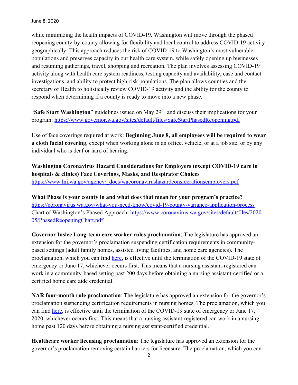while minimizing the health impacts of COVID-19. Washington will move through the phased reopening county-by-county allowing for flexibility and local control to address COVID-19 activity geographically. This approach reduces the risk of COVID-19 to Washington's most vulnerable populations and preserves capacity in our health care system, while safely opening up businesses and resuming gatherings, travel, shopping and recreation. The plan involves assessing COVID-19 activity along with health care system readiness, testing capacity and availability, case and contact investigations, and ability to protect high-risk populations. The plan allows counties and the secretary of Health to holistically review COVID-19 activity and the ability for the county to respond when determining if a county is ready to move into a new phase.

"**Safe Start Washington**" guidelines issued on May 29<sup>tht</sup> and discuss their implications for your program: https://www.governor.wa.gov/sites/default/files/SafeStartPhasedReopening.pdf

Use of face coverings required at work: **Beginning June 8, all employees will be required to wear a cloth facial covering**, except when working alone in an office, vehicle, or at a job site, or by any individual who is deaf or hard of hearing.

**Washington Coronavirus Hazard Considerations for Employers (except COVID-19 care in hospitals & clinics) Face Coverings, Masks, and Respirator Choices** https://www.lni.wa.gov/agency/\_docs/wacoronavirushazardconsiderationsemployers.pdf

**What Phase is your county in and what does that mean for your program's practice?**  https://coronavirus.wa.gov/what-you-need-know/covid-19-county-variance-application-process Chart of Washington's Phased Approach: https://www.coronavirus.wa.gov/sites/default/files/2020-05/PhasedReopeningChart.pdf

**Governor Inslee Long-term care worker rules proclamation**: The legislature has approved an extension for the governor's proclamation suspending certification requirements in communitybased settings (adult family homes, assisted living facilities, and home care agencies). The proclamation, which you can find here, is effective until the termination of the COVID-19 state of emergency or June 17, whichever occurs first. This means that a nursing assistant-registered can work in a community-based setting past 200 days before obtaining a nursing assistant-certified or a certified home care aide credential.

**NAR four-month rule proclamation**: The legislature has approved an extension for the governor's proclamation suspending certification requirements in nursing homes. The proclamation, which you can find here, is effective until the termination of the COVID-19 state of emergency or June 17, 2020, whichever occurs first. This means that a nursing assistant-registered can work in a nursing home past 120 days before obtaining a nursing assistant-certified credential.

**Healthcare worker licensing proclamation**: The legislature has approved an extension for the governor's proclamation removing certain barriers for licensure. The proclamation, which you can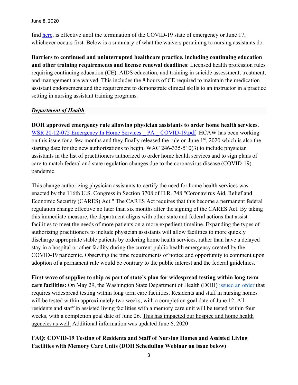June 8, 2020

find here, is effective until the termination of the COVID-19 state of emergency or June 17, whichever occurs first. Below is a summary of what the waivers pertaining to nursing assistants do.

**Barriers to continued and uninterrupted healthcare practice, including continuing education and other training requirements and license renewal deadlines**: Licensed health profession rules requiring continuing education (CE), AIDS education, and training in suicide assessment, treatment, and management are waived. This includes the 8 hours of CE required to maintain the medication assistant endorsement and the requirement to demonstrate clinical skills to an instructor in a practice setting in nursing assistant training programs.

## *Department of Health*

**DOH approved emergency rule allowing physician assistants to order home health services.**  WSR 20-12-075 Emergency In Home Services PA COVID-19.pdf HCAW has been working on this issue for a few months and they finally released the rule on June 1<sup>st</sup>, 2020 which is also the starting date for the new authorizations to begin. WAC 246-335-510(3) to include physician assistants in the list of practitioners authorized to order home health services and to sign plans of care to match federal and state regulation changes due to the coronavirus disease (COVID-19) pandemic.

This change authorizing physician assistants to certify the need for home health services was enacted by the 116th U.S. Congress in Section 3708 of H.R. 748 "Coronavirus Aid, Relief and Economic Security (CARES) Act." The CARES Act requires that this become a permanent federal regulation change effective no later than six months after the signing of the CARES Act. By taking this immediate measure, the department aligns with other state and federal actions that assist facilities to meet the needs of more patients on a more expedient timeline. Expanding the types of authorizing practitioners to include physician assistants will allow facilities to more quickly discharge appropriate stable patients by ordering home health services, rather than have a delayed stay in a hospital or other facility during the current public health emergency created by the COVID-19 pandemic. Observing the time requirements of notice and opportunity to comment upon adoption of a permanent rule would be contrary to the public interest and the federal guidelines.

**First wave of supplies to ship as part of state's plan for widespread testing within long term care facilities:** On May 29, the Washington State Department of Health (DOH) issued an order that requires widespread testing within long term care facilities. Residents and staff in nursing homes will be tested within approximately two weeks, with a completion goal date of June 12. All residents and staff in assisted living facilities with a memory care unit will be tested within four weeks, with a completion goal date of June 26. This has impacted our hospice and home health agencies as well. Additional information was updated June 6, 2020

## **FAQ: COVID-19 Testing of Residents and Staff of Nursing Homes and Assisted Living Facilities with Memory Care Units (DOH Scheduling Webinar on issue below)**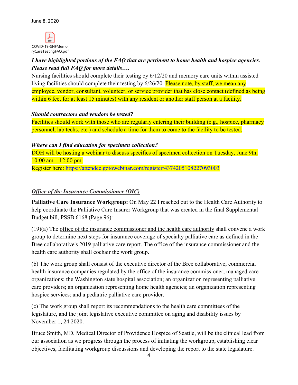

## *I have highlighted portions of the FAQ that are pertinent to home health and hospice agencies. Please read full FAQ for more details….*

Nursing facilities should complete their testing by 6/12/20 and memory care units within assisted living facilities should complete their testing by 6/26/20. Please note, by staff, we mean any employee, vendor, consultant, volunteer, or service provider that has close contact (defined as being within 6 feet for at least 15 minutes) with any resident or another staff person at a facility.

## *Should contractors and vendors be tested?*

Facilities should work with those who are regularly entering their building (e.g., hospice, pharmacy personnel, lab techs, etc.) and schedule a time for them to come to the facility to be tested.

## *Where can I find education for specimen collection?*

DOH will be hosting a webinar to discuss specifics of specimen collection on Tuesday, June 9th.  $10:00$  am  $-12:00$  pm. Register here: https://attendee.gotowebinar.com/register/4374205108227093003

## *Office of the Insurance Commissioner (OIC)*

**Palliative Care Insurance Workgroup:** On May 22 I reached out to the Health Care Authority to help coordinate the Palliative Care Insurer Workgroup that was created in the final Supplemental Budget bill, PSSB 6168 (Page 96):

(19)(a) The office of the insurance commissioner and the health care authority shall convene a work group to determine next steps for insurance coverage of specialty palliative care as defined in the Bree collaborative's 2019 palliative care report. The office of the insurance commissioner and the health care authority shall cochair the work group.

(b) The work group shall consist of the executive director of the Bree collaborative; commercial health insurance companies regulated by the office of the insurance commissioner; managed care organizations; the Washington state hospital association; an organization representing palliative care providers; an organization representing home health agencies; an organization representing hospice services; and a pediatric palliative care provider.

(c) The work group shall report its recommendations to the health care committees of the legislature, and the joint legislative executive committee on aging and disability issues by November 1, 24 2020.

Bruce Smith, MD, Medical Director of Providence Hospice of Seattle, will be the clinical lead from our association as we progress through the process of initiating the workgroup, establishing clear objectives, facilitating workgroup discussions and developing the report to the state legislature.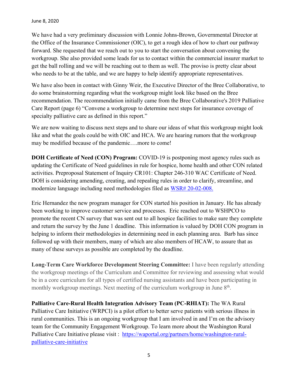We have had a very preliminary discussion with Lonnie Johns-Brown, Governmental Director at the Office of the Insurance Commissioner (OIC), to get a rough idea of how to chart our pathway forward. She requested that we reach out to you to start the conversation about convening the workgroup. She also provided some leads for us to contact within the commercial insurer market to get the ball rolling and we will be reaching out to them as well. The proviso is pretty clear about who needs to be at the table, and we are happy to help identify appropriate representatives.

We have also been in contact with Ginny Weir, the Executive Director of the Bree Collaborative, to do some brainstorming regarding what the workgroup might look like based on the Bree recommendation. The recommendation initially came from the Bree Collaborative's 2019 Palliative Care Report (page 6) "Convene a workgroup to determine next steps for insurance coverage of specialty palliative care as defined in this report."

We are now waiting to discuss next steps and to share our ideas of what this workgroup might look like and what the goals could be with OIC and HCA. We are hearing rumors that the workgroup may be modified because of the pandemic….more to come!

**DOH Certificate of Need (CON) Program:** COVID-19 is postponing most agency rules such as updating the Certificate of Need guidelines in rule for hospice, home health and other CON related activities. Preproposal Statement of Inquiry CR101: Chapter 246-310 WAC Certificate of Need. DOH is considering amending, creating, and repealing rules in order to clarify, streamline, and modernize language including need methodologies filed as WSR# 20-02-008.

Eric Hernandez the new program manager for CON started his position in January. He has already been working to improve customer service and processes. Eric reached out to WSHPCO to promote the recent CN survey that was sent out to all hospice facilities to make sure they complete and return the survey by the June 1 deadline. This information is valued by DOH CON program in helping to inform their methodologies in determining need in each planning area. Barb has since followed up with their members, many of which are also members of HCAW, to assure that as many of these surveys as possible are completed by the deadline.

**Long-Term Care Workforce Development Steering Committee:** I have been regularly attending the workgroup meetings of the Curriculum and Committee for reviewing and assessing what would be in a core curriculum for all types of certified nursing assistants and have been participating in monthly workgroup meetings. Next meeting of the curriculum workgroup in June  $8<sup>th</sup>$ .

**Palliative Care-Rural Health Integration Advisory Team (PC-RHIAT):** The WA Rural Palliative Care Initiative (WRPCI) is a pilot effort to better serve patients with serious illness in rural communities. This is an ongoing workgroup that I am involved in and I'm on the advisory team for the Community Engagement Workgroup. To learn more about the Washington Rural Palliative Care Initiative please visit : https://waportal.org/partners/home/washington-ruralpalliative-care-initiative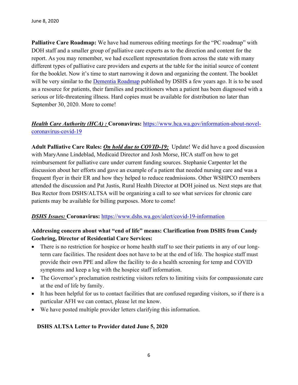**Palliative Care Roadmap:** We have had numerous editing meetings for the "PC roadmap" with DOH staff and a smaller group of palliative care experts as to the direction and content for the report. As you may remember, we had excellent representation from across the state with many different types of palliative care providers and experts at the table for the initial source of content for the booklet. Now it's time to start narrowing it down and organizing the content. The booklet will be very similar to the Dementia Roadmap published by DSHS a few years ago. It is to be used as a resource for patients, their families and practitioners when a patient has been diagnosed with a serious or life-threatening illness. Hard copies must be available for distribution no later than September 30, 2020. More to come!

## *Health Care Authority (HCA) : Coronavirus: https://www.hca.wa.gov/information-about-novel*coronavirus-covid-19

**Adult Palliative Care Rules:** *On hold due to COVID-19:* Update! We did have a good discussion with MaryAnne Lindeblad, Medicaid Director and Josh Morse, HCA staff on how to get reimbursement for palliative care under current funding sources. Stephanie Carpenter let the discussion about her efforts and gave an example of a patient that needed nursing care and was a frequent flyer in their ER and how they helped to reduce readmissions. Other WSHPCO members attended the discussion and Pat Justis, Rural Health Director at DOH joined us. Next steps are that Bea Rector from DSHS/ALTSA will be organizing a call to see what services for chronic care patients may be available for billing purposes. More to come!

## **DSHS Issues: Coronavirus:** https://www.dshs.wa.gov/alert/covid-19-information

## **Addressing concern about what "end of life" means: Clarification from DSHS from Candy Goehring, Director of Residential Care Services:**

- There is no restriction for hospice or home health staff to see their patients in any of our longterm care facilities. The resident does not have to be at the end of life. The hospice staff must provide their own PPE and allow the facility to do a health screening for temp and COVID symptoms and keep a log with the hospice staff information.
- The Governor's proclamation restricting visitors refers to limiting visits for compassionate care at the end of life by family.
- It has been helpful for us to contact facilities that are confused regarding visitors, so if there is a particular AFH we can contact, please let me know.
- We have posted multiple provider letters clarifying this information.

## **DSHS ALTSA Letter to Provider dated June 5, 2020**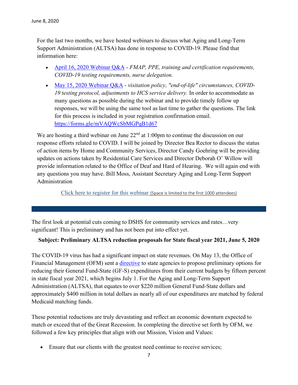For the last two months, we have hosted webinars to discuss what Aging and Long-Term Support Administration (ALTSA) has done in response to COVID-19. Please find that information here:

- April 16, 2020 Webinar Q&A *FMAP, PPE, training and certification requirements, COVID-19 testing requirements, nurse delegation.*
- May 15, 2020 Webinar Q&A *visitation policy, "end-of-life" circumstances, COVID-19 testing protocol, adjustments to HCS service delivery.* In order to accommodate as many questions as possible during the webinar and to provide timely follow up responses, we will be using the same tool as last time to gather the questions. The link for this process is included in your registration confirmation email. https://forms.gle/mVAQWcSbMGPqB1d67

We are hosting a third webinar on June  $22<sup>nd</sup>$  at 1:00pm to continue the discussion on our response efforts related to COVID. I will be joined by Director Bea Rector to discuss the status of action items by Home and Community Services, Director Candy Goehring will be providing updates on actions taken by Residential Care Services and Director Deborah O' Willow will provide information related to the Office of Deaf and Hard of Hearing. We will again end with any questions you may have. Bill Moss, Assistant Secretary Aging and Long-Term Support Administration

Click here to register for this webinar (Space is limited to the first 1000 attendees)

The first look at potential cuts coming to DSHS for community services and rates…very significant! This is preliminary and has not been put into effect yet.

## **Subject: Preliminary ALTSA reduction proposals for State fiscal year 2021, June 5, 2020**

The COVID-19 virus has had a significant impact on state revenues. On May 13, the Office of Financial Management (OFM) sent a *directive* to state agencies to propose preliminary options for reducing their General Fund-State (GF-S) expenditures from their current budgets by fifteen percent in state fiscal year 2021, which begins July 1. For the Aging and Long-Term Support Administration (ALTSA), that equates to over \$220 million General Fund-State dollars and approximately \$400 million in total dollars as nearly all of our expenditures are matched by federal Medicaid matching funds.

These potential reductions are truly devastating and reflect an economic downturn expected to match or exceed that of the Great Recession. In completing the directive set forth by OFM, we followed a few key principles that align with our Mission, Vision and Values:

Ensure that our clients with the greatest need continue to receive services;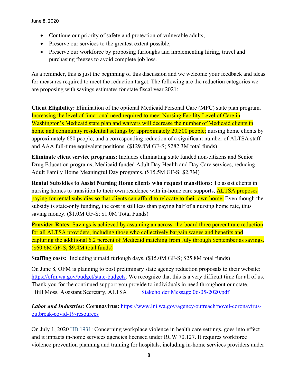- Continue our priority of safety and protection of vulnerable adults;
- Preserve our services to the greatest extent possible;
- Preserve our workforce by proposing furloughs and implementing hiring, travel and purchasing freezes to avoid complete job loss.

As a reminder, this is just the beginning of this discussion and we welcome your feedback and ideas for measures required to meet the reduction target. The following are the reduction categories we are proposing with savings estimates for state fiscal year 2021:

**Client Eligibility:** Elimination of the optional Medicaid Personal Care (MPC) state plan program. Increasing the level of functional need required to meet Nursing Facility Level of Care in Washington's Medicaid state plan and waivers will decrease the number of Medicaid clients in home and community residential settings by approximately 20,500 people; nursing home clients by approximately 680 people; and a corresponding reduction of a significant number of ALTSA staff and AAA full-time equivalent positions. (\$129.8M GF-S; \$282.3M total funds)

**Eliminate client service programs:** Includes eliminating state funded non-citizens and Senior Drug Education programs, Medicaid funded Adult Day Health and Day Care services, reducing Adult Family Home Meaningful Day programs. (\$15.5M GF-S; \$2.7M)

**Rental Subsidies to Assist Nursing Home clients who request transitions:** To assist clients in nursing homes to transition to their own residence with in-home care supports, **ALTSA** proposes paying for rental subsidies so that clients can afford to relocate to their own home. Even though the subsidy is state-only funding, the cost is still less than paying half of a nursing home rate, thus saving money. (\$1.0M GF-S; \$1.0M Total Funds)

**Provider Rates:** Savings is achieved by assuming an across–the-board three percent rate reduction for all ALTSA providers, including those who collectively bargain wages and benefits and capturing the additional 6.2 percent of Medicaid matching from July through September as savings. (\$60.6M GF-S; \$9.4M total funds)

**Staffing costs:** Including unpaid furlough days. (\$15.0M GF-S; \$25.8M total funds)

On June 8, OFM is planning to post preliminary state agency reduction proposals to their website: https://ofm.wa.gov/budget/state-budgets. We recognize that this is a very difficult time for all of us. Thank you for the continued support you provide to individuals in need throughout our state. Bill Moss, Assistant Secretary, ALTSA Stakeholder Message 06-05-2020.pdf

*Labor and Industries:* **Coronavirus:** https://www.lni.wa.gov/agency/outreach/novel-coronavirusoutbreak-covid-19-resources

On July 1, 2020 HB 1931: Concerning workplace violence in health care settings, goes into effect and it impacts in-home services agencies licensed under RCW 70.127. It requires workforce violence prevention planning and training for hospitals, including in-home services providers under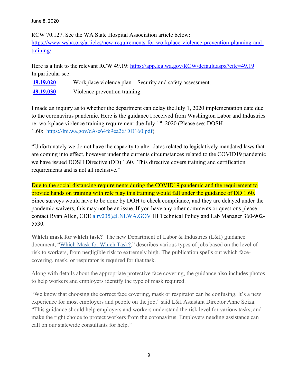## June 8, 2020

RCW 70.127. See the WA State Hospital Association article below: https://www.wsha.org/articles/new-requirements-for-workplace-violence-prevention-planning-andtraining/

Here is a link to the relevant RCW 49.19: https://app.leg.wa.gov/RCW/default.aspx?cite=49.19 In particular see:

| 49.19.020 | Workplace violence plan—Security and safety assessment. |
|-----------|---------------------------------------------------------|
| 49.19.030 | Violence prevention training.                           |

I made an inquiry as to whether the department can delay the July 1, 2020 implementation date due to the coronavirus pandemic. Here is the guidance I received from Washington Labor and Industries re: workplace violence training requirement due July 1<sup>st</sup>, 2020 (Please see: DOSH 1.60: https://lni.wa.gov/dA/e64fe9ea26/DD160.pdf)

"Unfortunately we do not have the capacity to alter dates related to legislatively mandated laws that are coming into effect, however under the currents circumstances related to the COVID19 pandemic we have issued DOSH Directive (DD) 1.60. This directive covers training and certification requirements and is not all inclusive."

Due to the social distancing requirements during the COVID19 pandemic and the requirement to provide hands on training with role play this training would fall under the guidance of DD 1.60. Since surveys would have to be done by DOH to check compliance, and they are delayed under the pandemic waivers, this may not be an issue. If you have any other comments or questions please contact Ryan Allen, CDE alry235@LNI.WA.GOV IH Technical Policy and Lab Manager 360-902-5530.

**Which mask for which task?** The new Department of Labor & Industries (L&I) guidance document, "Which Mask for Which Task?," describes various types of jobs based on the level of risk to workers, from negligible risk to extremely high. The publication spells out which facecovering, mask, or respirator is required for that task.

Along with details about the appropriate protective face covering, the guidance also includes photos to help workers and employers identify the type of mask required.

"We know that choosing the correct face covering, mask or respirator can be confusing. It's a new experience for most employers and people on the job," said L&I Assistant Director Anne Soiza. "This guidance should help employers and workers understand the risk level for various tasks, and make the right choice to protect workers from the coronavirus. Employers needing assistance can call on our statewide consultants for help."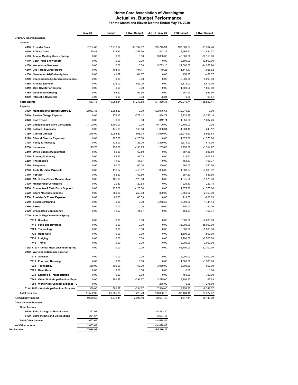#### **Home Care Association of Washington Actual vs. Budget Performance For the Month and Eleven Months Ended May 31, 2020**

|                                                                         | <b>May 20</b>     | <b>Budget</b>       | \$ Over Budget      | Jul '19 - May 20     | <b>YTD Budget</b>      | \$ Over Budget               |
|-------------------------------------------------------------------------|-------------------|---------------------|---------------------|----------------------|------------------------|------------------------------|
| <b>Ordinary Income/Expense</b>                                          |                   |                     |                     |                      |                        |                              |
| Income                                                                  |                   |                     |                     |                      |                        |                              |
| 4000 · Provider Dues                                                    | 7.784.60          | 17,916.67           | $-10,132.07$        | 115,745.91           | 197,083.37             | $-81,337.46$                 |
| 4010 · Affiliate Dues                                                   | 75.83             | 333.33              | $-257.50$           | 1,842.26             | 3,666.63               | $-1,824.37$                  |
| 4100 · Annual Meeting/Conv - Spring<br>4110 · Conf Trade Show Booth     | 0.00<br>0.00      | 0.00<br>0.00        | 0.00<br>0.00        | 9,850.00<br>0.00     | 40,000.00<br>12,500.00 | $-30,150.00$<br>$-12,500.00$ |
| 4200 · Workshops/Seminars                                               | 0.00              | 0.00                | 0.00                | 9,733.10             | 24,000.00              | $-14,266.90$                 |
| 4240 · Job Target/Career Board                                          | 0.00              | 104.17              | $-104.17$           | 119.25               | 1,145.87               | $-1,026.62$                  |
| 4250 · Newsletter Ads/Subscriptions                                     | 0.00              | 41.67               | $-41.67$            | 0.00                 | 458.37                 | -458.37                      |
| 4280 · Sponsorships/Endorsements/Rebate                                 | 0.00              | 0.00                | 0.00                | 0.00                 | 5,000.00               | $-5,000.00$                  |
| 4285 · Affiliate Sponsor                                                | 0.00              | 625.00              | $-625.00$           | 0.00                 | 6,875.00               | $-6,875.00$                  |
| 4310 · OCS OASIS Partnership                                            | 0.00              | 0.00                | 0.00                | 0.00                 | 1,500.00               | $-1,500.00$                  |
| 4385 · Website Advertising                                              | 0.00              | 62.50               | $-62.50$            | 0.00                 | 687.50                 | $-687.50$                    |
| 5000 · Interest & Dividends                                             | 3.03              | 0.00                | 3.03                | 98.81                | 0.00                   | 98.81                        |
| <b>Total Income</b>                                                     | 7,863.46          | 19,083.34           | $-11,219.88$        | 137,389.33           | 292,916.74             | $-155,527.41$                |
| <b>Expense</b>                                                          |                   |                     |                     |                      |                        | 0.00                         |
| 7000 · Management/Facilities/Staff/Equ<br>7010 · Service Charge Expense | 12,083.33<br>0.00 | 12,083.33<br>279.12 | 0.00<br>$-279.12$   | 132,916.63<br>934.71 | 132,916.63<br>3,220.89 | $-2,286.18$                  |
| 7020 · Staff Travel                                                     | 0.00              | 0.00                | 0.00                | 312.74               | 1,950.00               | $-1,637.26$                  |
| 7130 · Lobbyist/Legislative Consultant                                  | 3,700.00          | 3,700.00            | 0.00                | 40,700.00            | 40,700.00              | 0.00                         |
| 7150 · Lobbyist Expenses                                                | 0.00              | 145.83              | $-145.83$           | 1,356.01             | 1,604.13               | $-248.12$                    |
| 7180 · Clinical Director                                                | 1.275.00          | 2,083.33            | $-808.33$           | 13,950.00            | 22,916.63              | $-8,966.63$                  |
| 7190 · Clinical Director Expenses                                       | 0.00              | 125.00              | $-125.00$           | 0.00                 | 1,375.00               | $-1,375.00$                  |
| 7195 · Policy & Advocacy                                                | 0.00              | 125.00              | $-125.00$           | 3,250.00             | 2,375.00               | 875.00                       |
| 7230 · Insurance                                                        | 113.75            | 250.00              | $-136.25$           | 1,235.03             | 2,750.00               | $-1,514.97$                  |
| 7240 · Office Supplies/Equipment                                        | 0.00              | 62.50               | $-62.50$            | 0.00                 | 687.50                 | $-687.50$                    |
| 7250 · Printing/Stationery                                              | 0.00              | 83.33               | $-83.33$            | 0.00                 | 916.63                 | $-916.63$                    |
| 7260 · Photocopies                                                      | 0.00              | 41.67               | $-41.67$            | 0.00                 | 458.37                 | -458.37                      |
| 7270 · Telephone<br>7290 · Tech. Dev/Maint/Website                      | 0.00<br>0.00      | 60.00<br>416.67     | $-60.00$<br>-416.67 | 300.00<br>1,053.05   | 660.00<br>4,583.37     | $-360.00$<br>$-3,530.32$     |
| 7310 · Postage                                                          | 0.00              | 62.50               | $-62.50$            | 0.00                 | 687.50                 | $-687.50$                    |
| 7370 · NAHC Dues/Other Memberships                                      | 0.00              | 125.00              | $-125.00$           | 0.00                 | 1,375.00               | $-1,375.00$                  |
| 7400 · Membership Certificates                                          | 0.00              | 20.83               | $-20.83$            | 0.00                 | 229.13                 | $-229.13$                    |
| 7450 Committee & Task Force Support                                     | 0.00              | 125.00              | $-125.00$           | 0.00                 | 1,375.00               | $-1,375.00$                  |
| 7520 · Board Meetings Expense                                           | 0.00              | 250.00              | $-250.00$           | 300.00               | 2,750.00               | $-2,450.00$                  |
| 7530 · President's Travel Expense                                       | 0.00              | 83.33               | $-83.33$            | 0.00                 | 916.63                 | $-916.63$                    |
| 7540 · Strategic Planning                                               | 0.00              | 0.00                | 0.00                | 4,258.56             | 6,000.00               | $-1,741.44$                  |
| 7560 · Taxes                                                            | 0.00              | 0.00                | 0.00                | 10.00                | 100.00                 | $-90.00$                     |
| 7600 · Unallocated Contingency                                          | 0.00              | 41.67               | $-41.67$            | 0.00                 | 458.37                 | -458.37                      |
| 7700 · Annual Mtg/Convention Spring                                     |                   |                     |                     |                      |                        |                              |
| 7710 · Speaker                                                          | 0.00              | 0.00                | 0.00<br>0.00        | 0.00<br>0.00         | 6,000.00               | $-6,000.00$<br>$-35,000.00$  |
| 7715 · Food and Beverage<br>7720 · Technology                           | 0.00<br>0.00      | 0.00<br>0.00        | 0.00                | 0.00                 | 35,000.00<br>5,500.00  | $-5.500.00$                  |
| 7725 Hand Outs                                                          | 0.00              | 0.00                | 0.00                | 0.00                 | 1,500.00               | $-1,500.00$                  |
| 7730 Lodging                                                            | 0.00              | 0.00                | 0.00                | 0.00                 | 2,700.00               | $-2,700.00$                  |
| 7740 Travel                                                             | 0.00              | 0.00                | 0.00                | 0.00                 | 2,000.00               | $-2,000.00$                  |
| Total 7700 · Annual Mtg/Convention Spring                               | 0.00              | 0.00                | 0.00                | 0.00                 | 52,700.00              | $-52,700.00$                 |
| 7900 · Workshops/Seminar Expense                                        |                   |                     |                     |                      |                        |                              |
| 7910 · Speaker                                                          | 0.00              | 0.00                | 0.00                | 0.00                 | 5,000.00               | $-5,000.00$                  |
| 7915 · Food and Beverage                                                | 0.00              | 0.00                | 0.00                | 0.00                 | 1,500.00               | $-1,500.00$                  |
| 7920 · Technology                                                       | 360.00            | 300.00              | 60.00               | 3,960.00             | 3,300.00               | 660.00                       |
| 7925 Hand Outs                                                          | 0.00              | 0.00                | 0.00                | 0.00                 | 0.00                   | 0.00                         |
| 7930 Lodging & Transportation<br>7940 Other Workshops/Seminar Exper     | 0.00<br>0.00      | 0.00<br>291.67      | 0.00<br>$-291.67$   | 0.00<br>3,275.00     | 750.00<br>3,208.37     | $-750.00$<br>66.63           |
| 7900 · Workshops/Seminar Expense - O                                    | 0.00              |                     |                     | 275.00               | 0.00                   | 275.00                       |
| Total 7900 · Workshops/Seminar Expense                                  | 360.00            | 591.67              | $-231.67$           | 7,510.00             | 13,758.37              | $-6,248.37$                  |
| <b>Total Expense</b>                                                    | 17,532.08         | 20,755.78           | $-3,223.70$         | 208,086.73           | 297,464.15             | $-89,377.42$                 |
| <b>Net Ordinary Income</b>                                              | $-9,668.62$       | $-1,672.44$         | $-7,996.18$         | $-70,697.40$         | $-4,547.41$            | $-66, 149.99$                |
| Other Income/Expense                                                    |                   |                     |                     |                      |                        |                              |
| Other Income                                                            |                   |                     |                     |                      |                        |                              |
| 9000 · Baird Change in Market Value                                     | 2,392.02          |                     |                     | $-18,283.30$         |                        |                              |
| 9100 · Baird Income and Distributions                                   | 261.67            |                     |                     | 3,604.43             |                        |                              |
| <b>Total Other Income</b>                                               | 2,653.69          |                     |                     | $-14,678.87$         |                        |                              |
| <b>Net Other Income</b>                                                 | 2,653.69          |                     |                     | -14,678.87           |                        |                              |
| Income                                                                  | -7,014.93         |                     |                     | -85,376.27           |                        |                              |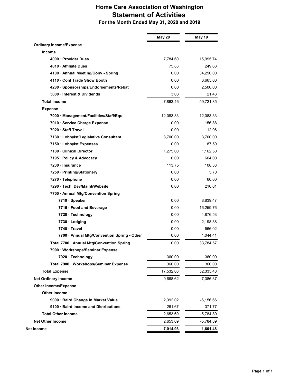## **Home Care Association of Washington Statement of Activities**

 **For the Month Ended May 31, 2020 and 2019**

|                                             | May 20      | <b>May 19</b> |
|---------------------------------------------|-------------|---------------|
| <b>Ordinary Income/Expense</b>              |             |               |
| Income                                      |             |               |
| 4000 Provider Dues                          | 7,784.60    | 15,995.74     |
| 4010 Affiliate Dues                         | 75.83       | 249.68        |
| 4100 - Annual Meeting/Conv - Spring         | 0.00        | 34,290.00     |
| 4110 Conf Trade Show Booth                  | 0.00        | 6,665.00      |
| 4280 · Sponsorships/Endorsements/Rebat      | 0.00        | 2,500.00      |
| 5000 Interest & Dividends                   | 3.03        | 21.43         |
| <b>Total Income</b>                         | 7,863.46    | 59,721.85     |
| <b>Expense</b>                              |             |               |
| 7000 · Management/Facilities/Staff/Equ      | 12,083.33   | 12,083.33     |
| 7010 · Service Charge Expense               | 0.00        | 156.88        |
| 7020 Staff Travel                           | 0.00        | 12.06         |
| 7130 · Lobbyist/Legislative Consultant      | 3,700.00    | 3,700.00      |
| 7150 · Lobbyist Expenses                    | 0.00        | 87.50         |
| 7180 Clinical Director                      | 1.275.00    | 1,162.50      |
| 7195 · Policy & Advocacy                    | 0.00        | 604.00        |
| 7230 Insurance                              | 113.75      | 108.33        |
| 7250 · Printing/Stationery                  | 0.00        | 5.70          |
| 7270 · Telephone                            | 0.00        | 60.00         |
| 7290 Tech. Dev/Maint/Website                | 0.00        | 210.61        |
| 7700 · Annual Mtg/Convention Spring         |             |               |
| 7710 · Speaker                              | 0.00        | 8,839.47      |
| 7715 · Food and Beverage                    | 0.00        | 16,259.76     |
| 7720 · Technology                           | 0.00        | 4,876.53      |
| 7730 · Lodging                              | 0.00        | 2.198.38      |
| 7740 Travel                                 | 0.00        | 566.02        |
| 7700 · Annual Mtg/Convention Spring - Other | 0.00        | 1,044.41      |
| Total 7700 · Annual Mtg/Convention Spring   | 0.00        | 33,784.57     |
| 7900 · Workshops/Seminar Expense            |             |               |
| 7920 · Technology                           | 360.00      | 360.00        |
| Total 7900 · Workshops/Seminar Expense      | 360.00      | 360.00        |
| <b>Total Expense</b>                        | 17,532.08   | 52,335.48     |
| <b>Net Ordinary Income</b>                  | $-9,668.62$ | 7,386.37      |
| <b>Other Income/Expense</b>                 |             |               |
| <b>Other Income</b>                         |             |               |
| 9000 · Baird Change in Market Value         | 2,392.02    | $-6,156.66$   |
| 9100 · Baird Income and Distributions       | 261.67      | 371.77        |
| <b>Total Other Income</b>                   | 2,653.69    | -5,784.89     |
| <b>Net Other Income</b>                     | 2,653.69    | -5,784.89     |
| Net Income                                  | $-7,014.93$ | 1,601.48      |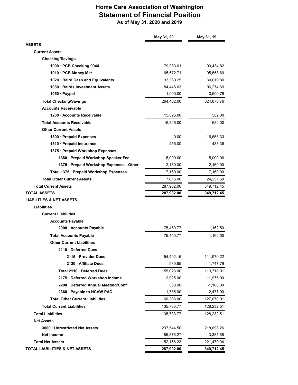## **Home Care Association of Washington Statement of Financial Position As of May 31, 2020 and 2019**

|                                          | May 31, 20  | May 31, 19  |
|------------------------------------------|-------------|-------------|
| <b>ASSETS</b>                            |             |             |
| <b>Current Assets</b>                    |             |             |
| <b>Checking/Savings</b>                  |             |             |
| 1000 · PCB Checking 0944                 | 79,983.01   | 99,434.82   |
| 1010 · PCB Money Mkt                     | 65,672.71   | 95,558.69   |
| 1020 · Baird Cash and Equivalents        | 33,360.25   | 30,019.80   |
| 1030 Bairds Investment Assets            | 84,446.03   | 96,274.69   |
| 1050 Paypal                              | 1,000.00    | 3,590.76    |
| <b>Total Checking/Savings</b>            | 264,462.00  | 324,878.76  |
| <b>Accounts Receivable</b>               |             |             |
| 1200 Accounts Receivable                 | 15,825.00   | 582.00      |
| <b>Total Accounts Receivable</b>         | 15,825.00   | 582.00      |
| <b>Other Current Assets</b>              |             |             |
| 1300 · Prepaid Expenses                  | 0.00        | 16,658.33   |
| 1310 Prepaid Insurance                   | 455.00      | 433.36      |
| 1375 · Prepaid Workshop Expenses         |             |             |
| 1380 · Prepaid Workshop Speaker Fee      | 5,000.00    | 5,000.00    |
| 1375 · Prepaid Workshop Expenses - Other | 2,160.00    | 2,160.00    |
| Total 1375 · Prepaid Workshop Expenses   | 7,160.00    | 7,160.00    |
| <b>Total Other Current Assets</b>        | 7,615.00    | 24,251.69   |
| <b>Total Current Assets</b>              | 287,902.00  | 349,712.45  |
| <b>TOTAL ASSETS</b>                      | 287,902.00  | 349,712.45  |
| <b>LIABILITIES &amp; NET ASSETS</b>      |             |             |
| Liabilities                              |             |             |
| <b>Current Liabilities</b>               |             |             |
| <b>Accounts Payable</b>                  |             |             |
| 2000 · Accounts Payable                  | 75,450.77   | 1,162.50    |
| <b>Total Accounts Payable</b>            | 75,450.77   | 1,162.50    |
| <b>Other Current Liabilities</b>         |             |             |
| 2110 Deferred Dues                       |             |             |
| 2115 Provider Dues                       | 54,492.15   | 111,970.22  |
| 2120 Affiliate Dues                      | 530.85      | 1,747.79    |
| Total 2110 Deferred Dues                 | 55,023.00   | 113,718.01  |
| 2175 · Deferred Workshop Income          | 2,925.00    | 11,975.00   |
| 2200 Deferred Annual Meeting/Conf        | 550.00      | $-1,100.00$ |
| 2360 · Payable to HCAW PAC               | 1,785.00    | 2,477.00    |
| <b>Total Other Current Liabilities</b>   | 60,283.00   | 127,070.01  |
| <b>Total Current Liabilities</b>         | 135,733.77  | 128,232.51  |
| <b>Total Liabilities</b>                 | 135,733.77  | 128,232.51  |
| <b>Net Assets</b>                        |             |             |
| 3000 Unrestricted Net Assets             | 237,544.50  | 218,098.26  |
| Net Income                               | -85,376.27  | 3,381.68    |
| <b>Total Net Assets</b>                  | 152, 168.23 | 221,479.94  |
| TOTAL LIABILITIES & NET ASSETS           | 287,902.00  | 349,712.45  |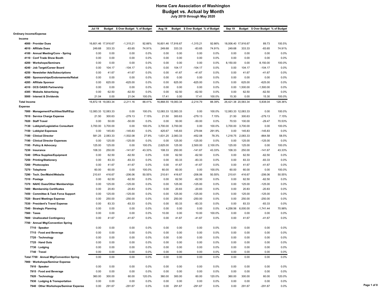|                                                                | <b>Jul 19</b>       |          | Budget \$ Over Budget % of Budget |              | Aug 19              |                | Budget \$ Over Budget % of Budget |          | Sep 19              |                | Budget \$ Over Budget % of Budget |         |
|----------------------------------------------------------------|---------------------|----------|-----------------------------------|--------------|---------------------|----------------|-----------------------------------|----------|---------------------|----------------|-----------------------------------|---------|
| <b>Ordinary Income/Expense</b>                                 |                     |          |                                   |              |                     |                |                                   |          |                     |                |                                   |         |
| Income                                                         |                     |          |                                   |              |                     |                |                                   |          |                     |                |                                   |         |
| 4000 · Provider Dues                                           | 16,601.46 17,916.67 |          | $-1,315.21$                       | 92.66%       | 16,601.46 17,916.67 |                | $-1,315.21$                       | 92.66%   | 18,006.40 17,916.67 |                | 89.73                             | 100.5%  |
| 4010 · Affiliate Dues                                          | 249.68              | 333.33   | $-83.65$                          | 74.91%       | 249.68              | 333.33         | $-83.65$                          | 74.91%   | 249.68              | 333.33         | $-83.65$                          | 74.91%  |
| 4100 · Annual Meeting/Conv - Spring                            | 0.00                | 0.00     | 0.00                              | 0.0%         | 0.00                | 0.00           | 0.00                              | $0.0\%$  | 0.00                | 0.00           | 0.00                              | 0.0%    |
| 4110 · Conf Trade Show Booth                                   | 0.00                | 0.00     | 0.00                              | 0.0%         | 0.00                | 0.00           | 0.00                              | 0.0%     | 0.00                | 0.00           | 0.00                              | 0.0%    |
| 4200 · Workshops/Seminars                                      | 0.00                | 0.00     | 0.00                              | 0.0%         | 0.00                | 0.00           | 0.00                              | 0.0%     | 8,150.00            | 0.00           | 8,150.00                          | 100.0%  |
| 4240 · Job Target/Career Board                                 | 0.00                | 104.17   | $-104.17$                         | 0.0%         | 0.00                | 104.17         | $-104.17$                         | 0.0%     | 0.00                | 104.17         | $-104.17$                         | 0.0%    |
| 4250 · Newsletter Ads/Subscriptions                            | 0.00                | 41.67    | $-41.67$                          | 0.0%         | 0.00                | 41.67          | $-41.67$                          | $0.0\%$  | 0.00                | 41.67          | $-41.67$                          | 0.0%    |
| 4280 · Sponsorships/Endorsements/Rebat                         | 0.00                | 0.00     | 0.00                              | 0.0%         | 0.00                | 0.00           | 0.00                              | 0.0%     | 0.00                | 0.00           | 0.00                              | 0.0%    |
| 4285 · Affiliate Sponsor                                       | 0.00                | 625.00   | $-625.00$                         | 0.0%         | 0.00                | 625.00         | $-625.00$                         | $0.0\%$  | 0.00                | 625.00         | $-625.00$                         | 0.0%    |
| 4310 · OCS OASIS Partnership                                   | 0.00                | 0.00     | 0.00                              | 0.0%         | 0.00                | 0.00           | 0.00                              | 0.0%     | 0.00                | 1,500.00       | -1,500.00                         | 0.0%    |
| 4385 · Website Advertising                                     | 0.00                | 62.50    | $-62.50$                          | 0.0%         | 0.00                | 62.50          | $-62.50$                          | 0.0%     | 0.00                | 62.50          | $-62.50$                          | 0.0%    |
| 5000 · Interest & Dividends                                    | 21.04               | 0.00     | 21.04                             | 100.0%       | 17.41               | 0.00           | 17.41                             | 100.0%   | 15.30               | 0.00           | 15.30                             | 100.0%  |
| <b>Total Income</b>                                            | 16,872.18 19,083.34 |          | $-2,211.16$                       | 88.41%       | 16,868.55 19,083.34 |                | $-2,214.79$                       | 88.39%   | 26,421.38 20,583.34 |                | 5,838.04                          | 128.36% |
| <b>Expense</b>                                                 |                     |          |                                   |              |                     |                |                                   |          |                     |                |                                   |         |
| 7000 · Management/Facilities/Staff/Equ                         | 12,083.33 12,083.33 |          | 0.00                              | 100.0%       | 12,083.33 12,083.33 |                | 0.00                              | 100.0%   | 12,083.33 12,083.33 |                | 0.00                              | 100.0%  |
| 7010 · Service Charge Expense                                  | 21.50               | 300.63   | $-279.13$                         | 7.15%        | 21.50               | 300.63         | $-279.13$                         | 7.15%    | 21.50               | 300.63         | $-279.13$                         | 7.15%   |
| 7020 · Staff Travel                                            | 0.00                | 50.00    | $-50.00$                          | 0.0%         | 0.00                | 50.00          | $-50.00$                          | 0.0%     | 70.53               | 100.00         | $-29.47$                          | 70.53%  |
| 7130 · Lobbyist/Legislative Consultant                         | 3,700.00            | 3,700.00 | 0.00                              | 100.0%       | 3,700.00            | 3,700.00       | 0.00                              | 100.0%   | 3,700.00            | 3,700.00       | 0.00                              | 100.0%  |
| 7150 · Lobbyist Expenses                                       | 0.00                | 145.83   | $-145.83$                         | 0.0%         | 425.67              | 145.83         | 279.84                            | 291.9%   | 0.00                | 145.83         | $-145.83$                         | 0.0%    |
| 7180 · Clinical Director                                       | 581.25              | 2,083.33 | $-1,502.08$                       | 27.9%        | 1,631.25            | 2,083.33       | $-452.08$                         | 78.3%    | 1,218.75            | 2,083.33       | $-864.58$                         | 58.5%   |
| 7190 · Clinical Director Expenses                              | 0.00                | 125.00   | $-125.00$                         | 0.0%         | 0.00                | 125.00         | $-125.00$                         | 0.0%     | 0.00                | 125.00         | $-125.00$                         | 0.0%    |
| 7195 · Policy & Advocacy                                       | 125.00              | 125.00   | 0.00                              | 100.0%       | 2,625.00            | 125.00         | 2,500.00                          | 2,100.0% | 125.00              | 125.00         | 0.00                              | 100.0%  |
| 7230 · Insurance                                               | 108.33              | 250.00   | $-141.67$                         | 43.33%       | 108.33              | 250.00         | $-141.67$                         | 43.33%   | 108.33              | 250.00         | $-141.67$                         | 43.33%  |
|                                                                |                     | 62.50    |                                   |              |                     |                | $-62.50$                          | $0.0\%$  |                     |                |                                   | 0.0%    |
| 7240 · Office Supplies/Equipment<br>7250 · Printing/Stationery | 0.00                | 83.33    | $-62.50$<br>$-83.33$              | 0.0%<br>0.0% | 0.00                | 62.50<br>83.33 | $-83.33$                          | 0.0%     | 0.00                | 62.50<br>83.33 | $-62.50$<br>$-83.33$              | 0.0%    |
|                                                                | 0.00                |          |                                   |              | 0.00                |                |                                   |          | 0.00                |                |                                   |         |
| 7260 · Photocopies                                             | 0.00                | 41.67    | $-41.67$                          | 0.0%         | 0.00                | 41.67<br>60.00 | $-41.67$                          | 0.0%     | 0.00                | 41.67          | $-41.67$                          | 0.0%    |
| 7270 · Telephone                                               | 60.00               | 60.00    | 0.00                              | 100.0%       | 60.00               |                | 0.00                              | 100.0%   | 60.00               | 60.00          | 0.00                              | 100.0%  |
| 7290 · Tech. Dev/Maint/Website                                 | 210.61              | 416.67   | $-206.06$                         | 50.55%       | 210.61              | 416.67         | $-206.06$                         | 50.55%   | 210.61              | 416.67         | $-206.06$                         | 50.55%  |
| 7310 · Postage                                                 | 0.00                | 62.50    | $-62.50$                          | 0.0%         | 0.00                | 62.50          | $-62.50$                          | $0.0\%$  | 0.00                | 62.50          | $-62.50$                          | 0.0%    |
| 7370 · NAHC Dues/Other Memberships                             | 0.00                | 125.00   | $-125.00$                         | 0.0%         | 0.00                | 125.00         | $-125.00$                         | $0.0\%$  | 0.00                | 125.00         | $-125.00$                         | 0.0%    |
| 7400 · Membership Certificates                                 | 0.00                | 20.83    | $-20.83$                          | 0.0%         | 0.00                | 20.83          | $-20.83$                          | $0.0\%$  | 0.00                | 20.83          | $-20.83$                          | 0.0%    |
| 7450 · Committee & Task Force Support                          | 0.00                | 125.00   | $-125.00$                         | 0.0%         | 0.00                | 125.00         | $-125.00$                         | $0.0\%$  | 0.00                | 125.00         | $-125.00$                         | 0.0%    |
| 7520 · Board Meetings Expense                                  | 0.00                | 250.00   | $-250.00$                         | 0.0%         | 0.00                | 250.00         | $-250.00$                         | 0.0%     | 0.00                | 250.00         | $-250.00$                         | 0.0%    |
| 7530 · President's Travel Expense                              | 0.00                | 83.33    | $-83.33$                          | 0.0%         | 0.00                | 83.33          | $-83.33$                          | 0.0%     | 0.00                | 83.33          | $-83.33$                          | 0.0%    |
| 7540 · Strategic Planning                                      | 0.00                | 0.00     | 0.00                              | 0.0%         | 0.00                | 0.00           | 0.00                              | 0.0%     | 4,258.56            | 6,000.00       | $-1,741.44$                       | 70.98%  |
| 7560 · Taxes                                                   | 0.00                | 0.00     | 0.00                              | 0.0%         | 10.00               | 0.00           | 10.00                             | 100.0%   | 0.00                | 0.00           | 0.00                              | 0.0%    |
| 7600 · Unallocated Contingency                                 | 0.00                | 41.67    | $-41.67$                          | 0.0%         | 0.00                | 41.67          | $-41.67$                          | 0.0%     | 0.00                | 41.67          | $-41.67$                          | 0.0%    |
| 7700 · Annual Mtg/Convention Spring                            |                     |          |                                   |              |                     |                |                                   |          |                     |                |                                   |         |
| 7710 · Speaker                                                 | 0.00                | 0.00     | 0.00                              | 0.0%         | 0.00                | 0.00           | 0.00                              | 0.0%     | 0.00                | 0.00           | 0.00                              | 0.0%    |
| 7715 · Food and Beverage                                       | 0.00                | 0.00     | 0.00                              | 0.0%         | 0.00                | 0.00           | 0.00                              | $0.0\%$  | 0.00                | 0.00           | 0.00                              | 0.0%    |
| 7720 · Technology                                              | 0.00                | 0.00     | 0.00                              | 0.0%         | 0.00                | 0.00           | 0.00                              | 0.0%     | 0.00                | 0.00           | 0.00                              | 0.0%    |
| 7725 · Hand Outs                                               | 0.00                | 0.00     | 0.00                              | 0.0%         | 0.00                | 0.00           | 0.00                              | 0.0%     | 0.00                | 0.00           | 0.00                              | 0.0%    |
| 7730 · Lodging                                                 | 0.00                | 0.00     | 0.00                              | 0.0%         | 0.00                | 0.00           | 0.00                              | 0.0%     | 0.00                | 0.00           | 0.00                              | 0.0%    |
| 7740 · Travel                                                  | 0.00                | 0.00     | 0.00                              | 0.0%         | 0.00                | 0.00           | 0.00                              | 0.0%     | 0.00                | 0.00           | 0.00                              | 0.0%    |
| Total 7700 · Annual Mtg/Convention Spring                      | 0.00                | 0.00     | 0.00                              | 0.0%         | 0.00                | 0.00           | 0.00                              | 0.0%     | 0.00                | 0.00           | 0.00                              | 0.0%    |
| 7900 · Workshops/Seminar Expense                               |                     |          |                                   |              |                     |                |                                   |          |                     |                |                                   |         |
| 7910 · Speaker                                                 | 0.00                | 0.00     | 0.00                              | 0.0%         | 0.00                | 0.00           | 0.00                              | 0.0%     | 0.00                | 0.00           | 0.00                              | 0.0%    |
| 7915 · Food and Beverage                                       | 0.00                | 0.00     | 0.00                              | 0.0%         | 0.00                | 0.00           | 0.00                              | 0.0%     | 0.00                | 0.00           | 0.00                              | 0.0%    |
| 7920 · Technology                                              | 360.00              | 300.00   | 60.00                             | 120.0%       | 360.00              | 300.00         | 60.00                             | 120.0%   | 360.00              | 300.00         | 60.00                             | 120.0%  |
| 7930 · Lodging & Transportation                                | 0.00                | 0.00     | 0.00                              | 0.0%         | 0.00                | 0.00           | 0.00                              | $0.0\%$  | 0.00                | 0.00           | 0.00                              | 0.0%    |
| 7940 Other Workshops/Seminar Expense                           | 0.00                | 291.67   | $-291.67$                         | $0.0\%$      | 0.00                | 291.67         | $-291.67$                         | $0.0\%$  | 0.00                | 291.67         | $-291.67$                         | $0.0\%$ |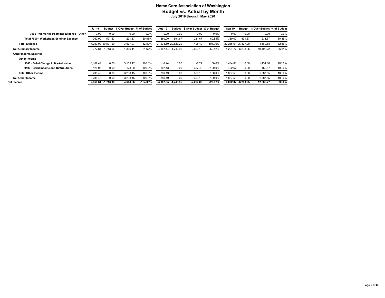|                                          | Jul 19   |                     | Budget \$ Over Budget % of Budget |            | Aug 19              | Budget                  | \$ Over Budget % of Budget |         | Sep 19              | Budget             | \$ Over Budget % of Budget |           |
|------------------------------------------|----------|---------------------|-----------------------------------|------------|---------------------|-------------------------|----------------------------|---------|---------------------|--------------------|----------------------------|-----------|
| 7900 · Workshops/Seminar Expense - Other | 0.00     | 0.00                | 0.00                              | 0.0%       | 0.00                | 0.00                    | 0.00                       | 0.0%    | 0.00                | 0.00               | 0.00                       | 0.0%      |
| Total 7900 · Workshops/Seminar Expense   | 360.00   | 591.67              | $-231.67$                         | 60.85%     | 360.00              | 591.67                  | $-231.67$                  | 60.85%  | 360.00              | 591.67             | $-231.67$                  | 60.85%    |
| <b>Total Expense</b>                     |          | 17,250.02 20,827.29 | $-3,577.27$                       | 82.82%     | 21.235.69 20.827.29 |                         | 408.40                     | 101.96% | 22.216.61 26.877.29 |                    | $-4,660.68$                | 82.66%    |
| <b>Net Ordinary Income</b>               |          | $-377.84 -1.743.95$ | 1,366.11                          | 21.67%     |                     | -4,367.14 -1,743.95     | $-2.623.19$                | 250.42% |                     | 4.204.77 -6.293.95 | 10.498.72                  | $-66.81%$ |
| Other Income/Expense                     |          |                     |                                   |            |                     |                         |                            |         |                     |                    |                            |           |
| Other Income                             |          |                     |                                   |            |                     |                         |                            |         |                     |                    |                            |           |
| 9000 · Baird Change in Market Value      | 3,109.47 | 0.00                | 3.109.47                          | 100.0%     | $-8.24$             | 0.00                    | $-8.24$                    | 100.0%  | 1.434.88            | 0.00               | 1,434.88                   | 100.0%    |
| 9100 · Baird Income and Distributions    | 128.98   | 0.00                | 128.98                            | 100.0%     | 367.43              | 0.00                    | 367.43                     | 100.0%  | 452.67              | 0.00               | 452.67                     | 100.0%    |
| <b>Total Other Income</b>                | 3.238.45 | 0.00                | 3,238.45                          | 100.0%     | 359.19              | 0.00                    | 359.19                     | 100.0%  | 1.887.55            | 0.00               | 1,887.55                   | 100.0%    |
| <b>Net Other Income</b>                  | 3,238.45 | 0.00                | 3,238.45                          | 100.0%     | 359.19              | 0.00                    | 359.19                     | 100.0%  | 1.887.55            | 0.00               | 1,887.55                   | 100.0%    |
| Net Income                               |          | 2,860.61 -1,743.95  | 4,604.56                          | $-164.03%$ |                     | $-4,007.95$ $-1,743.95$ | $-2,264.00$                | 229.82% |                     | 6,092.32 -6,293.95 | 12,386.27                  | $-96.8%$  |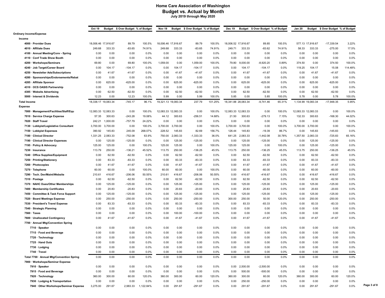|                                           | Oct 19              |          | Budget \$ Over Budget % of Budget |           | Nov 19              |          | Budget \$ Over Budget % of Budget |         | Dec 19              |                     | Budget \$ Over Budget % of Budget |        | <b>Jan 20</b>       |                    | Budget \$ Over Budget % of Budget |         |
|-------------------------------------------|---------------------|----------|-----------------------------------|-----------|---------------------|----------|-----------------------------------|---------|---------------------|---------------------|-----------------------------------|--------|---------------------|--------------------|-----------------------------------|---------|
| <b>Ordinary Income/Expense</b>            |                     |          |                                   |           |                     |          |                                   |         |                     |                     |                                   |        |                     |                    |                                   |         |
| Income                                    |                     |          |                                   |           |                     |          |                                   |         |                     |                     |                                   |        |                     |                    |                                   |         |
| 4000 · Provider Dues                      | 18,006.46 17,916.67 |          | 89.79                             | 100.5%    | 18,006.46 17,916.67 |          | 89.79                             | 100.5%  | 18,006.52 17,916.67 |                     | 89.85                             | 100.5% |                     | 577.13 17,916.67   | -17,339.54                        | 3.22%   |
| 4010 · Affiliate Dues                     | 249.68              | 333.33   | $-83.65$                          | 74.91%    | 249.68              | 333.33   | $-83.65$                          | 74.91%  | 249.71              | 333.33              | $-83.62$                          | 74.91% | 58.33               | 333.33             | $-275.00$                         | 17.5%   |
| 4100 · Annual Meeting/Conv - Spring       | 0.00                | 0.00     | 0.00                              | 0.0%      | 0.00                | 0.00     | 0.00                              | $0.0\%$ | 0.00                | 0.00                | 0.00                              | 0.0%   | 0.00                | 0.00               | 0.00                              | $0.0\%$ |
| 4110 · Conf Trade Show Booth              | 0.00                | 0.00     | 0.00                              | 0.0%      | 0.00                | 0.00     | 0.00                              | $0.0\%$ | 0.00                | 0.00                | 0.00                              | 0.0%   | 0.00                | 0.00               | 0.00                              | $0.0\%$ |
| 4200 · Workshops/Seminars                 | 69.80               | 0.00     | 69.80                             | 100.0%    | 1,059.00            | 0.00     | 1,059.00                          | 100.0%  | 79.80               | 9,000.00            | $-8,920.20$                       | 0.89%  | 374.50              | 0.00               | 374.50                            | 100.0%  |
| 4240 · Job Target/Career Board            | 0.00                | 104.17   | $-104.17$                         | 0.0%      | 0.00                | 104.17   | $-104.17$                         | $0.0\%$ | 0.00                | 104.17              | $-104.17$                         | 0.0%   | 119.25              | 104.17             | 15.08                             | 114.48% |
| 4250 · Newsletter Ads/Subscriptions       | 0.00                | 41.67    | $-41.67$                          | 0.0%      | 0.00                | 41.67    | $-41.67$                          | $0.0\%$ | 0.00                | 41.67               | $-41.67$                          | 0.0%   | 0.00                | 41.67              | $-41.67$                          | 0.0%    |
| 4280 · Sponsorships/Endorsements/Rebat    | 0.00                | 0.00     | 0.00                              | 0.0%      | 0.00                | 0.00     | 0.00                              | $0.0\%$ | 0.00                | 0.00                | 0.00                              | 0.0%   | 0.00                | 0.00               | 0.00                              | 0.0%    |
| 4285 · Affiliate Sponsor                  | 0.00                | 625.00   | $-625.00$                         | 0.0%      | 0.00                | 625.00   | $-625.00$                         | $0.0\%$ | 0.00                | 625.00              | $-625.00$                         | 0.0%   | 0.00                | 625.00             | $-625.00$                         | $0.0\%$ |
| 4310 · OCS OASIS Partnership              | 0.00                | 0.00     | 0.00                              | 0.0%      | 0.00                | 0.00     | 0.00                              | $0.0\%$ | 0.00                | 0.00                | 0.00                              | 0.0%   | 0.00                | 0.00               | 0.00                              | 0.0%    |
| 4385 · Website Advertising                | 0.00                | 62.50    | $-62.50$                          | 0.0%      | 0.00                | 62.50    | $-62.50$                          | $0.0\%$ | 0.00                | 62.50               | $-62.50$                          | 0.0%   | 0.00                | 62.50              | $-62.50$                          | 0.0%    |
| 5000 · Interest & Dividends               | 12.23               | 0.00     | 12.23                             | 100.0%    | 5.99                | 0.00     | 5.99                              | 100.0%  | 5.85                | 0.00                | 5.85                              | 100.0% | 5.78                | 0.00               | 5.78                              | 100.0%  |
| <b>Total Income</b>                       | 18,338.17 19,083.34 |          | $-745.17$                         | 96.1%     | 19,321.13 19,083.34 |          | 237.79                            | 101.25% | 18,341.88 28,083.34 |                     | $-9,741.46$                       | 65.31% |                     | 1,134.99 19,083.34 | $-17,948.35$                      | 5.95%   |
| Expense                                   |                     |          |                                   |           |                     |          |                                   |         |                     |                     |                                   |        |                     |                    |                                   |         |
| 7000 · Management/Facilities/Staff/Equ    | 12,083.33 12,083.33 |          | 0.00                              | 100.0%    | 12,083.33 12,083.33 |          | 0.00                              | 100.0%  |                     | 12,083.33 12,083.33 | 0.00                              | 100.0% | 12,083.33 12,083.33 |                    | 0.00                              | 100.0%  |
| 7010 · Service Charge Expense             | 57.35               | 300.63   | $-243.28$                         | 19.08%    | 44.12               | 300.63   | $-256.51$                         | 14.68%  | 21.50               | 300.63              | $-279.13$                         | 7.15%  | 132.33              | 300.63             | $-168.30$                         | 44.02%  |
| 7020 · Staff Travel                       | 242.21              | 1,000.00 | $-757.79$                         | 24.22%    | 0.00                | 0.00     | 0.00                              | 0.0%    | 0.00                | 0.00                | 0.00                              | 0.0%   | 0.00                | 0.00               | 0.00                              | 0.0%    |
| 7130 · Lobbyist/Legislative Consultant    | 3,700.00            | 3,700.00 | 0.00                              | 100.0%    | 3,700.00            | 3,700.00 | 0.00                              | 100.0%  | 3,700.00            | 3,700.00            | 0.00                              | 100.0% | 3,700.00            | 3,700.00           | 0.00                              | 100.0%  |
| 7150 · Lobbyist Expenses                  | 390.92              | 145.83   | 245.09                            | 268.07%   | 228.52              | 145.83   | 82.69                             | 156.7%  | 126.44              | 145.83              | $-19.39$                          | 86.7%  | 0.00                | 145.83             | $-145.83$                         | 0.0%    |
| 7180 · Clinical Director                  | 1,331.25            | 2,083.33 | $-752.08$                         | 63.9%     | 750.00              | 2,083.33 | $-1,333.33$                       | 36.0%   | 641.25              | 2,083.33            | $-1,442.08$                       | 30.78% | 1,357.50            | 2,083.33           | $-725.83$                         | 65.16%  |
| 7190 · Clinical Director Expenses         | 0.00                | 125.00   | $-125.00$                         | 0.0%      | 0.00                | 125.00   | $-125.00$                         | $0.0\%$ | 0.00                | 125.00              | $-125.00$                         | 0.0%   | 0.00                | 125.00             | $-125.00$                         | $0.0\%$ |
| 7195 · Policy & Advocacy                  | 125.00              | 125.00   | 0.00                              | 100.0%    | 125.00              | 125.00   | 0.00                              | 100.0%  | 125.00              | 125.00              | 0.00                              | 100.0% | 0.00                | 125.00             | $-125.00$                         | 0.0%    |
| 7230 · Insurance                          | 113.79              | 250.00   | $-136.21$                         | 45.52%    | 113.75              | 250.00   | $-136.25$                         | 45.5%   | 113.75              | 250.00              | $-136.25$                         | 45.5%  | 113.75              | 250.00             | $-136.25$                         | 45.5%   |
| 7240 · Office Supplies/Equipment          | 0.00                | 62.50    | $-62.50$                          | 0.0%      | 0.00                | 62.50    | $-62.50$                          | $0.0\%$ | 0.00                | 62.50               | $-62.50$                          | 0.0%   | 0.00                | 62.50              | $-62.50$                          | $0.0\%$ |
| 7250 · Printing/Stationery                | 0.00                | 83.33    | $-83.33$                          | 0.0%      | 0.00                | 83.33    | $-83.33$                          | $0.0\%$ | 0.00                | 83.33               | $-83.33$                          | 0.0%   | 0.00                | 83.33              | $-83.33$                          | 0.0%    |
| 7260 · Photocopies                        | 0.00                | 41.67    | $-41.67$                          | 0.0%      | 0.00                | 41.67    | $-41.67$                          | $0.0\%$ | 0.00                | 41.67               | $-41.67$                          | 0.0%   | 0.00                | 41.67              | $-41.67$                          | $0.0\%$ |
| 7270 · Telephone                          | 60.00               | 60.00    | 0.00                              | 100.0%    | 60.00               | 60.00    | 0.00                              | 100.0%  | 0.00                | 60.00               | $-60.00$                          | 0.0%   | 0.00                | 60.00              | $-60.00$                          | 0.0%    |
| 7290 · Tech. Dev/Maint/Website            | 210.61              | 416.67   | $-206.06$                         | 50.55%    | 210.61              | 416.67   | $-206.06$                         | 50.55%  | 0.00                | 416.67              | $-416.67$                         | 0.0%   | 0.00                | 416.67             | $-416.67$                         | 0.0%    |
| 7310 · Postage                            | 0.00                | 62.50    | $-62.50$                          | 0.0%      | 0.00                | 62.50    | $-62.50$                          | $0.0\%$ | 0.00                | 62.50               | $-62.50$                          | 0.0%   | 0.00                | 62.50              | $-62.50$                          | $0.0\%$ |
| 7370 · NAHC Dues/Other Memberships        | 0.00                | 125.00   | $-125.00$                         | 0.0%      | 0.00                | 125.00   | $-125.00$                         | $0.0\%$ | 0.00                | 125.00              | $-125.00$                         | 0.0%   | 0.00                | 125.00             | $-125.00$                         | 0.0%    |
| 7400 · Membership Certificates            | 0.00                | 20.83    | $-20.83$                          | 0.0%      | 0.00                | 20.83    | $-20.83$                          | $0.0\%$ | 0.00                | 20.83               | $-20.83$                          | 0.0%   | 0.00                | 20.83              | $-20.83$                          | $0.0\%$ |
| 7450 · Committee & Task Force Support     | 0.00                | 125.00   | $-125.00$                         | 0.0%      | 0.00                | 125.00   | $-125.00$                         | $0.0\%$ | 0.00                | 125.00              | $-125.00$                         | 0.0%   | 0.00                | 125.00             | $-125.00$                         | $0.0\%$ |
| 7520 · Board Meetings Expense             | 0.00                | 250.00   | $-250.00$                         | 0.0%      | 0.00                | 250.00   | $-250.00$                         | $0.0\%$ | 300.00              | 250.00              | 50.00                             | 120.0% | 0.00                | 250.00             | $-250.00$                         | 0.0%    |
| 7530 · President's Travel Expense         | 0.00                | 83.33    | $-83.33$                          | 0.0%      | 0.00                | 83.33    | $-83.33$                          | $0.0\%$ | 0.00                | 83.33               | $-83.33$                          | 0.0%   | 0.00                | 83.33              | $-83.33$                          | $0.0\%$ |
| 7540 · Strategic Planning                 | 0.00                | 0.00     | 0.00                              | 0.0%      | 0.00                | 0.00     | 0.00                              | $0.0\%$ | 0.00                | 0.00                | 0.00                              | 0.0%   | 0.00                | 0.00               | 0.00                              | $0.0\%$ |
| $7560 \cdot$ Taxes                        | 0.00                | 0.00     | 0.00                              | 0.0%      | 0.00                | 100.00   | $-100.00$                         | $0.0\%$ | 0.00                | 0.00                | 0.00                              | 0.0%   | 0.00                | 0.00               | 0.00                              | 0.0%    |
| 7600 · Unallocated Contingency            | 0.00                | 41.67    | $-41.67$                          | 0.0%      | 0.00                | 41.67    | $-41.67$                          | $0.0\%$ | 0.00                | 41.67               | $-41.67$                          | 0.0%   | 0.00                | 41.67              | $-41.67$                          | $0.0\%$ |
| 7700 · Annual Mtg/Convention Spring       |                     |          |                                   |           |                     |          |                                   |         |                     |                     |                                   |        |                     |                    |                                   |         |
| 7710 · Speaker                            | 0.00                | 0.00     | 0.00                              | 0.0%      | 0.00                | 0.00     | 0.00                              | $0.0\%$ | 0.00                | 0.00                | 0.00                              | 0.0%   | 0.00                | 0.00               | 0.00                              | 0.0%    |
| 7715 · Food and Beverage                  | 0.00                | 0.00     | 0.00                              | 0.0%      | 0.00                | 0.00     | 0.00                              | $0.0\%$ | 0.00                | 0.00                | 0.00                              | 0.0%   | 0.00                | 0.00               | 0.00                              | 0.0%    |
| 7720 · Technology                         | 0.00                | 0.00     | 0.00                              | 0.0%      | 0.00                | 0.00     | 0.00                              | $0.0\%$ | 0.00                | 0.00                | 0.00                              | 0.0%   | 0.00                | 0.00               | 0.00                              | 0.0%    |
| 7725 · Hand Outs                          | 0.00                | 0.00     | 0.00                              | 0.0%      | 0.00                | 0.00     | 0.00                              | 0.0%    | 0.00                | 0.00                | 0.00                              | 0.0%   | 0.00                | 0.00               | 0.00                              | 0.0%    |
| 7730 · Lodging                            | 0.00                | 0.00     | 0.00                              | 0.0%      | 0.00                | 0.00     | 0.00                              | $0.0\%$ | 0.00                | 0.00                | 0.00                              | 0.0%   | 0.00                | 0.00               | 0.00                              | $0.0\%$ |
| 7740 · Travel                             | 0.00                | 0.00     | 0.00                              | 0.0%      | 0.00                | 0.00     | 0.00                              | 0.0%    | 0.00                | 0.00                | 0.00                              | 0.0%   | 0.00                | 0.00               | 0.00                              | 0.0%    |
| Total 7700 · Annual Mtg/Convention Spring | 0.00                | 0.00     | 0.00                              | 0.0%      | 0.00                | 0.00     | 0.00                              | $0.0\%$ | 0.00                | 0.00                | 0.00                              | 0.0%   | 0.00                | 0.00               | 0.00                              | 0.0%    |
| 7900 · Workshops/Seminar Expense          |                     |          |                                   |           |                     |          |                                   |         |                     |                     |                                   |        |                     |                    |                                   |         |
| 7910 · Speaker                            | 0.00                | 0.00     | 0.00                              | 0.0%      | 0.00                | 0.00     | 0.00                              | $0.0\%$ | 0.00                | 2,500.00            | $-2,500.00$                       | 0.0%   | 0.00                | 0.00               | 0.00                              | $0.0\%$ |
| 7915 · Food and Beverage                  | 0.00                | 0.00     | 0.00                              | 0.0%      | 0.00                | 0.00     | 0.00                              | $0.0\%$ | 0.00                | 500.00              | $-500.00$                         | 0.0%   | 0.00                | 0.00               | 0.00                              | $0.0\%$ |
| 7920 · Technology                         | 360.00              | 300.00   | 60.00                             | 120.0%    | 360.00              | 300.00   | 60.00                             | 120.0%  | 360.00              | 300.00              | 60.00                             | 120.0% | 360.00              | 300.00             | 60.00                             | 120.0%  |
| 7930 · Lodging & Transportation           | 0.00                | 0.00     | 0.00                              | 0.0%      | 0.00                | 0.00     | 0.00                              | $0.0\%$ | 0.00                | 250.00              | $-250.00$                         | 0.0%   | 0.00                | 0.00               | 0.00                              | 0.0%    |
| 7940 Other Workshops/Seminar Expense      | 3,275.00            | 291.67   | 2,983.33                          | 1,122.84% | 0.00                | 291.67   | $-291.67$                         | $0.0\%$ | 0.00                | 291.67              | $-291.67$                         | 0.0%   | 0.00                | 291.67             | $-291.67$                         | 0.0%    |
|                                           |                     |          |                                   |           |                     |          |                                   |         |                     |                     |                                   |        |                     |                    |                                   |         |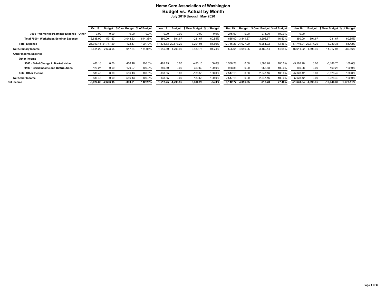|                                          | <b>Oct 19</b>         |                         | Budget \$ Over Budget % of Budget |         | Nov 19    | <b>Budget</b>      | \$ Over Budget % of Budget |           | <b>Dec 19</b>       | Budget            | \$ Over Budget % of Budget |        | Jan 20                   |        | Budget \$ Over Budget % of Budget |           |
|------------------------------------------|-----------------------|-------------------------|-----------------------------------|---------|-----------|--------------------|----------------------------|-----------|---------------------|-------------------|----------------------------|--------|--------------------------|--------|-----------------------------------|-----------|
| 7900 · Workshops/Seminar Expense - Other | 0.00                  | 0.00                    | 0.00                              | 0.0%    | 0.00      | 0.00               | 0.00                       | 0.0%      | 275.00              | 0.00              | 275.00                     | 100.0% | 0.00                     |        |                                   |           |
| Total 7900 · Workshops/Seminar Expense   | 3.635.00              | 591.67                  | 3.043.33                          | 614.36% | 360.00    | 591.67             | $-231.67$                  | 60.85%    | 635.00              | 3.841.67          | $-3.206.67$                | 16.53% | 360.00                   | 591.67 | $-231.67$                         | 60.85%    |
| <b>Total Expense</b>                     | 21.949.46 21.777.29   |                         | 172.17                            | 100.79% |           | 7.675.33 20.877.29 | $-3,201.96$                | 84.66%    | 17.746.27 24.027.29 |                   | $-6,281.02$                | 73.86% | 17.746.91 20.777.29      |        | $-3,030.38$                       | 85.42%    |
| <b>Net Ordinary Income</b>               | $-3.611.29 -2.693.95$ |                         | $-917.34$                         | 134.05% |           | 1.645.80 -1.793.95 | 3,439.75                   | $-91.74%$ | 595.61              | 4.056.05          | $-3,460.44$                | 14.68% | $-16.611.92 -1.693.95$   |        | $-14,917.97$                      | 980.66%   |
| Other Income/Expense                     |                       |                         |                                   |         |           |                    |                            |           |                     |                   |                            |        |                          |        |                                   |           |
| Other Income                             |                       |                         |                                   |         |           |                    |                            |           |                     |                   |                            |        |                          |        |                                   |           |
| 9000 · Baird Change in Market Value      | 466.16                | 0.00                    | 466.16                            | 100.0%  | $-493.15$ | 0.00               | $-493.15$                  | 100.0%    | 1.588.28            | 0.00              | 1.588.28                   | 100.0% | $-5.188.70$              | 0.00   | $-5,188.70$                       | 100.0%    |
| 9100 · Baird Income and Distributions    | 120.27                | 0.00                    | 120.27                            | 100.0%  | 359.60    | 0.00               | 359.60                     | 100.0%    | 958.88              | 0.00              | 958.88                     | 100.0% | 160.28                   | 0.00   | 160.28                            | 100.0%    |
| <b>Total Other Income</b>                | 586.43                | 0.00                    | 586.43                            | 100.0%  | $-133.55$ | 0.00               | $-133.55$                  | 100.0%    | 2.547.16            | 0.00              | 2.547.16                   | 100.0% | $-5.028.42$              | 0.00   | $-5,028.42$                       | 100.0%    |
| <b>Net Other Income</b>                  | 586.43                | 0.00                    | 586.43                            | 100.0%  | $-133.55$ | 0.00               | $-133.55$                  | 100.0%    | 2.547.16            | 0.00              | 2.547.16                   | 100.0% | $-5.028.42$              | 0.00   | $-5,028.42$                       | 100.0%    |
| Net Income                               |                       | $-3,024.86$ $-2,693.95$ | $-330.91$                         | 112.28% |           | 1,512.25 -1,793.95 | 3,306.20                   | $-84.3%$  |                     | 3,142.77 4,056.05 | $-913.28$                  | 77.48% | $-21,640.34$ $-1,693.95$ |        | $-19,946.39$                      | 1,277.51% |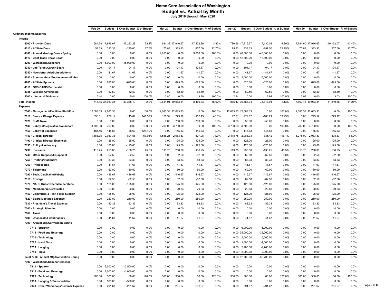|                                           | Feb 20              |                  | Budget \$ Over Budget % of Budget |         | <b>Mar 20</b>       |                  | Budget \$ Over Budget % of Budget |        | <b>Apr 20</b>       |                         | Budget \$ Over Budget % of Budget |        | <b>May 20</b>       |          | Budget \$ Over Budget % of Budget |         |             |
|-------------------------------------------|---------------------|------------------|-----------------------------------|---------|---------------------|------------------|-----------------------------------|--------|---------------------|-------------------------|-----------------------------------|--------|---------------------|----------|-----------------------------------|---------|-------------|
| <b>Ordinary Income/Expense</b>            |                     |                  |                                   |         |                     |                  |                                   |        |                     |                         |                                   |        |                     |          |                                   |         |             |
| Income                                    |                     |                  |                                   |         |                     |                  |                                   |        |                     |                         |                                   |        |                     |          |                                   |         |             |
| 4000 · Provider Dues                      |                     | 684.38 17,916.67 | $-17,232.29$                      | 3.82%   |                     | 684.38 17,916.67 | $-17,232.29$                      | 3.82%  |                     | 786.66 17,916.67        | $-17,130.01$                      | 4.39%  | 7,784.60 17,916.67  |          | $-10,132.07$                      | 43.45%  |             |
| 4010 · Affiliate Dues                     | 58.33               | 333.33           | $-275.00$                         | 17.5%   | 75.83               | 333.33           | $-257.50$                         | 22.75% | 75.83               | 333.33                  | $-257.50$                         | 22.75% | 75.83               | 333.33   | $-257.50$                         | 22.75%  |             |
| 4100 · Annual Meeting/Conv - Spring       | 0.00                | 0.00             | 0.00                              | 0.0%    | 9,850.00            | 0.00             | 9,850.00                          | 100.0% |                     | 0.00 40,000.00          | $-40,000.00$                      | 0.0%   | 0.00                | 0.00     | 0.00                              | 0.0%    |             |
| 4110 · Conf Trade Show Booth              | 0.00                | 0.00             | 0.00                              | $0.0\%$ | 0.00                | 0.00             | 0.00                              | 0.0%   |                     | 0.00 12,500.00          | $-12,500.00$                      | 0.0%   | 0.00                | 0.00     | 0.00                              | 0.0%    |             |
| 4200 · Workshops/Seminars                 |                     | 0.00 15,000.00   | $-15,000.00$                      | 0.0%    | 0.00                | 0.00             | 0.00                              | 0.0%   | 0.00                | 0.00                    | 0.00                              | 0.0%   | 0.00                | 0.00     | 0.00                              | 0.0%    |             |
| 4240 · Job Target/Career Board            | 0.00                | 104.17           | $-104.17$                         | 0.0%    | 0.00                | 104.17           | $-104.17$                         | 0.0%   | 0.00                | 104.17                  | $-104.17$                         | 0.0%   | 0.00                | 104.17   | $-104.17$                         | 0.0%    |             |
| 4250 · Newsletter Ads/Subscriptions       | 0.00                | 41.67            | $-41.67$                          | 0.0%    | 0.00                | 41.67            | $-41.67$                          | 0.0%   | 0.00                | 41.67                   | $-41.67$                          | 0.0%   | 0.00                | 41.67    | $-41.67$                          | 0.0%    |             |
| 4280 · Sponsorships/Endorsements/Rebat    | 0.00                | 0.00             | 0.00                              | 0.0%    | 0.00                | 0.00             | 0.00                              | 0.0%   | 0.00                | 5,000.00                | $-5,000.00$                       | 0.0%   | 0.00                | 0.00     | 0.00                              | 0.0%    |             |
| 4285 · Affiliate Sponsor                  | 0.00                | 625.00           | $-625.00$                         | $0.0\%$ | 0.00                | 625.00           | $-625.00$                         | 0.0%   | 0.00                | 625.00                  | $-625.00$                         | 0.0%   | 0.00                | 625.00   | $-625.00$                         | 0.0%    |             |
| 4310 · OCS OASIS Partnership              | 0.00                | 0.00             | 0.00                              | 0.0%    | 0.00                | 0.00             | 0.00                              | 0.0%   | 0.00                | 0.00                    | 0.00                              | 0.0%   | 0.00                | 0.00     | 0.00                              | 0.0%    |             |
| 4385 · Website Advertising                | 0.00                | 62.50            | $-62.50$                          | 0.0%    | 0.00                | 62.50            | $-62.50$                          | 0.0%   | 0.00                | 62.50                   | $-62.50$                          | 0.0%   | 0.00                | 62.50    | $-62.50$                          | 0.0%    |             |
| 5000 · Interest & Dividends               | 5.44                | 0.00             | 5.44                              | 100.0%  | 3.80                | 0.00             | 3.80                              | 100.0% | 2.94                | 0.00                    | 2.94                              | 100.0% | 3.03                | 0.00     | 3.03                              | 100.0%  |             |
| <b>Total Income</b>                       |                     | 748.15 34,083.34 | $-33,335.19$                      | 2.2%    | 10,614.01 19,083.34 |                  | -8,469.33                         | 55.62% |                     | 865.43 76,583.34        | $-75,717.91$                      | 1.13%  | 7,863.46 19,083.34  |          | $-11,219.88$                      | 41.21%  |             |
| <b>Expense</b>                            |                     |                  |                                   |         |                     |                  |                                   |        |                     |                         |                                   |        |                     |          |                                   |         |             |
| 7000 · Management/Facilities/Staff/Equ    | 12,083.33 12,083.33 |                  | 0.00                              | 100.0%  | 12,083.33 12,083.33 |                  | 0.00                              | 100.0% | 12,083.33 12,083.33 |                         | 0.00                              | 100.0% | 12,083.33 12,083.33 |          | 0.00                              | 100.0%  |             |
| 7010 · Service Charge Expense             | 395.01              | 279.12           | 115.89                            | 141.52% | 126.99              | 279.12           | $-152.13$                         | 45.5%  | 92.91               | 279.12                  | $-186.21$                         | 33.29% | 0.00                | 279.12   | $-279.12$                         | 0.0%    |             |
| 7020 · Staff Travel                       | 0.00                | 0.00             | 0.00                              | 0.0%    | 0.00                | 700.00           | $-700.00$                         | 0.0%   | 0.00                | 50.00                   | $-50.00$                          | 0.0%   | 0.00                | 0.00     | 0.00                              | 0.0%    |             |
| 7130 · Lobbyist/Legislative Consultant    | 3,700.00            | 3,700.00         | 0.00                              | 100.0%  | 3,700.00            | 3,700.00         | 0.00                              | 100.0% | 3,700.00            | 3,700.00                | 0.00                              | 100.0% | 3,700.00            | 3,700.00 | 0.00                              | 100.0%  |             |
| 7150 · Lobbyist Expenses                  | 184.46              | 145.83           | 38.63                             | 126.49% | 0.00                | 145.83           | $-145.83$                         | 0.0%   | 0.00                | 145.83                  | $-145.83$                         | 0.0%   | 0.00                | 145.83   | $-145.83$                         | 0.0%    |             |
| 7180 · Clinical Director                  | 1,188.75            | 2,083.33         | $-894.58$                         | 57.06%  | 1,556.25            | 2,083.33         | $-527.08$                         | 74.7%  | 2,418.75            | 2,083.33                | 335.42                            | 116.1% | 1,275.00            | 2,083.33 | $-808.33$                         | 61.2%   |             |
| 7190 · Clinical Director Expenses         | 0.00                | 125.00           | $-125.00$                         | $0.0\%$ | 0.00                | 125.00           | $-125.00$                         | 0.0%   | 0.00                | 125.00                  | $-125.00$                         | 0.0%   | 0.00                | 125.00   | $-125.00$                         | 0.0%    |             |
| 7195 · Policy & Advocacy                  | 0.00                | 125.00           | $-125.00$                         | 0.0%    | 0.00                | 1,125.00         | $-1,125.00$                       | 0.0%   | 0.00                | 125.00                  | $-125.00$                         | 0.0%   | 0.00                | 125.00   | $-125.00$                         | 0.0%    |             |
| 7230 · Insurance                          | 113.75              | 250.00           | $-136.25$                         | 45.5%   | 113.75              | 250.00           | $-136.25$                         | 45.5%  | 113.75              | 250.00                  | $-136.25$                         | 45.5%  | 113.75              | 250.00   | $-136.25$                         | 45.5%   |             |
| 7240 · Office Supplies/Equipment          | 0.00                | 62.50            | $-62.50$                          | $0.0\%$ | 0.00                | 62.50            | $-62.50$                          | 0.0%   | 0.00                | 62.50                   | $-62.50$                          | 0.0%   | 0.00                | 62.50    | $-62.50$                          | $0.0\%$ |             |
| 7250 · Printing/Stationery                | 0.00                | 83.33            | $-83.33$                          | 0.0%    | 0.00                | 83.33            | $-83.33$                          | 0.0%   | 0.00                | 83.33                   | $-83.33$                          | 0.0%   | 0.00                | 83.33    | $-83.33$                          | 0.0%    |             |
| 7260 · Photocopies                        | 0.00                | 41.67            | $-41.67$                          | $0.0\%$ | 0.00                | 41.67            | $-41.67$                          | 0.0%   | 0.00                | 41.67                   | $-41.67$                          | 0.0%   | 0.00                | 41.67    | $-41.67$                          | 0.0%    |             |
| 7270 · Telephone                          | 0.00                | 60.00            | $-60.00$                          | 0.0%    | 0.00                | 60.00            | $-60.00$                          | 0.0%   | 0.00                | 60.00                   | $-60.00$                          | 0.0%   | 0.00                | 60.00    | -60.00                            | 0.0%    |             |
| 7290 · Tech. Dev/Maint/Website            | 0.00                | 416.67           | $-416.67$                         | 0.0%    | 0.00                | 416.67           | $-416.67$                         | 0.0%   | 0.00                | 416.67                  | $-416.67$                         | 0.0%   | 0.00                | 416.67   | $-416.67$                         | 0.0%    |             |
| 7310 · Postage                            | 0.00                | 62.50            | $-62.50$                          | $0.0\%$ | 0.00                | 62.50            | $-62.50$                          | 0.0%   | 0.00                | 62.50                   | $-62.50$                          | 0.0%   | 0.00                | 62.50    | $-62.50$                          | 0.0%    |             |
| 7370 · NAHC Dues/Other Memberships        | 0.00                | 125.00           | $-125.00$                         | 0.0%    | 0.00                | 125.00           | $-125.00$                         | 0.0%   | 0.00                | 125.00                  | $-125.00$                         | 0.0%   | 0.00                | 125.00   | $-125.00$                         | 0.0%    |             |
| 7400 · Membership Certificates            | 0.00                | 20.83            | $-20.83$                          | 0.0%    | 0.00                | 20.83            | $-20.83$                          | 0.0%   | 0.00                | 20.83                   | $-20.83$                          | 0.0%   | 0.00                | 20.83    | $-20.83$                          | 0.0%    |             |
| 7450 · Committee & Task Force Support     | 0.00                | 125.00           | $-125.00$                         | $0.0\%$ | 0.00                | 125.00           | $-125.00$                         | 0.0%   | 0.00                | 125.00                  | $-125.00$                         | 0.0%   | 0.00                | 125.00   | $-125.00$                         | 0.0%    |             |
| 7520 · Board Meetings Expense             | 0.00                | 250.00           | $-250.00$                         | 0.0%    | 0.00                | 250.00           | $-250.00$                         | 0.0%   | 0.00                | 250.00                  | $-250.00$                         | 0.0%   | 0.00                | 250.00   | $-250.00$                         | 0.0%    |             |
| 7530 · President's Travel Expense         | 0.00                | 83.33            | $-83.33$                          | 0.0%    | 0.00                | 83.33            | $-83.33$                          | 0.0%   | 0.00                | 83.33                   | $-83.33$                          | 0.0%   | 0.00                | 83.33    | $-83.33$                          | 0.0%    |             |
| 7540 · Strategic Planning                 | 0.00                | 0.00             | 0.00                              | $0.0\%$ | 0.00                | 0.00             | 0.00                              | 0.0%   | 0.00                | 0.00                    | 0.00                              | 0.0%   | 0.00                | 0.00     | 0.00                              | 0.0%    |             |
| 7560 · Taxes                              | 0.00                | 0.00             | 0.00                              | 0.0%    | 0.00                | 0.00             | 0.00                              | 0.0%   | 0.00                | 0.00                    | 0.00                              | 0.0%   | 0.00                | 0.00     | 0.00                              | 0.0%    |             |
| 7600 · Unallocated Contingency            | 0.00                | 41.67            | $-41.67$                          | 0.0%    | 0.00                | 41.67            | $-41.67$                          | 0.0%   | 0.00                | 41.67                   | $-41.67$                          | 0.0%   | 0.00                | 41.67    | $-41.67$                          | 0.0%    |             |
| 7700 · Annual Mtg/Convention Spring       |                     |                  |                                   |         |                     |                  |                                   |        |                     |                         |                                   |        |                     |          |                                   |         |             |
| 7710 · Speaker                            | 0.00                | 0.00             | 0.00                              | 0.0%    | 0.00                | 0.00             | 0.00                              | 0.0%   |                     | $0.00 \quad 6{,}000.00$ | $-6,000.00$                       | 0.0%   | 0.00                | 0.00     | 0.00                              | 0.0%    |             |
| 7715 · Food and Beverage                  | 0.00                | 0.00             | 0.00                              | $0.0\%$ | 0.00                | 0.00             | 0.00                              | 0.0%   |                     | 0.00 35,000.00          | $-35,000.00$                      | 0.0%   | 0.00                | 0.00     | 0.00                              | 0.0%    |             |
| 7720 · Technology                         | 0.00                | 0.00             | 0.00                              | 0.0%    | 0.00                | 0.00             | 0.00                              | 0.0%   | 0.00                | 5,500.00                | $-5,500.00$                       | 0.0%   | 0.00                | 0.00     | 0.00                              | 0.0%    |             |
| 7725 · Hand Outs                          | 0.00                | 0.00             | 0.00                              | 0.0%    | 0.00                | 0.00             | 0.00                              | 0.0%   | 0.00                | 1,500.00                | $-1,500.00$                       | 0.0%   | 0.00                | 0.00     | 0.00                              | $0.0\%$ |             |
| 7730 · Lodging                            | 0.00                | 0.00             | 0.00                              | 0.0%    | 0.00                | 0.00             | 0.00                              | 0.0%   |                     | $0.00$ 2,700.00         | $-2,700.00$                       | 0.0%   | 0.00                | 0.00     | 0.00                              | 0.0%    |             |
| 7740 · Travel                             | 0.00                | 0.00             | 0.00                              | 0.0%    | 0.00                | 0.00             | 0.00                              | 0.0%   |                     | $0.00$ 2,000.00         | $-2,000.00$                       | 0.0%   | 0.00                | 0.00     | 0.00                              | 0.0%    |             |
| Total 7700 · Annual Mtg/Convention Spring | 0.00                | 0.00             | 0.00                              | 0.0%    | 0.00                | 0.00             | 0.00                              | 0.0%   |                     | 0.00 52,700.00          | $-52,700.00$                      | 0.0%   | 0.00                | 0.00     | 0.00                              | 0.0%    |             |
| 7900 · Workshops/Seminar Expense          |                     |                  |                                   |         |                     |                  |                                   |        |                     |                         |                                   |        |                     |          |                                   |         |             |
| 7910 · Speaker                            | 0.00                | 2,500.00         | $-2,500.00$                       | 0.0%    | 0.00                | 0.00             | 0.00                              | 0.0%   | 0.00                | 0.00                    | 0.00                              | 0.0%   | 0.00                | 0.00     | 0.00                              | 0.0%    |             |
| 7915 · Food and Beverage                  | 0.00                | 1,000.00         | $-1,000.00$                       | 0.0%    | 0.00                | 0.00             | 0.00                              | 0.0%   | 0.00                | 0.00                    | 0.00                              | 0.0%   | 0.00                | 0.00     | 0.00                              | 0.0%    |             |
| 7920 · Technology                         | 360.00              | 300.00           | 60.00                             | 120.0%  | 360.00              | 300.00           | 60.00                             | 120.0% | 360.00              | 300.00                  | 60.00                             | 120.0% | 360.00              | 300.00   | 60.00                             | 120.0%  |             |
| 7930 · Lodging & Transportation           | 0.00                | 500.00           | $-500.00$                         | 0.0%    | 0.00                | 0.00             | 0.00                              | 0.0%   | 0.00                | 0.00                    | 0.00                              | 0.0%   | 0.00                | 0.00     | 0.00                              | 0.0%    |             |
| 7940 · Other Workshops/Seminar Expense    | 0.00                | 291.67           | $-291.67$                         | $0.0\%$ | 0.00                | 291.67           | $-291.67$                         | 0.0%   | 0.00                | 291.67                  | $-291.67$                         | 0.0%   | 0.00                | 291.67   | $-291.67$                         | 0.0%    | Page 5 of 8 |
|                                           |                     |                  |                                   |         |                     |                  |                                   |        |                     |                         |                                   |        |                     |          |                                   |         |             |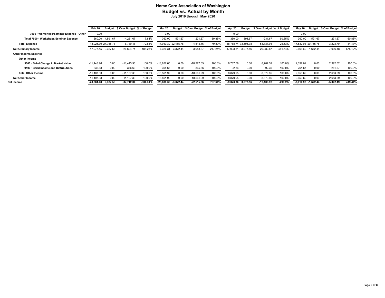|                                          | Feb 20                |          | Budget \$ Over Budget % of Budget |            | <b>Mar 20</b>            |                    | Budget \$ Over Budget % of Budget |         | Apr 20               | Budget   | \$ Over Budget % of Budget |            | <b>May 20</b>           | Budget | \$ Over Budget % of Budget |         |
|------------------------------------------|-----------------------|----------|-----------------------------------|------------|--------------------------|--------------------|-----------------------------------|---------|----------------------|----------|----------------------------|------------|-------------------------|--------|----------------------------|---------|
| 7900 · Workshops/Seminar Expense - Other | 0.00                  |          |                                   |            | 0.00                     |                    |                                   |         | 0.00                 |          |                            |            | 0.00                    |        |                            |         |
| Total 7900 · Workshops/Seminar Expense   | 360.00                | 4.591.67 | $-4.231.67$                       | 7.84%      | 360.00                   | 591.67             | $-231.67$                         | 60.85%  | 360.00               | 591.67   | $-231.67$                  | 60.85%     | 360.00                  | 591.67 | $-231.67$                  | 60.85%  |
| <b>Total Expense</b>                     | 18.025.30 24.755.78   |          | $-6,730.48$                       | 72.81%     |                          | 7.940.32 22.455.78 | $-4,515.46$                       | 79.89%  | 18,768.74 73,505.78  |          | $-54,737.04$               | 25.53%     | 7.532.08 20.755.78      |        | $-3,223.70$                | 84.47%  |
| <b>Net Ordinary Income</b>               | -17,277.15 9,327.56   |          | $-26,604.71$                      | $-185.23%$ | 7,326.31                 | $-3.372.44$        | $-3,953.87$                       | 217.24% | $-17,903.31$         | 3.077.56 | $-20,980.87$               | $-581.74%$ | -9,668.62 -1,672.44     |        | $-7,996.18$                | 578.12% |
| Other Income/Expense                     |                       |          |                                   |            |                          |                    |                                   |         |                      |          |                            |            |                         |        |                            |         |
| Other Income                             |                       |          |                                   |            |                          |                    |                                   |         |                      |          |                            |            |                         |        |                            |         |
| 9000 · Baird Change in Market Value      | -11.443.96            | 0.00     | $-11.443.96$                      | 100.0%     | $-18.927.65$             | 0.00               | $-18,927.65$                      | 100.0%  | 8.787.59             | 0.00     | 8.787.59                   | 100.0%     | 2,392.02                | 0.00   | 2,392.02                   | 100.0%  |
| 9100 · Baird Income and Distributions    | 336.63                | 0.00     | 336.63                            | 100.0%     | 365.66                   | 0.00               | 365.66                            | 100.0%  | 92.36                | 0.00     | 92.36                      | 100.0%     | 261.67                  | 0.00   | 261.67                     | 100.0%  |
| <b>Total Other Income</b>                | $-11,107.33$          | 0.00     | $-11.107.33$                      | 100.0%     | $-18,561.99$             | 0.00               | $-18,561.99$                      | 100.0%  | 8,879.95             | 0.00     | 8,879.95                   | 100.0%     | 2,653.69                | 0.00   | 2,653.69                   | 100.0%  |
| <b>Net Other Income</b>                  | $-11.107.33$          | 0.00     | $-11.107.33$                      | 100.0%     | $-18.561.99$             | 0.00               | $-18,561.99$                      | 100.0%  | 8,879.95             | 0.00     | 8,879.95                   | 100.0%     | 2,653.69                | 0.00   | 2,653.69                   | 100.0%  |
| Net Income                               | $-28,384.48$ 9,327.56 |          | $-37,712.04$                      | $-304.31%$ | $-25,888.30$ $-3,372.44$ |                    | $-22,515.86$                      | 767.64% | $-9,023.36$ 3,077.56 |          | $-12,100.92$               | $-293.2%$  | $-7,014.93$ $-1,672.44$ |        | $-5,342.49$                | 419.44% |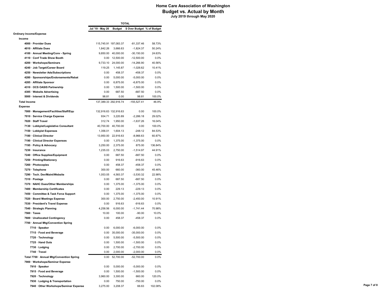|                                           |                       |                     | <b>TOTAL</b>                                       |         |
|-------------------------------------------|-----------------------|---------------------|----------------------------------------------------|---------|
|                                           |                       |                     | Jul '19 - May 20 Budget \$ Over Budget % of Budget |         |
| <b>Ordinary Income/Expense</b>            |                       |                     |                                                    |         |
| Income                                    |                       |                     |                                                    |         |
| 4000 · Provider Dues                      | 115,745.91 197,083.37 |                     | $-81,337.46$                                       | 58.73%  |
| 4010 · Affiliate Dues                     | 1,842.26              | 3,666.63            | $-1,824.37$                                        | 50.24%  |
| 4100 · Annual Meeting/Conv - Spring       |                       | 9,850.00 40,000.00  | $-30, 150.00$                                      | 24.63%  |
| 4110 · Conf Trade Show Booth              | 0.00                  | 12,500.00           | $-12,500.00$                                       | $0.0\%$ |
| 4200 · Workshops/Seminars                 | 9,733.10              | 24,000.00           | $-14,266.90$                                       | 40.56%  |
| 4240 · Job Target/Career Board            | 119.25                | 1,145.87            | $-1,026.62$                                        | 10.41%  |
| 4250 · Newsletter Ads/Subscriptions       | 0.00                  | 458.37              | $-458.37$                                          | 0.0%    |
| 4280 · Sponsorships/Endorsements/Rebat    | 0.00                  | 5,000.00            | $-5,000.00$                                        | 0.0%    |
| 4285 · Affiliate Sponsor                  | 0.00                  | 6,875.00            | $-6,875.00$                                        | 0.0%    |
| 4310 · OCS OASIS Partnership              | 0.00                  | 1,500.00            | $-1,500.00$                                        | 0.0%    |
|                                           |                       |                     |                                                    |         |
| 4385 · Website Advertising                | 0.00                  | 687.50              | $-687.50$                                          | 0.0%    |
| 5000 · Interest & Dividends               | 98.81                 | 0.00                | 98.81                                              | 100.0%  |
| <b>Total Income</b>                       | 137,389.33 292,916.74 |                     | $-155,527.41$                                      | 46.9%   |
| Expense                                   |                       |                     |                                                    |         |
| 7000 · Management/Facilities/Staff/Equ    | 132,916.63 132,916.63 |                     | 0.00                                               | 100.0%  |
| 7010 · Service Charge Expense             | 934.71                | 3,220.89            | $-2,286.18$                                        | 29.02%  |
| 7020 · Staff Travel                       | 312.74                | 1,950.00            | $-1,637.26$                                        | 16.04%  |
| 7130 · Lobbyist/Legislative Consultant    | 40,700.00             | 40,700.00           | 0.00                                               | 100.0%  |
| 7150 · Lobbyist Expenses                  | 1,356.01              | 1,604.13            | $-248.12$                                          | 84.53%  |
| 7180 · Clinical Director                  |                       | 13,950.00 22,916.63 | $-8,966.63$                                        | 60.87%  |
| 7190 · Clinical Director Expenses         | 0.00                  | 1,375.00            | $-1,375.00$                                        | $0.0\%$ |
| 7195 · Policy & Advocacy                  | 3,250.00              | 2,375.00            | 875.00                                             | 136.84% |
| 7230 · Insurance                          | 1,235.03              | 2,750.00            | $-1,514.97$                                        | 44.91%  |
| 7240 · Office Supplies/Equipment          | 0.00                  | 687.50              | $-687.50$                                          | $0.0\%$ |
| 7250 · Printing/Stationery                | 0.00                  | 916.63              | $-916.63$                                          | 0.0%    |
| 7260 · Photocopies                        | 0.00                  | 458.37              | $-458.37$                                          | $0.0\%$ |
| 7270 · Telephone                          | 300.00                | 660.00              | $-360.00$                                          | 45.46%  |
| 7290 · Tech. Dev/Maint/Website            | 1,053.05              | 4,583.37            | $-3,530.32$                                        | 22.98%  |
| 7310 · Postage                            | 0.00                  | 687.50              | $-687.50$                                          | $0.0\%$ |
|                                           |                       |                     |                                                    |         |
| 7370 · NAHC Dues/Other Memberships        | 0.00                  | 1,375.00            | $-1,375.00$                                        | 0.0%    |
| 7400 · Membership Certificates            | 0.00                  | 229.13              | $-229.13$                                          | 0.0%    |
| 7450 · Committee & Task Force Support     | 0.00                  | 1,375.00            | $-1,375.00$                                        | $0.0\%$ |
| 7520 · Board Meetings Expense             | 300.00                | 2,750.00            | $-2,450.00$                                        | 10.91%  |
| 7530 · President's Travel Expense         | 0.00                  | 916.63              | $-916.63$                                          | $0.0\%$ |
| 7540 · Strategic Planning                 | 4,258.56              | 6,000.00            | $-1,741.44$                                        | 70.98%  |
| $7560 \cdot$ Taxes                        | 10.00                 | 100.00              | $-90.00$                                           | 10.0%   |
| 7600 · Unallocated Contingency            | 0.00                  | 458.37              | $-458.37$                                          | $0.0\%$ |
| 7700 · Annual Mtg/Convention Spring       |                       |                     |                                                    |         |
| 7710 · Speaker                            | 0.00                  | 6,000.00            | $-6,000.00$                                        | 0.0%    |
| 7715 · Food and Beverage                  | 0.00                  | 35,000.00           | $-35,000.00$                                       | $0.0\%$ |
| 7720 · Technology                         | 0.00                  | 5,500.00            | $-5,500.00$                                        | 0.0%    |
| 7725 · Hand Outs                          | 0.00                  | 1,500.00            | $-1,500.00$                                        | 0.0%    |
| 7730 · Lodging                            | 0.00                  | 2,700.00            | $-2,700.00$                                        | 0.0%    |
| 7740 · Travel                             | 0.00                  | 2,000.00            | $-2,000.00$                                        | 0.0%    |
| Total 7700 · Annual Mtg/Convention Spring |                       | 0.00 52,700.00      | $-52,700.00$                                       | 0.0%    |
| 7900 · Workshops/Seminar Expense          |                       |                     |                                                    |         |
| 7910 · Speaker                            | 0.00                  | 5,000.00            | $-5,000.00$                                        | 0.0%    |
|                                           |                       |                     |                                                    |         |
| 7915 · Food and Beverage                  | 0.00                  | 1,500.00            | $-1,500.00$                                        | 0.0%    |
| 7920 · Technology                         | 3,960.00              | 3,300.00            | 660.00                                             | 120.0%  |
| 7930 · Lodging & Transportation           | 0.00                  | 750.00              | $-750.00$                                          | 0.0%    |
| 7940 Other Workshops/Seminar Expense      |                       | 3,275.00 3,208.37   | 66.63                                              | 102.08% |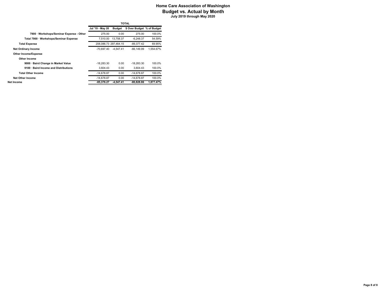|                                          |                  |                       | <b>TOTAL</b>               |           |
|------------------------------------------|------------------|-----------------------|----------------------------|-----------|
|                                          | Jul '19 - May 20 | <b>Budget</b>         | \$ Over Budget % of Budget |           |
| 7900 · Workshops/Seminar Expense - Other | 275.00           | 0.00                  | 275.00                     | 100.0%    |
| Total 7900 · Workshops/Seminar Expense   | 7.510.00         | 13,758.37             | $-6.248.37$                | 54.59%    |
| <b>Total Expense</b>                     |                  | 208.086.73 297.464.15 | -89.377.42                 | 69.95%    |
| <b>Net Ordinary Income</b>               | $-70.697.40$     | $-4.547.41$           | $-66.149.99$               | 1.554.67% |
| <b>Other Income/Expense</b>              |                  |                       |                            |           |
| Other Income                             |                  |                       |                            |           |
| 9000 · Baird Change in Market Value      | $-18.283.30$     | 0.00                  | $-18.283.30$               | 100.0%    |
| 9100 · Baird Income and Distributions    | 3.604.43         | 0.00                  | 3.604.43                   | 100.0%    |
| <b>Total Other Income</b>                | $-14.678.87$     | 0.00                  | $-14.678.87$               | 100.0%    |
| <b>Net Other Income</b>                  | $-14.678.87$     | 0.00                  | $-14.678.87$               | 100.0%    |
| Net Income                               | $-85.376.27$     | $-4.547.41$           | $-80.828.86$               | 1,877.47% |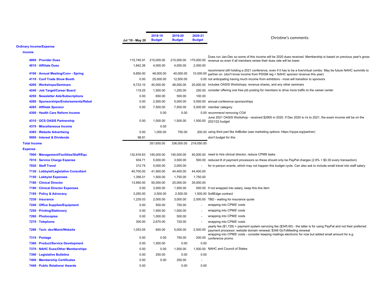|                                                           | Jul '19 - May 20 | 2018-19<br><b>Budget</b> | 2019-20<br><b>Budget</b> | 2020-21<br><b>Budget</b> | Christine's comments                                                                                                                                                                            |
|-----------------------------------------------------------|------------------|--------------------------|--------------------------|--------------------------|-------------------------------------------------------------------------------------------------------------------------------------------------------------------------------------------------|
| <b>Ordinary Income/Expense</b>                            |                  |                          |                          |                          |                                                                                                                                                                                                 |
| <b>Income</b>                                             |                  |                          |                          |                          |                                                                                                                                                                                                 |
|                                                           |                  |                          |                          |                          | Dues run Jan-Dec so some of this income will be 2020 dues received. Membership is based on previous year's gross                                                                                |
| 4000 · Provider Dues                                      | 115,745.91       | 215,000.00               | 215,000.00               | 175,000.00               | revenue so even if all members renew their dues rate will be lower.                                                                                                                             |
| 4010 · Affiliate Dues                                     | 1,842.26         | 4,000.00                 | 4,000.00                 | 2,000.00                 | recommend still holding a 2021 conference, even if it has to be a live/virtual combo. May be future NAHC summits to                                                                             |
| 4100 · Annual Meeting/Conv - Spring                       | 9,850.00         | 48,000.00                | 40,000.00                |                          | 10,000.00 partner on. (don't know income from PDGM reg + NAHC sponsor revenue this year)                                                                                                        |
| 4110 · Conf Trade Show Booth                              | 0.00             | 25,000.00                | 12,500.00                |                          | 0.00 not anticipating having much income from exhibitors - most will transition to sponsors                                                                                                     |
| 4200 · Workshops/Seminars                                 | 9,733.10         | 45.000.00                | 48,000.00                |                          | 20,000.00 includes OASIS Workshops, revenue shares, and any other seminars                                                                                                                      |
| 4240 · Job Target/Career Board                            | 119.25           | 1,500.00                 | 1,250.00                 |                          | 250.00 consider offering one free job posting for members to drive more traffic to the career center                                                                                            |
| 4250 · Newsletter Ads/Subscriptions                       | 0.00             | 650.00                   | 500.00                   | 100.00                   |                                                                                                                                                                                                 |
| 4280 · Sponsorships/Endorsements/Rebat                    | 0.00             | 2,500.00                 | 5,000.00                 |                          | 5,000.00 annual conference sponsorships                                                                                                                                                         |
| 4285 · Affiliate Sponsor                                  | 0.00             | 7,500.00                 | 7,500.00                 |                          | 5,000.00 member category                                                                                                                                                                        |
| 4300 · Health Care Reform Income                          |                  | 0.00                     | 0.00                     |                          | 0.00 recommend removing COA                                                                                                                                                                     |
| 4310 · OCS OASIS Partnership                              | 0.00             | 1,500.00                 | 1,500.00                 |                          | June 2021 OASIS Workshop - received \$2900 in 2020. If Dec 2020 is r/s to 2021, the exam income will be on the                                                                                  |
| 4370 · Miscellaneous Income                               |                  | 0.00                     |                          |                          | 1,500.00 2021/22 budget                                                                                                                                                                         |
|                                                           | 0.00             | 1,000.00                 | 750.00                   |                          | 200.00 using third part like AdButler (see marketing options: https://njcpa.org/partner)                                                                                                        |
| 4385 · Website Advertising<br>5000 · Interest & Dividends | 98.81            |                          |                          |                          |                                                                                                                                                                                                 |
|                                                           |                  |                          |                          |                          | don't budget for this                                                                                                                                                                           |
| <b>Total Income</b>                                       |                  | 351,650.00               | 336,000.00               | 219,050.00               |                                                                                                                                                                                                 |
| <b>Expense</b>                                            |                  |                          |                          |                          |                                                                                                                                                                                                 |
| 7000 · Management/Facilities/Staff/Equ                    | 132,916.63       | 145,000.00               | 145,000.00               |                          | 40,000,00 need to hire clinical director, reduce CPMS tasks                                                                                                                                     |
| 7010 · Service Charge Expense                             | 934.71           | 5,000.00                 | 3,500.00                 |                          | 500.00 reduced # of payment processors so these should only be PayPal charges (2.9% + \$0.30 every transaction)                                                                                 |
| 7020 · Staff Travel                                       | 312.74           | 5,000.00                 | 2,000.00                 |                          | for in-person events, which may not happen this budget cycle. Can also ask to include small travel into staff salary                                                                            |
| 7130 · Lobbyist/Legislative Consultant                    | 40,700.00        | 41,900.00                | 44,400.00                | 44,400.00                |                                                                                                                                                                                                 |
| 7150 · Lobbyist Expenses                                  | 1,356.01         | 1,500.00                 | 1,750.00                 | 1,750.00                 |                                                                                                                                                                                                 |
| 7180 · Clinical Director                                  | 13,950.00        | 50,000.00                | 25,000.00                | 35,000.00                |                                                                                                                                                                                                 |
| 7190 · Clinical Director Expenses                         | 0.00             | 3,000.00                 | 1,500.00                 |                          | 500.00 if not wrapped into salary, keep this line item                                                                                                                                          |
| 7195 · Policy & Advocacy                                  | 3,250.00         | 2,500.00                 | 2,500.00                 |                          | 1,500.00 SoftEdge contract                                                                                                                                                                      |
| 7230 · Insurance                                          | 1,235.03         | 2,000.00                 | 3,000.00                 |                          | 2,500.00 TBD - waiting for insurance quote                                                                                                                                                      |
| 7240 · Office Supplies/Equipment                          | 0.00             | 500.00                   | 750.00                   |                          | wrapping into CPMS' costs                                                                                                                                                                       |
| 7250 · Printing/Stationery                                | 0.00             | 1,500.00                 | 1,000.00                 | ÷                        | wrapping into CPMS' costs                                                                                                                                                                       |
| 7260 · Photocopies                                        | 0.00             | 1,000.00                 | 500.00                   |                          | wrapping into CPMS' costs                                                                                                                                                                       |
| 7270 · Telephone                                          | 300.00           | 2,670.00                 | 720.00                   |                          | wrapping into CPMS' costs                                                                                                                                                                       |
| 7290 · Tech. dev/Maint/Website                            | 1,053.05         | 650.00                   | 5,000.00                 | 2,500.00                 | yearly fee (\$1,728) + payment system servicing fee (\$345.60) - the latter is for using PayPal and not their preferred<br>payment processor; website domain renewal; \$348 GoToMeeting renewal |
| 7310 · Postage                                            | 0.00             | 0.00                     | 750.00                   |                          | wrapping into CPMS' costs - consider keeping mailings electronic for now but added small amount for e.g.<br>200.00 conference promo                                                             |
| 7360 · Product/Service Development                        | 0.00             | 1,500.00                 | 0.00                     | 0.00                     |                                                                                                                                                                                                 |
| 7370 · NAHC Dues/Other Memberships                        | 0.00             | 0.00                     | 1,500.00                 |                          | 1,500.00 NAHC and Council of States                                                                                                                                                             |
| 7390 · Legislative Bulletins                              | 0.00             | 250.00                   | 0.00                     | 0.00                     |                                                                                                                                                                                                 |
| 7400 · Membership Certificates                            | 0.00             | 0.00                     | 250.00                   |                          |                                                                                                                                                                                                 |
| 7440 · Public Relations/ Awards                           | 0.00             |                          | 0.00                     | 0.00                     |                                                                                                                                                                                                 |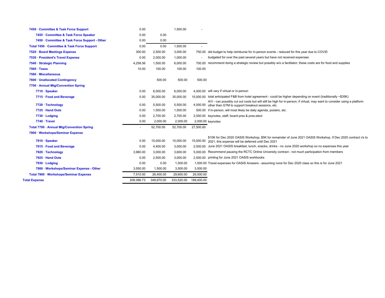|                           | 7450 · Committee & Task Force Support         | 0.00       |            | 1,500.00   |            |                                                                                                                                                                                |
|---------------------------|-----------------------------------------------|------------|------------|------------|------------|--------------------------------------------------------------------------------------------------------------------------------------------------------------------------------|
|                           | 7455 · Committee & Task Force Speaker         | 0.00       | 0.00       |            |            |                                                                                                                                                                                |
|                           | 7450 · Committee & Task Force Support - Other | 0.00       | 0.00       |            |            |                                                                                                                                                                                |
|                           | Total 7450 · Committee & Task Force Support   | 0.00       | 0.00       | 1,500.00   | $\sim$     |                                                                                                                                                                                |
|                           | 7520 · Board Meetings Expense                 | 300.00     | 2,500.00   | 3,000.00   | 750.00     | did budget to help reimburse for in-person events - reduced for this year due to COVID                                                                                         |
|                           | 7530 · President's Travel Expense             | 0.00       | 2,000.00   | 1,000.00   |            | budgeted for over the past several years but have not received expenses                                                                                                        |
|                           | 7540 · Strategic Planning                     | 4,258.56   | 1,500.00   | 6,000.00   | 700.00     | recommend doing a strategic review but possibly w/o a facilitator; these costs are for food and supplies                                                                       |
| $7560 \cdot \text{Taxes}$ |                                               | 10.00      | 100.00     | 100.00     | 100.00     |                                                                                                                                                                                |
| 7580 · Miscellaneous      |                                               |            |            |            |            |                                                                                                                                                                                |
|                           | 7600 · Unallocated Contingency                |            | 500.00     | 500.00     | 500.00     |                                                                                                                                                                                |
|                           | 7700 · Annual Mtg/Convention Spring           |            |            |            |            |                                                                                                                                                                                |
|                           | 7710 · Speaker                                | 0.00       | 6,000.00   | 6,000.00   |            | 4.000.00 will vary if virtual or in-person                                                                                                                                     |
|                           | 7715 · Food and Beverage                      | 0.00       | 35,000.00  | 35,000.00  |            | 15,000,00 total anticipated F&B from hotel agreement - could be higher depending on event (traditionally ~\$35K)                                                               |
|                           | 7720 · Technology                             | 0.00       | 5,500.00   | 5,500.00   | 4,000.00   | A/V - can possibly cut out costs but will still be high for in-person; if virtual, may want to consider using a platform<br>other than GTM to support breakout sessions, etc.  |
|                           | 7725 · Hand Outs                              | 0.00       | 1,500.00   | 1,500.00   |            | 500.00 if in-person, will most likely be daily agenda, posters, etc.                                                                                                           |
|                           | 7730 · Lodging                                | 0.00       | 2,700.00   | 2,700.00   |            | 2.000.00 keynotes, staff, board pres & pres-elect                                                                                                                              |
|                           | $7740 \cdot$ Travel                           | 0.00       | 2,000.00   | 2,000.00   |            | 2,000.00 keynotes                                                                                                                                                              |
|                           | Total 7700 · Annual Mtg/Convention Spring     |            | 52,700.00  | 52,700.00  | 27,500.00  |                                                                                                                                                                                |
|                           | 7900 · Workshops/Seminar Expense              |            |            |            |            |                                                                                                                                                                                |
|                           | 7910 · Speaker                                | 0.00       | 15,000.00  | 15,000.00  |            | \$10K for Dec 2020 OASIS Workshop, \$5K for remainder of June 2021 OASIS Workshop. If Dec 2020 contract r/s to<br>15,000.00 2021, this expense will be deferred until Dec 2021 |
|                           | 7915 · Food and Beverage                      | 0.00       | 4,400.00   | 3,000.00   |            | 2.000.00 June 2021 OASIS breakfast, lunch, snacks, drinks - no June 2020 workshop so no expenses this year                                                                     |
|                           | 7920 · Technology                             | 3,960.00   | 3,000.00   | 3,600.00   |            | 5,000.00 Recommend pausing the RCTC Online University contract - not much participation from members                                                                           |
|                           | 7925 · Hand Outs                              | 0.00       | 2,500.00   | 3,000.00   |            | 2,500.00 printing for June 2021 OASIS workbooks                                                                                                                                |
|                           | 7930 · Lodging                                | 0.00       | 0.00       | 1,500.00   |            | 1,500.00 Travel expenses for OASIS Answers - assuming none for Dec 2020 class so this is for June 2021                                                                         |
|                           | 7900 · Workshops/Seminar Expense - Other      | 3,550.00   | 1,500.00   | 3,500.00   | 3,500.00   |                                                                                                                                                                                |
|                           | Total 7900 · Workshops/Seminar Expense        | 7,510.00   | 26,400.00  | 29,600.00  | 29,500.00  |                                                                                                                                                                                |
| <b>Total Expense</b>      |                                               | 208,086.73 | 349,670.00 | 333,520.00 | 189,400.00 |                                                                                                                                                                                |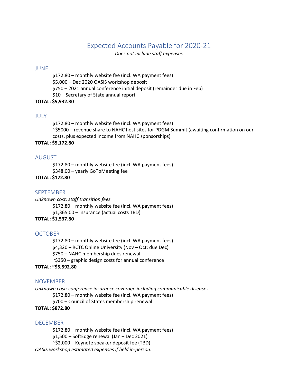## Expected Accounts Payable for 2020‐21

*Does not include staff expenses*

## JUNE

\$172.80 – monthly website fee (incl. WA payment fees) \$5,000 – Dec 2020 OASIS workshop deposit \$750 – 2021 annual conference initial deposit (remainder due in Feb) \$10 – Secretary of State annual report

## **TOTAL: \$5,932.80**

## JULY

\$172.80 – monthly website fee (incl. WA payment fees) ~\$5000 – revenue share to NAHC host sites for PDGM Summit (awaiting confirmation on our costs, plus expected income from NAHC sponsorships)

## **TOTAL: \$5,172.80**

## AUGUST

\$172.80 – monthly website fee (incl. WA payment fees) \$348.00 – yearly GoToMeeting fee

## **TOTAL: \$172.80**

## SEPTEMBER

*Unknown cost: staff transition fees* \$172.80 – monthly website fee (incl. WA payment fees) \$1,365.00 – Insurance (actual costs TBD) **TOTAL: \$1,537.80**

## **OCTOBER**

\$172.80 – monthly website fee (incl. WA payment fees) \$4,320 – RCTC Online University (Nov – Oct; due Dec) \$750 – NAHC membership dues renewal  $\sim$ \$350 – graphic design costs for annual conference

## **TOTAL: ~\$5,592.80**

## NOVEMBER

*Unknown cost: conference insurance coverage including communicable diseases*

\$172.80 – monthly website fee (incl. WA payment fees)

\$700 – Council of States membership renewal

## **TOTAL: \$872.80**

## DECEMBER

\$172.80 – monthly website fee (incl. WA payment fees) \$1,500 – SoftEdge renewal (Jan – Dec 2021) ~\$2,000 – Keynote speaker deposit fee (TBD) *OASIS workshop estimated expenses if held in‐person:*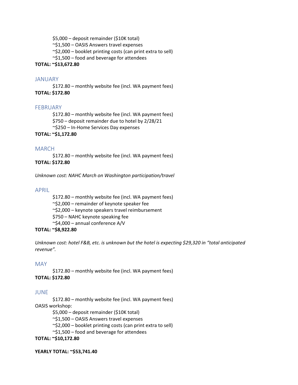\$5,000 – deposit remainder (\$10K total)

~\$1,500 – OASIS Answers travel expenses

 $\sim$ \$2,000 – booklet printing costs (can print extra to sell)

~\$1,500 – food and beverage for attendees

## **TOTAL: ~\$13,672.80**

## JANUARY

\$172.80 – monthly website fee (incl. WA payment fees) **TOTAL: \$172.80**

## FEBRUARY

\$172.80 – monthly website fee (incl. WA payment fees) \$750 – deposit remainder due to hotel by 2/28/21 ~\$250 – In‐Home Services Day expenses

## **TOTAL: ~\$1,172.80**

## MARCH

\$172.80 – monthly website fee (incl. WA payment fees) **TOTAL: \$172.80**

*Unknown cost: NAHC March on Washington participation/travel*

## APRIL

\$172.80 – monthly website fee (incl. WA payment fees) ~\$2,000 – remainder of keynote speaker fee ~\$2,000 – keynote speakers travel reimbursement \$750 – NAHC keynote speaking fee ~\$4,000 – annual conference A/V

## **TOTAL: ~\$8,922.80**

*Unknown cost: hotel F&B, etc. is unknown but the hotel is expecting \$29,320 in "total anticipated revenue".* 

## MAY

\$172.80 – monthly website fee (incl. WA payment fees) **TOTAL: \$172.80**

## JUNE

\$172.80 – monthly website fee (incl. WA payment fees) OASIS workshop:

\$5,000 – deposit remainder (\$10K total)

~\$1,500 – OASIS Answers travel expenses

 $\sim$ \$2,000 – booklet printing costs (can print extra to sell)

~\$1,500 – food and beverage for attendees

**TOTAL: ~\$10,172.80**

**YEARLY TOTAL: ~\$53,741.40**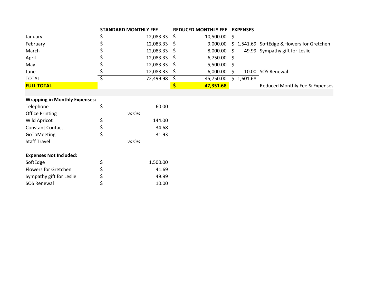|                   | <b>STANDARD MONTHLY FEE</b> |                | <b>REDUCED MONTHLY FEE EXPENSES</b> |               |     |            |                                            |
|-------------------|-----------------------------|----------------|-------------------------------------|---------------|-----|------------|--------------------------------------------|
| January           |                             | 12,083.33      | S                                   | 10,500.00     |     |            |                                            |
| February          |                             | 12,083.33      | -S                                  | 9,000.00      |     |            | \$1,541.69 SoftEdge & flowers for Gretchen |
| March             |                             | $12,083.33$ \$ |                                     | $8,000.00$ \$ |     |            | 49.99 Sympathy gift for Leslie             |
| April             |                             | $12,083.33$ \$ |                                     | 6,750.00      | - S |            |                                            |
| May               |                             | 12,083.33      | -S                                  | 5,500.00      |     |            |                                            |
| June              |                             | 12,083.33      | <sub>S</sub>                        | 6,000.00      |     |            | 10.00 SOS Renewal                          |
| <b>TOTAL</b>      |                             | 72,499.98      |                                     | 45,750.00     |     | \$1,601.68 |                                            |
| <b>FULL TOTAL</b> |                             |                |                                     | 47,351.68     |     |            | Reduced Monthly Fee & Expenses             |

## **Wrapping in Monthly Expenses:**

| Telephone               |    | 60.00  |
|-------------------------|----|--------|
| <b>Office Printing</b>  |    | varies |
| <b>Wild Apricot</b>     | \$ | 144.00 |
| <b>Constant Contact</b> | \$ | 34.68  |
| GoToMeeting             | Ś  | 31.93  |
| <b>Staff Travel</b>     |    | varies |

## **Expenses Not Included:**

| SoftEdge                 | 1.500.00 |
|--------------------------|----------|
| Flowers for Gretchen     | 41.69    |
| Sympathy gift for Leslie | 49.99    |
| <b>SOS Renewal</b>       | 10.00    |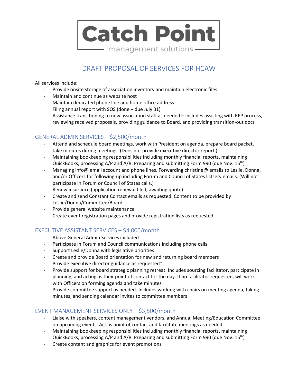

## DRAFT PROPOSAL OF SERVICES FOR HCAW

All services include:

- ‐ Provide onsite storage of association inventory and maintain electronic files
- ‐ Maintain and continue as website host
- ‐ Maintain dedicated phone line and home office address Filing annual report with SOS (done – due July 31)
- ‐ Assistance transitioning to new association staff as needed includes assisting with RFP process, reviewing received proposals, providing guidance to Board, and providing transition‐out docs

## GENERAL ADMIN SERVICES – \$2,500/month

- ‐ Attend and schedule board meetings, work with President on agenda, prepare board packet, take minutes during meetings. (Does not provide executive director report.)
- ‐ Maintaining bookkeeping responsibilities including monthly financial reports, maintaining QuickBooks, processing  $A/P$  and  $A/R$ . Preparing and submitting Form 990 (due Nov.  $15<sup>th</sup>$ )
- ‐ Managing info@ email account and phone lines. Forwarding christine@ emails to Leslie, Donna, and/or Officers for following-up including Forum and Council of States listserv emails. (Will not participate in Forum or Council of States calls.)
- Renew insurance (application renewal filed, awaiting quote)
- ‐ Create and send Constant Contact emails as requested. Content to be provided by Leslie/Donna/Committee/Board
- ‐ Provide general website maintenance
- ‐ Create event registration pages and provide registration lists as requested

## EXECUTIVE ASSISTANT SERVICES – \$4,000/month

- ‐ Above General Admin Services included
- ‐ Participate in Forum and Council communications including phone calls
- ‐ Support Leslie/Donna with legislative priorities
- ‐ Create and provide Board orientation for new and returning board members
- Provide executive director guidance as requested\*
- ‐ Provide support for board strategic planning retreat. Includes sourcing facilitator, participate in planning, and acting as their point of contact for the day. If no facilitator requested, will work with Officers on forming agenda and take minutes
- ‐ Provide committee support as needed. Includes working with chairs on meeting agenda, taking minutes, and sending calendar invites to committee members

## EVENT MANAGEMENT SERVICES ONLY – \$3,500/month

- ‐ Liaise with speakers, content management vendors, and Annual Meeting/Education Committee on upcoming events. Act as point of contact and facilitate meetings as needed
- ‐ Maintaining bookkeeping responsibilities including monthly financial reports, maintaining QuickBooks, processing A/P and A/R. Preparing and submitting Form 990 (due Nov. 15th)
- ‐ Create content and graphics for event promotions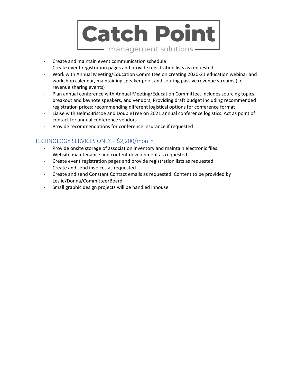

- ‐ Create and maintain event communication schedule
- ‐ Create event registration pages and provide registration lists as requested
- ‐ Work with Annual Meeting/Education Committee on creating 2020‐21 education webinar and workshop calendar, maintaining speaker pool, and souring passive revenue streams (i.e. revenue sharing events)
- ‐ Plan annual conference with Annual Meeting/Education Committee. Includes sourcing topics, breakout and keynote speakers, and vendors; Providing draft budget including recommended registration prices; recommending different logistical options for conference format
- ‐ Liaise with HelmsBriscoe and DoubleTree on 2021 annual conference logistics. Act as point of contact for annual conference vendors
- ‐ Provide recommendations for conference insurance if requested

## TECHNOLOGY SERVICES ONLY – \$2,200/month

- ‐ Provide onsite storage of association inventory and maintain electronic files.
- ‐ Website maintenance and content development as requested
- ‐ Create event registration pages and provide registration lists as requested.
- ‐ Create and send invoices as requested
- ‐ Create and send Constant Contact emails as requested. Content to be provided by Leslie/Donna/Committee/Board
- ‐ Small graphic design projects will be handled inhouse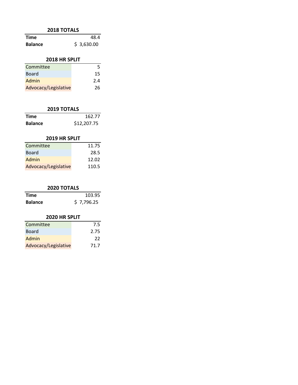## **2018 TOTALS**

| <b>Time</b>    | 48.4       |
|----------------|------------|
| <b>Balance</b> | \$3,630.00 |

## **2018 HR SPLIT**

| Committee            | ↳   |
|----------------------|-----|
| <b>Board</b>         | 15  |
| Admin                | 7.4 |
| Advocacy/Legislative | 26  |

## **2019 TOTALS**

| Time           | 162.77      |
|----------------|-------------|
| <b>Balance</b> | \$12,207.75 |

## **2019 HR SPLIT**

| 11.75                         |
|-------------------------------|
| 28.5                          |
| 12.02                         |
| Advocacy/Legislative<br>110.5 |
|                               |

## **2020 TOTALS**

| <b>Time</b>    | 103.95     |
|----------------|------------|
| <b>Balance</b> | \$7,796.25 |

## **2020 HR SPLIT**

| Committee            | 7.5  |
|----------------------|------|
| <b>Board</b>         | 2.75 |
| Admin                | 22   |
| Advocacy/Legislative | 71.7 |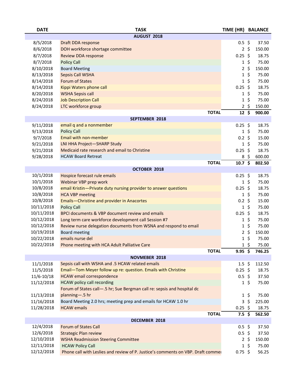| <b>DATE</b>    | <b>TASK</b>                                                                      | TIME (HR) BALANCE    |             |        |
|----------------|----------------------------------------------------------------------------------|----------------------|-------------|--------|
|                | AUGUST 2018                                                                      |                      |             |        |
| 8/5/2018       | Draft DDA response                                                               | $0.5 \; \text{S}$    |             | 37.50  |
| 8/6/2018       | DOH workforce shortage committee                                                 |                      | $2 \;$ \$   | 150.00 |
| 8/7/2018       | <b>Review DDA response</b>                                                       | $0.25$ \$            |             | 18.75  |
| 8/7/2018       | <b>Policy Call</b>                                                               |                      | $1\sqrt{5}$ | 75.00  |
| 8/10/2018      | <b>Board Meeting</b>                                                             |                      | $2\sqrt{5}$ | 150.00 |
| 8/13/2018      | Sepsis Call WSHA                                                                 |                      | $1\sqrt{5}$ | 75.00  |
| 8/14/2018      | <b>Forum of States</b>                                                           |                      | $1\sqrt{5}$ | 75.00  |
| 8/14/2018      | Kippi Waters phone call                                                          | $0.25$ \$            |             | 18.75  |
| 8/20/2018      | <b>WSHA Sepsis call</b>                                                          |                      | $1\sqrt{5}$ | 75.00  |
| 8/24/2018      | <b>Job Description Call</b>                                                      |                      | $1\sqrt{5}$ | 75.00  |
| 8/24/2018      | LTC workforce group                                                              |                      | $2 \;$ \$   | 150.00 |
|                | <b>TOTAL</b>                                                                     | $12 \text{ }$        |             | 900.00 |
|                | <b>SEPTEMBER 2018</b>                                                            |                      |             |        |
| 9/11/2018      | email q and a nonmember                                                          | $0.25$ \$            |             | 18.75  |
| 9/13/2018      | <b>Policy Call</b>                                                               |                      | $1\sqrt{5}$ | 75.00  |
| 9/7/2018       | <b>Email with non-member</b>                                                     | $0.2 \; \xi$         |             | 15.00  |
| 9/21/2018      | LNI HHA Project-SHARP Study                                                      |                      | $1\;$ \$    | 75.00  |
| 9/21/2018      | Medicaid rate research and email to Christine                                    | $0.25$ \$            |             | 18.75  |
| 9/28/2018      | <b>HCAW Board Retreat</b>                                                        |                      | 8\$         | 600.00 |
|                | <b>TOTAL</b>                                                                     | 10.7 <sup>5</sup>    |             | 802.50 |
|                | OCTOBER 2018                                                                     |                      |             |        |
| 10/1/2018      | Hospice forecast rule emails                                                     | $0.25$ \$            |             | 18.75  |
| 10/1/2018      | Webinar VBP prep work                                                            |                      | $1\,$ \$    | 75.00  |
| 10/8/2018      | email Kristin-Private duty nursing provider to answer questions                  | $0.25$ \$            |             | 18.75  |
| 10/8/2018      | <b>HCA VBP meeting</b>                                                           |                      | $1\sqrt{5}$ | 75.00  |
| 10/8/2018      | Emails-Christine and provider in Anacortes                                       | $0.2 \;$ \$          |             | 15.00  |
| 10/11/2018     | <b>Policy Call</b>                                                               |                      | $1\;$ \$    | 75.00  |
| 10/11/2018     | BPCI documents & VBP document review and emails                                  | $0.25$ \$            |             | 18.75  |
| 10/12/2018     | Long term care workforce development call Session #7                             |                      | $1\sqrt{5}$ | 75.00  |
| 10/12/2018     | Review nurse delegation documents from WSNA and respond to email                 |                      | $1\,$ \$    | 75.00  |
| 10/19/2018     | <b>Board meeting</b>                                                             |                      | $2\sqrt{5}$ | 150.00 |
| 10/22/2018     | emails nurse del                                                                 | $\mathbf{1}$         | $\zeta$     | 75.00  |
| 10/22/2018     | Phone meeting with HCA Adult Palliative Care                                     |                      | $1\;$ \$    | 75.00  |
|                | <b>TOTAL</b>                                                                     | $9.95$ \$            |             | 746.25 |
|                | NOVMEBER 2018                                                                    |                      |             |        |
| 11/1/2018      | Sepsis call with WSHA and .5 HCAW related emails                                 | $1.5 \;$ \$          |             | 112.50 |
| 11/5/2018      | Email-Tom Meyer follow up re: question. Emails with Christine                    | $0.25$ \$            |             | 18.75  |
| $11/6 - 10/18$ | <b>HCAW</b> email correspondence                                                 | $0.5$ \$             |             | 37.50  |
| 11/12/2018     | <b>HCAW</b> policy call recording                                                |                      | $1\;$ \$    | 75.00  |
|                | Forum of States call-.5 hr; Sue Bergman call re: sepsis and hospital dc          |                      |             |        |
| 11/13/2018     | planning-.5 hr                                                                   |                      | $1\;$ \$    | 75.00  |
| 11/16/2018     | Board Meeting 2.0 hrs; meeting prep and emails for HCAW 1.0 hr                   |                      | $3\sqrt{5}$ | 225.00 |
| 11/28/2018     | <b>HCAW</b> emails                                                               | $0.25$ \$            |             | 18.75  |
|                | <b>TOTAL</b>                                                                     | $7.5\ \overline{\$}$ |             | 562.50 |
|                | DECEMBER 2018                                                                    |                      |             |        |
| 12/4/2018      | <b>Forum of States Call</b>                                                      | $0.5$ \$             |             | 37.50  |
| 12/6/2018      | <b>Strategic Plan review</b>                                                     | $0.5$ \$             |             | 37.50  |
| 12/10/2018     | <b>WSHA Readmission Steering Committee</b>                                       |                      | $2 \;$ \$   | 150.00 |
| 12/11/2018     | <b>HCAW Policy Call</b>                                                          |                      | $1\;$ \$    | 75.00  |
| 12/12/2018     | Phone call with Leslies and review of P. Justice's comments on VBP. Draft commer | $0.75$ \$            |             | 56.25  |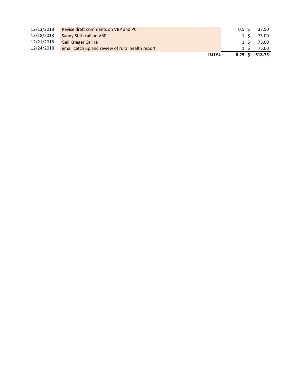| 12/13/2018 | Revise draft comments on VBP and PC              | 0.5 S   | 37.50 |
|------------|--------------------------------------------------|---------|-------|
| 12/18/2018 | Sandy Stith call on VBP                          | $1\,$ S | 75.00 |
| 12/21/2018 | <b>Gail Krieger Call re</b>                      | 1 S     | 75.00 |
| 12/24/2018 | email catch up and review of rural health report | 1 S     | 75.00 |
|            | <b>TOTAL</b>                                     |         |       |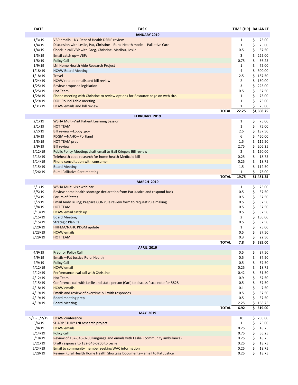| <b>DATE</b>    | <b>TASK</b>                                                                                                               | TIME (HR) BALANCE   |               |
|----------------|---------------------------------------------------------------------------------------------------------------------------|---------------------|---------------|
|                | <b>JANUARY 2019</b>                                                                                                       |                     |               |
| 1/3/19         | VBP emails-NY Dept of Health DSRIP review                                                                                 | $\mathbf{1}$        | \$<br>75.00   |
| 1/4/19         | Discussion with Leslie, Pat, Christine-Rural Health model-Palliative Care                                                 | $\mathbf{1}$        | \$<br>75.00   |
| 1/4/19         | Check in call VBP with Greg, Christine, Marilou, Leslie                                                                   | 0.5                 | \$<br>37.50   |
| 1/5/19         | Email catch up-VBP;                                                                                                       | 3                   | \$<br>225.00  |
| 1/8/19         | <b>Policy Call</b>                                                                                                        | 0.75                | \$<br>56.25   |
| 1/9/19         | LNI Home Health Aide Research Project                                                                                     | $\mathbf{1}$        | \$<br>75.00   |
| 1/18/19        | <b>HCAW Board Meeting</b>                                                                                                 | 4                   | \$<br>300.00  |
| 1/18/19        | <b>Travel</b>                                                                                                             | 2.5                 | \$<br>187.50  |
| 1/24/19        | <b>HCAW</b> related emails and bill review                                                                                | $\overline{2}$      | \$<br>150.00  |
| 1/25/19        | Review proposed legislation                                                                                               | 3                   | \$<br>225.00  |
| 1/25/19        | <b>Hot Team</b>                                                                                                           | 0.5                 | \$<br>37.50   |
| 1/28/19        | Phone meeting with Christine to review options for Resource page on web site.                                             | $\mathbf{1}$        | \$<br>75.00   |
| 1/29/19        | <b>DOH Round Table meeting</b>                                                                                            | $\mathbf{1}$        | \$<br>75.00   |
| 1/31/19        | <b>HCAW</b> emails and bill review                                                                                        | $\mathbf{1}$        | \$<br>75.00   |
|                | <b>TOTAL</b>                                                                                                              | 22.25               | \$1,668.75    |
|                | <b>FEBRUARY 2019</b>                                                                                                      |                     |               |
| 2/1/19         | <b>WSHA Multi-Visit Patient Learning Session</b>                                                                          | $\mathbf{1}$        | \$<br>75.00   |
| 2/1/19         | <b>HOT TEAM</b>                                                                                                           | $\mathbf{1}$        | \$<br>75.00   |
| 2/2/19         | Bill review-Lobby .gov                                                                                                    | 2.5                 | \$<br>187.50  |
| 2/6/19         | PDGM-NAHC-Portland                                                                                                        | 6                   | \$<br>450.00  |
| 2/8/19         | <b>HOT TEAM prep</b>                                                                                                      | 1.5                 | \$.<br>112.50 |
| 2/9/19         | <b>Bill review</b>                                                                                                        | 2.75                | 206.25<br>\$  |
| 2/12/19        |                                                                                                                           | $\overline{2}$      | \$<br>150.00  |
|                | Public Policy Meeting; draft email to Gail Krieger; Bill review<br>Telehealth code research for home health Medicaid bill |                     |               |
| 2/13/19        |                                                                                                                           | 0.25                | \$<br>18.75   |
| 2/14/19        | Phone consultation with consumer                                                                                          | 0.25                | \$<br>18.75   |
| 2/15/19        | <b>Board Meeting</b>                                                                                                      | 1.5                 | \$<br>112.50  |
| 2/26/19        | <b>Rural Palliative Care meeting</b>                                                                                      | $\mathbf{1}$        | \$<br>75.00   |
|                | <b>TOTAL</b><br><b>MARCH 2019</b>                                                                                         | 19.75               | \$1,481.25    |
| 3/1/19         | WSHA Multi-visit webinar                                                                                                  |                     | \$<br>75.00   |
|                |                                                                                                                           | $\mathbf{1}$<br>0.5 | \$<br>37.50   |
| 3/5/19         | Review home health shortage declaration from Pat Justice and respond back<br>Forum of States                              |                     |               |
| 3/5/19         |                                                                                                                           | 0.5                 | \$<br>37.50   |
| 3/7/19         | Email Andy Billing; Prepare CON rule review form to request rule making                                                   | 0.5                 | \$<br>37.50   |
| 3/8/19         | <b>HOT TEAM</b>                                                                                                           | 0.5                 | \$<br>37.50   |
| 3/13/19        | HCAW email catch up                                                                                                       | 0.5                 | \$<br>37.50   |
| 3/15/19        | <b>Board Meeting</b>                                                                                                      | $\overline{2}$      | \$<br>150.00  |
| 3/15/19        | <b>Strategic Plan Call</b>                                                                                                | 0.5                 | \$<br>37.50   |
| 3/20/19        | HHFMA/NAHC PDGM update                                                                                                    | $\mathbf{1}$        | \$<br>75.00   |
| 3/23/19        | <b>HCAW</b> emails                                                                                                        | 0.5                 | \$<br>37.50   |
| 3/29/19        | <b>HOT TEAM</b>                                                                                                           | 0.3                 | \$<br>22.50   |
|                | <b>TOTAL</b>                                                                                                              | 7.8                 | \$<br>585.00  |
|                | <b>APRIL 2019</b>                                                                                                         |                     |               |
| 4/9/19         | Prep for Policy Call                                                                                                      | 0.5                 | \$<br>37.50   |
| 4/9/19         | Emails-Pat Justice Rural Health                                                                                           | 0.5                 | \$<br>37.50   |
| 4/9/19         | <b>Policy Call</b>                                                                                                        | 0.5                 | \$<br>37.50   |
| 4/12/19        | <b>HCAW</b> email                                                                                                         | 0.25                | \$<br>18.75   |
| 4/12/19        | Performance eval call with Christine                                                                                      | 0.42                | \$<br>31.50   |
| 4/12/19        | <b>Hot Team</b>                                                                                                           | 0.9                 | \$<br>67.50   |
| 4/15/19        | Conference call with Leslie and state person (Carl) to discuss fiscal note for 5828                                       | 0.5                 | \$<br>37.50   |
| 4/18/19        | <b>HCAW</b> emails                                                                                                        | 0.1                 | \$<br>7.50    |
| 4/19/19        | Emails and review of overtime bill with responses                                                                         | 0.5                 | \$<br>37.50   |
| 4/19/19        | Board meeting prep                                                                                                        | 0.5                 | \$<br>37.50   |
| 4/19/19        | <b>Board Meeting</b>                                                                                                      | 2.25                | \$<br>168.75  |
|                | <b>TOTAL</b>                                                                                                              | 6.92                | \$.<br>519.00 |
|                | <b>MAY 2019</b>                                                                                                           |                     |               |
| $5/1 - 5/2/19$ | <b>HCAW</b> conference                                                                                                    | 10                  | \$750.00      |
| 5/6/19         | <b>SHARP STUDY LNI research project</b>                                                                                   | $\mathbf{1}$        | \$<br>75.00   |
| 5/8/19         | <b>HCAW</b> emails                                                                                                        | 0.25                | \$<br>18.75   |
| 5/14/19        | Policy call                                                                                                               | 0.75                | \$<br>56.25   |
| 5/18/19        | Review of 182-546-0200 language and emails with Leslie (community ambulance)                                              | 0.25                | \$<br>18.75   |
| 5/21/19        | Draft response to 182-546-0200 to Leslie                                                                                  | 0.25                | \$<br>18.75   |
| 5/24/19        | Email to community member seeking WAC information                                                                         | 0.25                | \$<br>18.75   |
| 5/28/19        | Review Rural Health Home Health Shortage Documents-email to Pat Justice                                                   | 0.25                | \$<br>18.75   |
|                |                                                                                                                           |                     |               |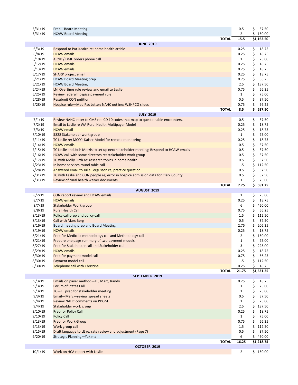| 5/31/19 | Prep-Board Meeting                                                                   |              | 0.5            | \$<br>37.50            |
|---------|--------------------------------------------------------------------------------------|--------------|----------------|------------------------|
| 5/31/19 | <b>HCAW Board Meeting</b>                                                            |              | $\overline{2}$ | \$<br>150.00           |
|         |                                                                                      | <b>TOTAL</b> | 15.5           | \$1,162.50             |
|         | <b>JUNE 2019</b>                                                                     |              |                |                        |
| 6/3/19  | Respond to Pat Justice re: home health article                                       |              | 0.25           | \$<br>18.75            |
| 6/8/19  | <b>HCAW</b> emails                                                                   |              | 0.25           | \$<br>18.75            |
| 6/10/19 | ARNP / DME orders phone call                                                         |              | $\mathbf{1}$   | \$<br>75.00            |
| 6/12/19 | <b>HCAW</b> emails                                                                   |              | 0.25           | \$<br>18.75            |
| 6/13/19 | <b>HCAW</b> emails                                                                   |              | 0.25           | \$<br>18.75            |
| 6/17/19 | SHARP project email                                                                  |              | 0.25           | \$<br>18.75            |
| 6/21/19 | <b>HCAW Board Meeting prep</b>                                                       |              | 0.75           | \$<br>56.25            |
| 6/21/19 | <b>HCAW Board Meeting</b>                                                            |              | 2.5            | \$<br>187.50           |
|         |                                                                                      |              |                |                        |
| 6/24/19 | LNI Overtime rule review and email to Leslie                                         |              | 0.75           | \$<br>56.25            |
| 6/25/19 | Review federal hospice payment rule                                                  |              | $\mathbf{1}$   | \$<br>75.00            |
| 6/28/19 | <b>Resubmit CON petition</b>                                                         |              | 0.5            | \$<br>37.50            |
| 6/28/19 | Hospice rule-Med Pac Letter; NAHC outline; WSHPCO slides                             |              | 0.75           | \$<br>56.25            |
|         |                                                                                      | <b>TOTAL</b> | 8.5            | \$637.50               |
|         | <b>JULY 2019</b>                                                                     |              |                |                        |
| 7/1/19  | Review NAHC letter to CMS re: ICD 10 codes that map to questionable encounters.      |              | 0.5            | \$<br>37.50            |
| 7/2/19  | Email to Leslie re WA Rural Health Multipayer Model                                  |              | 0.25           | \$<br>18.75            |
| 7/3/19  | <b>HCAW</b> email                                                                    |              | 0.25           | \$<br>18.75            |
| 7/10/19 | 5828 Stakeholder work group                                                          |              | $\mathbf{1}$   | \$<br>75.00            |
| 7/11/19 | TC Leslie re: MCO's Kaiser Model for remote monitoring                               |              | 0.25           | \$<br>18.75            |
| 7/14/19 | <b>HCAW</b> emails                                                                   |              | 0.5            | \$<br>37.50            |
| 7/15/19 | TC Leslie and Josh Morris to set up next stakeholder meeting; Respond to HCAW emails |              | 0.5            | \$<br>37.50            |
| 7/16/19 | HCAW call with some directors re: stakeholder work group                             |              | 0.5            | \$<br>37.50            |
| 7/17/19 | TC with Molly Firth re: research topics in home health                               |              | 0.5            | \$<br>37.50            |
| 7/23/19 | In home services round table call                                                    |              | 1.5            | \$<br>112.50           |
| 7/28/19 | Answered email to Julie Fergusson re; practice question                              |              | 0.5            | \$<br>37.50            |
| 7/31/19 | TC with Leslie and CON people re; error in hospice admission data for Clark County   |              | 0.5            | \$<br>37.50            |
| 7/31/19 | Review of rural health waiver documents                                              |              | $\mathbf{1}$   | \$<br>75.00            |
|         |                                                                                      | <b>TOTAL</b> | 7.75           | \$<br>581.25           |
|         | AUGUST 2019                                                                          |              |                |                        |
| 8/2/19  | CON report review and HCAW emails                                                    |              | $\mathbf{1}$   | \$<br>75.00            |
| 8/7/19  | <b>HCAW</b> emails                                                                   |              | 0.25           | \$<br>18.75            |
| 8/7/19  | Stakeholder Work group                                                               |              | 6              | \$<br>450.00           |
| 8/8/19  | <b>Rural Health Call</b>                                                             |              | 0.75           | \$<br>56.25            |
|         |                                                                                      |              |                | \$<br>112.50           |
| 8/13/19 | Policy call prep and policy call                                                     |              | 1.5            |                        |
| 8/13/19 | <b>Call with Marc Berg</b>                                                           |              | 0.5            | \$<br>37.50            |
| 8/16/19 | Board meeting prep and Board Meeting                                                 |              | 2.75           | \$<br>206.25           |
| 8/19/19 | <b>HCAW</b> emails                                                                   |              | 0.25           | \$<br>18.75            |
| 8/21/19 | Prep for Medicaid methodology call and Methodology call                              |              | $\overline{2}$ | \$<br>150.00           |
| 8/21/19 | Prepare one page summary of two payment models                                       |              | $\mathbf 1$    | \$<br>75.00            |
| 8/27/19 | Prep for Stakeholder call and Stakeholder call                                       |              | 3              | \$<br>225.00           |
| 8/29/19 | <b>HCAW</b> emails                                                                   |              | 0.25           | \$<br>18.75            |
| 8/30/19 | Prep for payment model call                                                          |              | 0.75           | \$<br>56.25            |
| 8/30/19 | Payment model call                                                                   |              | 1.5            | \$<br>112.50           |
| 8/30/19 | <b>Telephone call with Christine</b>                                                 |              | 0.25           | \$<br>18.75            |
|         |                                                                                      | <b>TOTAL</b> | 21.75          | $\overline{$}3,631.25$ |
|         | SEPTEMBER 2019                                                                       |              |                |                        |
| 9/3/19  | Emails on payer method-LE; Marc, Randy                                               |              | 0.25           | \$<br>18.75            |
| 9/3/19  | Forum of States Call                                                                 |              | $\mathbf{1}$   | \$<br>75.00            |
| 9/3/19  | TC-LE prep for stakeholder meeting                                                   |              | $\mathbf{1}$   | \$<br>75.00            |
| 9/3/19  | Email-Marc-review spread sheets                                                      |              | 0.5            | \$<br>37.50            |
| 9/4/19  | <b>Review NAHC comments on PDGM</b>                                                  |              | $\mathbf{1}$   | \$<br>75.00            |
| 9/4/19  | Stakeholder work group                                                               |              | 2.5            | \$<br>187.50           |
| 9/10/19 | Prep for Policy Call                                                                 |              | 0.25           | \$<br>18.75            |
| 9/10/19 | <b>Policy Call</b>                                                                   |              | $\mathbf{1}$   | \$<br>75.00            |
|         | <b>Prep for Work Group</b>                                                           |              | 0.75           |                        |
| 9/13/19 |                                                                                      |              |                | \$<br>56.25            |
| 9/13/19 |                                                                                      |              |                |                        |
| 9/15/19 | Work group call                                                                      |              | 1.5            | \$<br>112.50           |
|         | Draft language to LE re: rate review and adjustment (Page 7)                         |              | 0.5            | \$<br>37.50            |
| 9/20/19 | Strategic Planning-Yakima                                                            |              | 6              | \$<br>450.00           |
|         |                                                                                      | <b>TOTAL</b> | 16.25          | \$1,218.75             |
| 10/1/19 | OCTOBER 2019<br>Work on HCA report with Leslie                                       |              | $\overline{2}$ | \$150.00               |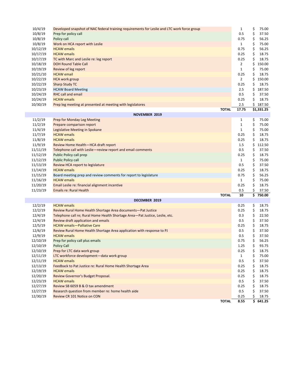| \$<br>10/8/19<br>Prep for policy call<br>0.5<br>37.50<br>\$<br>10/8/19<br>Policy call<br>0.75<br>56.25<br>10/8/19<br>\$<br>75.00<br>Work on HCA report with Leslie<br>$\mathbf{1}$<br>\$<br>10/12/19<br>0.75<br>56.25<br><b>HCAW</b> emails<br>\$<br>10/17/19<br><b>HCAW</b> emails<br>0.25<br>18.75<br>\$<br>10/17/19<br>0.25<br>18.75<br>TC with Marc and Leslie re: leg report<br>\$<br>150.00<br>10/18/19<br><b>DOH Round Table Call</b><br>$\overline{2}$<br>\$<br>10/19/19<br>$\mathbf{1}$<br>75.00<br>Review of leg report<br>\$<br>10/21/10<br><b>HCAW</b> email<br>0.25<br>18.75<br>\$<br>150.00<br>10/22/19<br><b>HCA work group</b><br>$\overline{2}$<br>\$<br><b>Sharp Study TC</b><br>0.25<br>18.75<br>10/22/19<br>\$<br>10/23/19<br><b>HCAW Board Meeting</b><br>2.5<br>187.50<br>\$<br>10/24/19<br><b>RHC call and email</b><br>0.5<br>37.50<br>\$<br>10/24/19<br><b>HCAW</b> emails<br>0.25<br>18.75<br>2.5<br>\$187.50<br>10/30/19<br>Prep leg meeting at presented at meeting with legislatores<br>17.75<br>$\overline{$}3,331.25$<br><b>TOTAL</b><br><b>NOVEMBER 2019</b><br>11/2/19<br>\$<br>75.00<br><b>Prep for Monday Leg Meeting</b><br>1<br>\$<br>11/2/19<br>Prepare comparison report<br>$\mathbf 1$<br>75.00<br>\$<br>11/4/19<br>Legislative Meeting in Spokane<br>$\mathbf{1}$<br>75.00<br>\$<br>11/7/19<br><b>HCAW</b> emails<br>0.25<br>18.75<br>\$<br>11/8/19<br><b>HCAW</b> emails<br>0.25<br>18.75<br>\$<br>11/9/19<br>1.5<br>112.50<br>Review Home Health-HCA draft report<br>\$<br>0.5<br>37.50<br>11/11/19<br>Telephone call with Leslie-review report and email comments<br>\$<br>11/12/19<br><b>Public Policy call prep</b><br>0.25<br>18.75<br>\$<br>11/12/19<br><b>Public Policy call</b><br>75.00<br>$\mathbf{1}$<br>\$<br>11/13/19<br>0.5<br>37.50<br>Review HCA report to legislature<br>\$<br>11/14/19<br>0.25<br>18.75<br><b>HCAW</b> emails<br>\$<br>56.25<br>11/15/19<br>0.75<br>Board meeting prep and review comments for report to legislature<br>11/16/19<br>\$<br>75.00<br><b>HCAW</b> emails<br>$\mathbf{1}$<br>\$<br>11/20/19<br>Email Leslie re: financial alignment incentive<br>0.25<br>18.75<br>\$<br>11/23/19<br><b>Emails re: Rural Health</b><br>0.5<br>37.50<br>\$<br>10<br><b>TOTAL</b><br>750.00<br>DECEMBER 2019<br>\$<br>12/2/19<br><b>HCAW</b> emails<br>0.25<br>18.75<br>\$<br>12/2/19<br>0.25<br>18.75<br>Review Rural Home Health Shortage Area documents-Pat Justice<br>\$<br>12/4/19<br>Telephone call re; Rural Home Health Shortage Area-Pat Justice, Leslie, etc.<br>0.3<br>22.50<br>\$<br>12/4/19<br>Review draft application and emails<br>0.5<br>37.50<br>\$<br>12/5/19<br>0.25<br>18.75<br><b>HCAW</b> emails-Palliative Care<br>\$<br>12/6/19<br>Review Rural Home Health Shortage Area application with response to PJ<br>0.5<br>37.50<br>\$<br>12/9/19<br><b>HCAW</b> emails<br>0.5<br>37.50<br>\$<br>0.75<br>56.25<br>12/10/19<br>Prep for policy call plus emails<br>12/10/19<br><b>Policy Call</b><br>\$<br>1.25<br>93.75<br>12/10/19<br>Prep for LTC data work group<br>0.25<br>\$<br>18.75<br>12/11/19<br>LTC workforce development-data work group<br>\$<br>75.00<br>$\mathbf{1}$<br>\$<br>12/11/19<br><b>HCAW</b> emails<br>0.5<br>37.50<br>18.75<br>12/13/19<br>Feedback to Pat Justice re: Rural Home Health Shortage Area<br>0.25<br>\$<br>12/19/19<br><b>HCAW</b> emails<br>0.25<br>\$<br>18.75<br>\$<br>12/20/19<br>Review Governor's Budget Proposal.<br>0.25<br>18.75<br>\$<br>12/23/19<br><b>HCAW</b> emails<br>0.5<br>37.50<br>12/27/19<br>Review SB 6059 B & O tax amendment<br>0.25<br>\$<br>18.75<br>0.5 | 10/4/19  | Developed snapshot of NAC federal training requirements for Leslie and LTC work force group | 1 | \$<br>75.00 |
|---------------------------------------------------------------------------------------------------------------------------------------------------------------------------------------------------------------------------------------------------------------------------------------------------------------------------------------------------------------------------------------------------------------------------------------------------------------------------------------------------------------------------------------------------------------------------------------------------------------------------------------------------------------------------------------------------------------------------------------------------------------------------------------------------------------------------------------------------------------------------------------------------------------------------------------------------------------------------------------------------------------------------------------------------------------------------------------------------------------------------------------------------------------------------------------------------------------------------------------------------------------------------------------------------------------------------------------------------------------------------------------------------------------------------------------------------------------------------------------------------------------------------------------------------------------------------------------------------------------------------------------------------------------------------------------------------------------------------------------------------------------------------------------------------------------------------------------------------------------------------------------------------------------------------------------------------------------------------------------------------------------------------------------------------------------------------------------------------------------------------------------------------------------------------------------------------------------------------------------------------------------------------------------------------------------------------------------------------------------------------------------------------------------------------------------------------------------------------------------------------------------------------------------------------------------------------------------------------------------------------------------------------------------------------------------------------------------------------------------------------------------------------------------------------------------------------------------------------------------------------------------------------------------------------------------------------------------------------------------------------------------------------------------------------------------------------------------------------------------------------------------------------------------------------------------------------------------------------------------------------------------------------------------------------------------------------------------------------------------------------------------------------------------------------------------------------------------------------------------------------------------------------------------------------------------------------------------------------------------|----------|---------------------------------------------------------------------------------------------|---|-------------|
|                                                                                                                                                                                                                                                                                                                                                                                                                                                                                                                                                                                                                                                                                                                                                                                                                                                                                                                                                                                                                                                                                                                                                                                                                                                                                                                                                                                                                                                                                                                                                                                                                                                                                                                                                                                                                                                                                                                                                                                                                                                                                                                                                                                                                                                                                                                                                                                                                                                                                                                                                                                                                                                                                                                                                                                                                                                                                                                                                                                                                                                                                                                                                                                                                                                                                                                                                                                                                                                                                                                                                                                                               |          |                                                                                             |   |             |
|                                                                                                                                                                                                                                                                                                                                                                                                                                                                                                                                                                                                                                                                                                                                                                                                                                                                                                                                                                                                                                                                                                                                                                                                                                                                                                                                                                                                                                                                                                                                                                                                                                                                                                                                                                                                                                                                                                                                                                                                                                                                                                                                                                                                                                                                                                                                                                                                                                                                                                                                                                                                                                                                                                                                                                                                                                                                                                                                                                                                                                                                                                                                                                                                                                                                                                                                                                                                                                                                                                                                                                                                               |          |                                                                                             |   |             |
|                                                                                                                                                                                                                                                                                                                                                                                                                                                                                                                                                                                                                                                                                                                                                                                                                                                                                                                                                                                                                                                                                                                                                                                                                                                                                                                                                                                                                                                                                                                                                                                                                                                                                                                                                                                                                                                                                                                                                                                                                                                                                                                                                                                                                                                                                                                                                                                                                                                                                                                                                                                                                                                                                                                                                                                                                                                                                                                                                                                                                                                                                                                                                                                                                                                                                                                                                                                                                                                                                                                                                                                                               |          |                                                                                             |   |             |
|                                                                                                                                                                                                                                                                                                                                                                                                                                                                                                                                                                                                                                                                                                                                                                                                                                                                                                                                                                                                                                                                                                                                                                                                                                                                                                                                                                                                                                                                                                                                                                                                                                                                                                                                                                                                                                                                                                                                                                                                                                                                                                                                                                                                                                                                                                                                                                                                                                                                                                                                                                                                                                                                                                                                                                                                                                                                                                                                                                                                                                                                                                                                                                                                                                                                                                                                                                                                                                                                                                                                                                                                               |          |                                                                                             |   |             |
|                                                                                                                                                                                                                                                                                                                                                                                                                                                                                                                                                                                                                                                                                                                                                                                                                                                                                                                                                                                                                                                                                                                                                                                                                                                                                                                                                                                                                                                                                                                                                                                                                                                                                                                                                                                                                                                                                                                                                                                                                                                                                                                                                                                                                                                                                                                                                                                                                                                                                                                                                                                                                                                                                                                                                                                                                                                                                                                                                                                                                                                                                                                                                                                                                                                                                                                                                                                                                                                                                                                                                                                                               |          |                                                                                             |   |             |
|                                                                                                                                                                                                                                                                                                                                                                                                                                                                                                                                                                                                                                                                                                                                                                                                                                                                                                                                                                                                                                                                                                                                                                                                                                                                                                                                                                                                                                                                                                                                                                                                                                                                                                                                                                                                                                                                                                                                                                                                                                                                                                                                                                                                                                                                                                                                                                                                                                                                                                                                                                                                                                                                                                                                                                                                                                                                                                                                                                                                                                                                                                                                                                                                                                                                                                                                                                                                                                                                                                                                                                                                               |          |                                                                                             |   |             |
|                                                                                                                                                                                                                                                                                                                                                                                                                                                                                                                                                                                                                                                                                                                                                                                                                                                                                                                                                                                                                                                                                                                                                                                                                                                                                                                                                                                                                                                                                                                                                                                                                                                                                                                                                                                                                                                                                                                                                                                                                                                                                                                                                                                                                                                                                                                                                                                                                                                                                                                                                                                                                                                                                                                                                                                                                                                                                                                                                                                                                                                                                                                                                                                                                                                                                                                                                                                                                                                                                                                                                                                                               |          |                                                                                             |   |             |
|                                                                                                                                                                                                                                                                                                                                                                                                                                                                                                                                                                                                                                                                                                                                                                                                                                                                                                                                                                                                                                                                                                                                                                                                                                                                                                                                                                                                                                                                                                                                                                                                                                                                                                                                                                                                                                                                                                                                                                                                                                                                                                                                                                                                                                                                                                                                                                                                                                                                                                                                                                                                                                                                                                                                                                                                                                                                                                                                                                                                                                                                                                                                                                                                                                                                                                                                                                                                                                                                                                                                                                                                               |          |                                                                                             |   |             |
|                                                                                                                                                                                                                                                                                                                                                                                                                                                                                                                                                                                                                                                                                                                                                                                                                                                                                                                                                                                                                                                                                                                                                                                                                                                                                                                                                                                                                                                                                                                                                                                                                                                                                                                                                                                                                                                                                                                                                                                                                                                                                                                                                                                                                                                                                                                                                                                                                                                                                                                                                                                                                                                                                                                                                                                                                                                                                                                                                                                                                                                                                                                                                                                                                                                                                                                                                                                                                                                                                                                                                                                                               |          |                                                                                             |   |             |
|                                                                                                                                                                                                                                                                                                                                                                                                                                                                                                                                                                                                                                                                                                                                                                                                                                                                                                                                                                                                                                                                                                                                                                                                                                                                                                                                                                                                                                                                                                                                                                                                                                                                                                                                                                                                                                                                                                                                                                                                                                                                                                                                                                                                                                                                                                                                                                                                                                                                                                                                                                                                                                                                                                                                                                                                                                                                                                                                                                                                                                                                                                                                                                                                                                                                                                                                                                                                                                                                                                                                                                                                               |          |                                                                                             |   |             |
|                                                                                                                                                                                                                                                                                                                                                                                                                                                                                                                                                                                                                                                                                                                                                                                                                                                                                                                                                                                                                                                                                                                                                                                                                                                                                                                                                                                                                                                                                                                                                                                                                                                                                                                                                                                                                                                                                                                                                                                                                                                                                                                                                                                                                                                                                                                                                                                                                                                                                                                                                                                                                                                                                                                                                                                                                                                                                                                                                                                                                                                                                                                                                                                                                                                                                                                                                                                                                                                                                                                                                                                                               |          |                                                                                             |   |             |
|                                                                                                                                                                                                                                                                                                                                                                                                                                                                                                                                                                                                                                                                                                                                                                                                                                                                                                                                                                                                                                                                                                                                                                                                                                                                                                                                                                                                                                                                                                                                                                                                                                                                                                                                                                                                                                                                                                                                                                                                                                                                                                                                                                                                                                                                                                                                                                                                                                                                                                                                                                                                                                                                                                                                                                                                                                                                                                                                                                                                                                                                                                                                                                                                                                                                                                                                                                                                                                                                                                                                                                                                               |          |                                                                                             |   |             |
|                                                                                                                                                                                                                                                                                                                                                                                                                                                                                                                                                                                                                                                                                                                                                                                                                                                                                                                                                                                                                                                                                                                                                                                                                                                                                                                                                                                                                                                                                                                                                                                                                                                                                                                                                                                                                                                                                                                                                                                                                                                                                                                                                                                                                                                                                                                                                                                                                                                                                                                                                                                                                                                                                                                                                                                                                                                                                                                                                                                                                                                                                                                                                                                                                                                                                                                                                                                                                                                                                                                                                                                                               |          |                                                                                             |   |             |
|                                                                                                                                                                                                                                                                                                                                                                                                                                                                                                                                                                                                                                                                                                                                                                                                                                                                                                                                                                                                                                                                                                                                                                                                                                                                                                                                                                                                                                                                                                                                                                                                                                                                                                                                                                                                                                                                                                                                                                                                                                                                                                                                                                                                                                                                                                                                                                                                                                                                                                                                                                                                                                                                                                                                                                                                                                                                                                                                                                                                                                                                                                                                                                                                                                                                                                                                                                                                                                                                                                                                                                                                               |          |                                                                                             |   |             |
|                                                                                                                                                                                                                                                                                                                                                                                                                                                                                                                                                                                                                                                                                                                                                                                                                                                                                                                                                                                                                                                                                                                                                                                                                                                                                                                                                                                                                                                                                                                                                                                                                                                                                                                                                                                                                                                                                                                                                                                                                                                                                                                                                                                                                                                                                                                                                                                                                                                                                                                                                                                                                                                                                                                                                                                                                                                                                                                                                                                                                                                                                                                                                                                                                                                                                                                                                                                                                                                                                                                                                                                                               |          |                                                                                             |   |             |
|                                                                                                                                                                                                                                                                                                                                                                                                                                                                                                                                                                                                                                                                                                                                                                                                                                                                                                                                                                                                                                                                                                                                                                                                                                                                                                                                                                                                                                                                                                                                                                                                                                                                                                                                                                                                                                                                                                                                                                                                                                                                                                                                                                                                                                                                                                                                                                                                                                                                                                                                                                                                                                                                                                                                                                                                                                                                                                                                                                                                                                                                                                                                                                                                                                                                                                                                                                                                                                                                                                                                                                                                               |          |                                                                                             |   |             |
|                                                                                                                                                                                                                                                                                                                                                                                                                                                                                                                                                                                                                                                                                                                                                                                                                                                                                                                                                                                                                                                                                                                                                                                                                                                                                                                                                                                                                                                                                                                                                                                                                                                                                                                                                                                                                                                                                                                                                                                                                                                                                                                                                                                                                                                                                                                                                                                                                                                                                                                                                                                                                                                                                                                                                                                                                                                                                                                                                                                                                                                                                                                                                                                                                                                                                                                                                                                                                                                                                                                                                                                                               |          |                                                                                             |   |             |
|                                                                                                                                                                                                                                                                                                                                                                                                                                                                                                                                                                                                                                                                                                                                                                                                                                                                                                                                                                                                                                                                                                                                                                                                                                                                                                                                                                                                                                                                                                                                                                                                                                                                                                                                                                                                                                                                                                                                                                                                                                                                                                                                                                                                                                                                                                                                                                                                                                                                                                                                                                                                                                                                                                                                                                                                                                                                                                                                                                                                                                                                                                                                                                                                                                                                                                                                                                                                                                                                                                                                                                                                               |          |                                                                                             |   |             |
|                                                                                                                                                                                                                                                                                                                                                                                                                                                                                                                                                                                                                                                                                                                                                                                                                                                                                                                                                                                                                                                                                                                                                                                                                                                                                                                                                                                                                                                                                                                                                                                                                                                                                                                                                                                                                                                                                                                                                                                                                                                                                                                                                                                                                                                                                                                                                                                                                                                                                                                                                                                                                                                                                                                                                                                                                                                                                                                                                                                                                                                                                                                                                                                                                                                                                                                                                                                                                                                                                                                                                                                                               |          |                                                                                             |   |             |
|                                                                                                                                                                                                                                                                                                                                                                                                                                                                                                                                                                                                                                                                                                                                                                                                                                                                                                                                                                                                                                                                                                                                                                                                                                                                                                                                                                                                                                                                                                                                                                                                                                                                                                                                                                                                                                                                                                                                                                                                                                                                                                                                                                                                                                                                                                                                                                                                                                                                                                                                                                                                                                                                                                                                                                                                                                                                                                                                                                                                                                                                                                                                                                                                                                                                                                                                                                                                                                                                                                                                                                                                               |          |                                                                                             |   |             |
|                                                                                                                                                                                                                                                                                                                                                                                                                                                                                                                                                                                                                                                                                                                                                                                                                                                                                                                                                                                                                                                                                                                                                                                                                                                                                                                                                                                                                                                                                                                                                                                                                                                                                                                                                                                                                                                                                                                                                                                                                                                                                                                                                                                                                                                                                                                                                                                                                                                                                                                                                                                                                                                                                                                                                                                                                                                                                                                                                                                                                                                                                                                                                                                                                                                                                                                                                                                                                                                                                                                                                                                                               |          |                                                                                             |   |             |
|                                                                                                                                                                                                                                                                                                                                                                                                                                                                                                                                                                                                                                                                                                                                                                                                                                                                                                                                                                                                                                                                                                                                                                                                                                                                                                                                                                                                                                                                                                                                                                                                                                                                                                                                                                                                                                                                                                                                                                                                                                                                                                                                                                                                                                                                                                                                                                                                                                                                                                                                                                                                                                                                                                                                                                                                                                                                                                                                                                                                                                                                                                                                                                                                                                                                                                                                                                                                                                                                                                                                                                                                               |          |                                                                                             |   |             |
|                                                                                                                                                                                                                                                                                                                                                                                                                                                                                                                                                                                                                                                                                                                                                                                                                                                                                                                                                                                                                                                                                                                                                                                                                                                                                                                                                                                                                                                                                                                                                                                                                                                                                                                                                                                                                                                                                                                                                                                                                                                                                                                                                                                                                                                                                                                                                                                                                                                                                                                                                                                                                                                                                                                                                                                                                                                                                                                                                                                                                                                                                                                                                                                                                                                                                                                                                                                                                                                                                                                                                                                                               |          |                                                                                             |   |             |
|                                                                                                                                                                                                                                                                                                                                                                                                                                                                                                                                                                                                                                                                                                                                                                                                                                                                                                                                                                                                                                                                                                                                                                                                                                                                                                                                                                                                                                                                                                                                                                                                                                                                                                                                                                                                                                                                                                                                                                                                                                                                                                                                                                                                                                                                                                                                                                                                                                                                                                                                                                                                                                                                                                                                                                                                                                                                                                                                                                                                                                                                                                                                                                                                                                                                                                                                                                                                                                                                                                                                                                                                               |          |                                                                                             |   |             |
|                                                                                                                                                                                                                                                                                                                                                                                                                                                                                                                                                                                                                                                                                                                                                                                                                                                                                                                                                                                                                                                                                                                                                                                                                                                                                                                                                                                                                                                                                                                                                                                                                                                                                                                                                                                                                                                                                                                                                                                                                                                                                                                                                                                                                                                                                                                                                                                                                                                                                                                                                                                                                                                                                                                                                                                                                                                                                                                                                                                                                                                                                                                                                                                                                                                                                                                                                                                                                                                                                                                                                                                                               |          |                                                                                             |   |             |
|                                                                                                                                                                                                                                                                                                                                                                                                                                                                                                                                                                                                                                                                                                                                                                                                                                                                                                                                                                                                                                                                                                                                                                                                                                                                                                                                                                                                                                                                                                                                                                                                                                                                                                                                                                                                                                                                                                                                                                                                                                                                                                                                                                                                                                                                                                                                                                                                                                                                                                                                                                                                                                                                                                                                                                                                                                                                                                                                                                                                                                                                                                                                                                                                                                                                                                                                                                                                                                                                                                                                                                                                               |          |                                                                                             |   |             |
|                                                                                                                                                                                                                                                                                                                                                                                                                                                                                                                                                                                                                                                                                                                                                                                                                                                                                                                                                                                                                                                                                                                                                                                                                                                                                                                                                                                                                                                                                                                                                                                                                                                                                                                                                                                                                                                                                                                                                                                                                                                                                                                                                                                                                                                                                                                                                                                                                                                                                                                                                                                                                                                                                                                                                                                                                                                                                                                                                                                                                                                                                                                                                                                                                                                                                                                                                                                                                                                                                                                                                                                                               |          |                                                                                             |   |             |
|                                                                                                                                                                                                                                                                                                                                                                                                                                                                                                                                                                                                                                                                                                                                                                                                                                                                                                                                                                                                                                                                                                                                                                                                                                                                                                                                                                                                                                                                                                                                                                                                                                                                                                                                                                                                                                                                                                                                                                                                                                                                                                                                                                                                                                                                                                                                                                                                                                                                                                                                                                                                                                                                                                                                                                                                                                                                                                                                                                                                                                                                                                                                                                                                                                                                                                                                                                                                                                                                                                                                                                                                               |          |                                                                                             |   |             |
|                                                                                                                                                                                                                                                                                                                                                                                                                                                                                                                                                                                                                                                                                                                                                                                                                                                                                                                                                                                                                                                                                                                                                                                                                                                                                                                                                                                                                                                                                                                                                                                                                                                                                                                                                                                                                                                                                                                                                                                                                                                                                                                                                                                                                                                                                                                                                                                                                                                                                                                                                                                                                                                                                                                                                                                                                                                                                                                                                                                                                                                                                                                                                                                                                                                                                                                                                                                                                                                                                                                                                                                                               |          |                                                                                             |   |             |
|                                                                                                                                                                                                                                                                                                                                                                                                                                                                                                                                                                                                                                                                                                                                                                                                                                                                                                                                                                                                                                                                                                                                                                                                                                                                                                                                                                                                                                                                                                                                                                                                                                                                                                                                                                                                                                                                                                                                                                                                                                                                                                                                                                                                                                                                                                                                                                                                                                                                                                                                                                                                                                                                                                                                                                                                                                                                                                                                                                                                                                                                                                                                                                                                                                                                                                                                                                                                                                                                                                                                                                                                               |          |                                                                                             |   |             |
|                                                                                                                                                                                                                                                                                                                                                                                                                                                                                                                                                                                                                                                                                                                                                                                                                                                                                                                                                                                                                                                                                                                                                                                                                                                                                                                                                                                                                                                                                                                                                                                                                                                                                                                                                                                                                                                                                                                                                                                                                                                                                                                                                                                                                                                                                                                                                                                                                                                                                                                                                                                                                                                                                                                                                                                                                                                                                                                                                                                                                                                                                                                                                                                                                                                                                                                                                                                                                                                                                                                                                                                                               |          |                                                                                             |   |             |
|                                                                                                                                                                                                                                                                                                                                                                                                                                                                                                                                                                                                                                                                                                                                                                                                                                                                                                                                                                                                                                                                                                                                                                                                                                                                                                                                                                                                                                                                                                                                                                                                                                                                                                                                                                                                                                                                                                                                                                                                                                                                                                                                                                                                                                                                                                                                                                                                                                                                                                                                                                                                                                                                                                                                                                                                                                                                                                                                                                                                                                                                                                                                                                                                                                                                                                                                                                                                                                                                                                                                                                                                               |          |                                                                                             |   |             |
|                                                                                                                                                                                                                                                                                                                                                                                                                                                                                                                                                                                                                                                                                                                                                                                                                                                                                                                                                                                                                                                                                                                                                                                                                                                                                                                                                                                                                                                                                                                                                                                                                                                                                                                                                                                                                                                                                                                                                                                                                                                                                                                                                                                                                                                                                                                                                                                                                                                                                                                                                                                                                                                                                                                                                                                                                                                                                                                                                                                                                                                                                                                                                                                                                                                                                                                                                                                                                                                                                                                                                                                                               |          |                                                                                             |   |             |
|                                                                                                                                                                                                                                                                                                                                                                                                                                                                                                                                                                                                                                                                                                                                                                                                                                                                                                                                                                                                                                                                                                                                                                                                                                                                                                                                                                                                                                                                                                                                                                                                                                                                                                                                                                                                                                                                                                                                                                                                                                                                                                                                                                                                                                                                                                                                                                                                                                                                                                                                                                                                                                                                                                                                                                                                                                                                                                                                                                                                                                                                                                                                                                                                                                                                                                                                                                                                                                                                                                                                                                                                               |          |                                                                                             |   |             |
|                                                                                                                                                                                                                                                                                                                                                                                                                                                                                                                                                                                                                                                                                                                                                                                                                                                                                                                                                                                                                                                                                                                                                                                                                                                                                                                                                                                                                                                                                                                                                                                                                                                                                                                                                                                                                                                                                                                                                                                                                                                                                                                                                                                                                                                                                                                                                                                                                                                                                                                                                                                                                                                                                                                                                                                                                                                                                                                                                                                                                                                                                                                                                                                                                                                                                                                                                                                                                                                                                                                                                                                                               |          |                                                                                             |   |             |
|                                                                                                                                                                                                                                                                                                                                                                                                                                                                                                                                                                                                                                                                                                                                                                                                                                                                                                                                                                                                                                                                                                                                                                                                                                                                                                                                                                                                                                                                                                                                                                                                                                                                                                                                                                                                                                                                                                                                                                                                                                                                                                                                                                                                                                                                                                                                                                                                                                                                                                                                                                                                                                                                                                                                                                                                                                                                                                                                                                                                                                                                                                                                                                                                                                                                                                                                                                                                                                                                                                                                                                                                               |          |                                                                                             |   |             |
|                                                                                                                                                                                                                                                                                                                                                                                                                                                                                                                                                                                                                                                                                                                                                                                                                                                                                                                                                                                                                                                                                                                                                                                                                                                                                                                                                                                                                                                                                                                                                                                                                                                                                                                                                                                                                                                                                                                                                                                                                                                                                                                                                                                                                                                                                                                                                                                                                                                                                                                                                                                                                                                                                                                                                                                                                                                                                                                                                                                                                                                                                                                                                                                                                                                                                                                                                                                                                                                                                                                                                                                                               |          |                                                                                             |   |             |
|                                                                                                                                                                                                                                                                                                                                                                                                                                                                                                                                                                                                                                                                                                                                                                                                                                                                                                                                                                                                                                                                                                                                                                                                                                                                                                                                                                                                                                                                                                                                                                                                                                                                                                                                                                                                                                                                                                                                                                                                                                                                                                                                                                                                                                                                                                                                                                                                                                                                                                                                                                                                                                                                                                                                                                                                                                                                                                                                                                                                                                                                                                                                                                                                                                                                                                                                                                                                                                                                                                                                                                                                               |          |                                                                                             |   |             |
|                                                                                                                                                                                                                                                                                                                                                                                                                                                                                                                                                                                                                                                                                                                                                                                                                                                                                                                                                                                                                                                                                                                                                                                                                                                                                                                                                                                                                                                                                                                                                                                                                                                                                                                                                                                                                                                                                                                                                                                                                                                                                                                                                                                                                                                                                                                                                                                                                                                                                                                                                                                                                                                                                                                                                                                                                                                                                                                                                                                                                                                                                                                                                                                                                                                                                                                                                                                                                                                                                                                                                                                                               |          |                                                                                             |   |             |
|                                                                                                                                                                                                                                                                                                                                                                                                                                                                                                                                                                                                                                                                                                                                                                                                                                                                                                                                                                                                                                                                                                                                                                                                                                                                                                                                                                                                                                                                                                                                                                                                                                                                                                                                                                                                                                                                                                                                                                                                                                                                                                                                                                                                                                                                                                                                                                                                                                                                                                                                                                                                                                                                                                                                                                                                                                                                                                                                                                                                                                                                                                                                                                                                                                                                                                                                                                                                                                                                                                                                                                                                               |          |                                                                                             |   |             |
|                                                                                                                                                                                                                                                                                                                                                                                                                                                                                                                                                                                                                                                                                                                                                                                                                                                                                                                                                                                                                                                                                                                                                                                                                                                                                                                                                                                                                                                                                                                                                                                                                                                                                                                                                                                                                                                                                                                                                                                                                                                                                                                                                                                                                                                                                                                                                                                                                                                                                                                                                                                                                                                                                                                                                                                                                                                                                                                                                                                                                                                                                                                                                                                                                                                                                                                                                                                                                                                                                                                                                                                                               |          |                                                                                             |   |             |
|                                                                                                                                                                                                                                                                                                                                                                                                                                                                                                                                                                                                                                                                                                                                                                                                                                                                                                                                                                                                                                                                                                                                                                                                                                                                                                                                                                                                                                                                                                                                                                                                                                                                                                                                                                                                                                                                                                                                                                                                                                                                                                                                                                                                                                                                                                                                                                                                                                                                                                                                                                                                                                                                                                                                                                                                                                                                                                                                                                                                                                                                                                                                                                                                                                                                                                                                                                                                                                                                                                                                                                                                               |          |                                                                                             |   |             |
|                                                                                                                                                                                                                                                                                                                                                                                                                                                                                                                                                                                                                                                                                                                                                                                                                                                                                                                                                                                                                                                                                                                                                                                                                                                                                                                                                                                                                                                                                                                                                                                                                                                                                                                                                                                                                                                                                                                                                                                                                                                                                                                                                                                                                                                                                                                                                                                                                                                                                                                                                                                                                                                                                                                                                                                                                                                                                                                                                                                                                                                                                                                                                                                                                                                                                                                                                                                                                                                                                                                                                                                                               |          |                                                                                             |   |             |
|                                                                                                                                                                                                                                                                                                                                                                                                                                                                                                                                                                                                                                                                                                                                                                                                                                                                                                                                                                                                                                                                                                                                                                                                                                                                                                                                                                                                                                                                                                                                                                                                                                                                                                                                                                                                                                                                                                                                                                                                                                                                                                                                                                                                                                                                                                                                                                                                                                                                                                                                                                                                                                                                                                                                                                                                                                                                                                                                                                                                                                                                                                                                                                                                                                                                                                                                                                                                                                                                                                                                                                                                               |          |                                                                                             |   |             |
|                                                                                                                                                                                                                                                                                                                                                                                                                                                                                                                                                                                                                                                                                                                                                                                                                                                                                                                                                                                                                                                                                                                                                                                                                                                                                                                                                                                                                                                                                                                                                                                                                                                                                                                                                                                                                                                                                                                                                                                                                                                                                                                                                                                                                                                                                                                                                                                                                                                                                                                                                                                                                                                                                                                                                                                                                                                                                                                                                                                                                                                                                                                                                                                                                                                                                                                                                                                                                                                                                                                                                                                                               |          |                                                                                             |   |             |
|                                                                                                                                                                                                                                                                                                                                                                                                                                                                                                                                                                                                                                                                                                                                                                                                                                                                                                                                                                                                                                                                                                                                                                                                                                                                                                                                                                                                                                                                                                                                                                                                                                                                                                                                                                                                                                                                                                                                                                                                                                                                                                                                                                                                                                                                                                                                                                                                                                                                                                                                                                                                                                                                                                                                                                                                                                                                                                                                                                                                                                                                                                                                                                                                                                                                                                                                                                                                                                                                                                                                                                                                               |          |                                                                                             |   |             |
|                                                                                                                                                                                                                                                                                                                                                                                                                                                                                                                                                                                                                                                                                                                                                                                                                                                                                                                                                                                                                                                                                                                                                                                                                                                                                                                                                                                                                                                                                                                                                                                                                                                                                                                                                                                                                                                                                                                                                                                                                                                                                                                                                                                                                                                                                                                                                                                                                                                                                                                                                                                                                                                                                                                                                                                                                                                                                                                                                                                                                                                                                                                                                                                                                                                                                                                                                                                                                                                                                                                                                                                                               |          |                                                                                             |   |             |
|                                                                                                                                                                                                                                                                                                                                                                                                                                                                                                                                                                                                                                                                                                                                                                                                                                                                                                                                                                                                                                                                                                                                                                                                                                                                                                                                                                                                                                                                                                                                                                                                                                                                                                                                                                                                                                                                                                                                                                                                                                                                                                                                                                                                                                                                                                                                                                                                                                                                                                                                                                                                                                                                                                                                                                                                                                                                                                                                                                                                                                                                                                                                                                                                                                                                                                                                                                                                                                                                                                                                                                                                               |          |                                                                                             |   |             |
|                                                                                                                                                                                                                                                                                                                                                                                                                                                                                                                                                                                                                                                                                                                                                                                                                                                                                                                                                                                                                                                                                                                                                                                                                                                                                                                                                                                                                                                                                                                                                                                                                                                                                                                                                                                                                                                                                                                                                                                                                                                                                                                                                                                                                                                                                                                                                                                                                                                                                                                                                                                                                                                                                                                                                                                                                                                                                                                                                                                                                                                                                                                                                                                                                                                                                                                                                                                                                                                                                                                                                                                                               |          |                                                                                             |   |             |
|                                                                                                                                                                                                                                                                                                                                                                                                                                                                                                                                                                                                                                                                                                                                                                                                                                                                                                                                                                                                                                                                                                                                                                                                                                                                                                                                                                                                                                                                                                                                                                                                                                                                                                                                                                                                                                                                                                                                                                                                                                                                                                                                                                                                                                                                                                                                                                                                                                                                                                                                                                                                                                                                                                                                                                                                                                                                                                                                                                                                                                                                                                                                                                                                                                                                                                                                                                                                                                                                                                                                                                                                               |          |                                                                                             |   |             |
| 12/30/19<br>Review CR 101 Notice on CON<br>\$<br>18.75<br>0.25                                                                                                                                                                                                                                                                                                                                                                                                                                                                                                                                                                                                                                                                                                                                                                                                                                                                                                                                                                                                                                                                                                                                                                                                                                                                                                                                                                                                                                                                                                                                                                                                                                                                                                                                                                                                                                                                                                                                                                                                                                                                                                                                                                                                                                                                                                                                                                                                                                                                                                                                                                                                                                                                                                                                                                                                                                                                                                                                                                                                                                                                                                                                                                                                                                                                                                                                                                                                                                                                                                                                                | 12/27/19 | Research question from member re: home health aide                                          |   | \$<br>37.50 |
| 8.55<br>\$641.25<br><b>TOTAL</b>                                                                                                                                                                                                                                                                                                                                                                                                                                                                                                                                                                                                                                                                                                                                                                                                                                                                                                                                                                                                                                                                                                                                                                                                                                                                                                                                                                                                                                                                                                                                                                                                                                                                                                                                                                                                                                                                                                                                                                                                                                                                                                                                                                                                                                                                                                                                                                                                                                                                                                                                                                                                                                                                                                                                                                                                                                                                                                                                                                                                                                                                                                                                                                                                                                                                                                                                                                                                                                                                                                                                                                              |          |                                                                                             |   |             |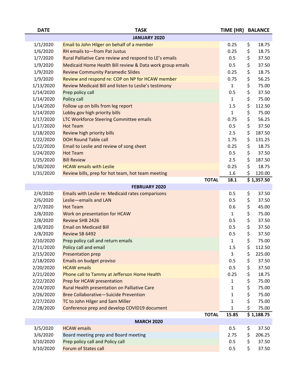| <b>DATE</b>            | <b>TASK</b>                                               | TIME (HR) BALANCE |                                                                               |
|------------------------|-----------------------------------------------------------|-------------------|-------------------------------------------------------------------------------|
|                        | <b>JANUARY 2020</b>                                       |                   |                                                                               |
| 1/1/2020               | Email to John Hilger on behalf of a member                | 0.25              | \$<br>18.75                                                                   |
| 1/6/2020               | RH emails to-from Pat Justus                              | 0.25              | \$<br>18.75                                                                   |
| 1/7/2020               | Rural Palliative Care review and respond to LE's emails   | 0.5               | \$<br>37.50                                                                   |
| 1/9/2020               | Medicaid Home Health Bill review & Data work group emails | 0.5               | \$<br>37.50                                                                   |
| 1/9/2020               | <b>Review Community Paramedic Slides</b>                  | 0.25              | \$<br>18.75                                                                   |
| 1/9/2020               | Review and respond re: COP on NP for HCAW member          | 0.75              | \$<br>56.25                                                                   |
| 1/13/2020              | Review Medicaid Bill and listen to Leslie's testimony     | 1                 | \$<br>75.00                                                                   |
| 1/14/2020              | Prep policy call                                          | 0.5               | \$<br>37.50                                                                   |
| 1/14/2020              | Policy call                                               | $\mathbf{1}$      | \$<br>75.00                                                                   |
| 1/14/2020              | Follow up on bills from leg report                        | 1.5               | \$<br>112.50                                                                  |
| 1/14/2020              | Lobby.gov high priority bills                             | $\mathbf{1}$      | \$<br>75.00                                                                   |
| 1/17/2020              | LTC Workforce Steering Committee emails                   | 0.75              | \$<br>56.25                                                                   |
| 1/17/2020              | <b>Hot Team</b>                                           | 0.5               | \$<br>37.50                                                                   |
| 1/18/2020              | Review high priority bills                                | 2.5               | \$<br>187.50                                                                  |
| 1/22/2020              | <b>DOH Round Table call</b>                               | 1.75              | \$<br>131.25                                                                  |
| 1/22/2020              | Email to Leslie and review of song sheet                  | 0.25              | \$<br>18.75                                                                   |
| 1/24/2020              | <b>Hot Team</b>                                           | 0.5               | \$<br>37.50                                                                   |
| 1/25/2020              | <b>Bill Review</b>                                        | 2.5               | \$<br>187.50                                                                  |
| 1/30/2020              | <b>HCAW</b> emails with Leslie                            | 0.25              | \$<br>18.75                                                                   |
| 1/31/2020              | Review bills, prep for hot team, hot team meeting         | 1.6               | 120.00                                                                        |
|                        | <b>TOTAL</b>                                              | 18.1              | \$1,357.50                                                                    |
|                        | <b>FEBRUARY 2020</b>                                      |                   |                                                                               |
| 2/4/2020               | Emails with Leslie re: Medicaid rates comparisons         | 0.5               | \$<br>37.50                                                                   |
| 2/6/2020               | Leslie-emails and LAN                                     | 0.5               | \$<br>37.50                                                                   |
| 2/7/2020               | <b>Hot Team</b>                                           | 0.6               | \$<br>45.00                                                                   |
| 2/8/2020               | Work on presentation for HCAW                             | 1                 | \$<br>75.00                                                                   |
| 2/8/2020               | Review SHB 2426                                           | 0.5               | \$<br>37.50                                                                   |
| 2/8/2020               | <b>Email on Medicaid Bill</b>                             | 0.5               | \$<br>37.50                                                                   |
| 2/8/2020               | Review SB 6492                                            | 0.5               | \$<br>37.50                                                                   |
| 2/10/2020              | Prep policy call and return emails                        | $\mathbf{1}$      | \$<br>75.00                                                                   |
| 2/11/2020              | Policy call and email                                     | 1.5               | \$<br>112.50                                                                  |
| 2/15/2020              | Presentation prep                                         | 3                 | \$<br>225.00                                                                  |
| 2/18/2020              | Emails on budget proviso                                  | 0.5               | \$<br>37.50                                                                   |
| 2/20/2020              | <b>HCAW</b> emails                                        | 0.5               | \$<br>37.50                                                                   |
| 2/21/2020              | Phone call to Tammy at Jefferson Home Health              | 0.25              | \$<br>18.75                                                                   |
| 2/22/2020              | Prep for HCAW presentation                                | 1                 | \$<br>75.00                                                                   |
| 2/24/2020              | Rural Health presentation on Palliative Care              | 1                 | \$<br>75.00                                                                   |
|                        | <b>Bree Collaborative-Suicide Prevention</b>              | 1                 | \$<br>75.00                                                                   |
| 2/26/2020              |                                                           |                   |                                                                               |
| 2/27/2020              | TC to John Hilger and Sam Miller                          | 1                 | \$                                                                            |
| 2/28/2020              | Conference prep and develop COVID19 document              | 1                 | \$                                                                            |
|                        | <b>TOTAL</b>                                              | 15.85             |                                                                               |
|                        | <b>MARCH 2020</b>                                         |                   |                                                                               |
| 3/5/2020               | <b>HCAW</b> emails                                        | 0.5               | \$                                                                            |
| 3/6/2020               | Board meeting prep and Board meeting                      | 2.75              | \$,                                                                           |
| 3/10/2020<br>3/10/2020 | Prep policy call and Policy call<br>Forum of States call  | 0.5<br>0.5        | 75.00<br>75.00<br>\$1,188.75<br>37.50<br>206.25<br>\$<br>37.50<br>\$<br>37.50 |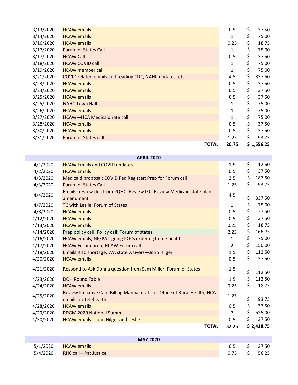| 3/13/2020 | <b>HCAW</b> emails                                       | 0.5          | \$<br>37.50  |
|-----------|----------------------------------------------------------|--------------|--------------|
| 3/14/2020 | <b>HCAW</b> emails                                       | 1            | \$<br>75.00  |
| 3/16/2020 | <b>HCAW</b> emails                                       | 0.25         | \$<br>18.75  |
| 3/17/2020 | <b>Forum of States Call</b>                              | 1            | \$<br>75.00  |
| 3/17/2020 | <b>HCAW Call</b>                                         | 0.5          | \$<br>37.50  |
| 3/18/2020 | <b>HCAW COVID call</b>                                   | 1            | \$<br>75.00  |
| 3/19/2020 | <b>HCAW</b> member call                                  | $\mathbf{1}$ | \$<br>75.00  |
| 3/21/2020 | COVID related emails and reading CDC, NAHC updates, etc. | 4.5          | \$<br>337.50 |
| 3/23/2020 | <b>HCAW</b> emails                                       | 0.5          | \$<br>37.50  |
| 3/24/2020 | <b>HCAW</b> emails                                       | 0.5          | \$<br>37.50  |
| 3/25/2020 | <b>HCAW</b> emails                                       | 0.5          | \$<br>37.50  |
| 3/25/2020 | <b>NAHC Town Hall</b>                                    | 1            | \$<br>75.00  |
| 3/26/2020 | <b>HCAW</b> emails                                       | 1            | \$<br>75.00  |
| 3/27/2020 | HCAW-HCA Medicaid rate call                              | 1            | \$<br>75.00  |
| 3/28/2020 | <b>HCAW</b> emails                                       | 0.5          | \$<br>37.50  |
| 3/30/2020 | <b>HCAW</b> emails                                       | 0.5          | \$<br>37.50  |
| 3/31/2020 | Forum of States call                                     | 1.25         | \$<br>93.75  |
|           | <b>TOTAL</b>                                             | 20.75        | \$ 1,556.25  |

| <b>APRIL 2020</b> |                                                                                                      |                |    |            |  |  |  |
|-------------------|------------------------------------------------------------------------------------------------------|----------------|----|------------|--|--|--|
| 4/1/2020          | <b>HCAW Emails and COVID updates</b>                                                                 | 1.5            | \$ | 112.50     |  |  |  |
| 4/2/2020          | <b>HCAW Emails</b>                                                                                   | 0.5            | \$ | 37.50      |  |  |  |
| 4/3/2020          | Medicaid proposal; COVID Fed Register; Prep for Forum call                                           | 2.5            | \$ | 187.50     |  |  |  |
| 4/3/2020          | <b>Forum of States Call</b>                                                                          | 1.25           | \$ | 93.75      |  |  |  |
| 4/4/2020          | Emails; review doc from PQHC; Review IFC; Review Medicaid state plan<br>amendment.                   | 4.5            | \$ | 337.50     |  |  |  |
| 4/7/2020          | TC with Leslie; Forum of States                                                                      | $\mathbf{1}$   | \$ | 75.00      |  |  |  |
| 4/8/2020          | <b>HCAW</b> emails                                                                                   | 0.5            | \$ | 37.50      |  |  |  |
| 4/12/2020         | <b>HCAW</b> emails                                                                                   | 0.5            | \$ | 37.50      |  |  |  |
| 4/13/2020         | <b>HCAW</b> emails                                                                                   | 0.25           | \$ | 18.75      |  |  |  |
| 4/14/2020         | Prep policy call; Policy call; Forum of states                                                       | 2.25           | \$ | 168.75     |  |  |  |
| 4/16/2020         | HCAW emails; NP/PA signing POCs ordering home health                                                 | $\mathbf{1}$   | \$ | 75.00      |  |  |  |
| 4/17/2020         | HCAW Forum prep; HCAW Forum call                                                                     | $\overline{2}$ | \$ | 150.00     |  |  |  |
| 4/18/2020         | Emails RHC shortage; WA state waivers-John Hilger                                                    | 1.5            | \$ | 112.50     |  |  |  |
| 4/20/2020         | <b>HCAW</b> emails                                                                                   | 0.5            | \$ | 37.50      |  |  |  |
| 4/21/2020         | Respond to Ask Donna question from Sam Miller; Forum of States                                       | 1.5            | \$ | 112.50     |  |  |  |
| 4/23/2020         | <b>DOH Round Table</b>                                                                               | 1.5            | \$ | 112.50     |  |  |  |
| 4/24/2020         | <b>HCAW</b> emails                                                                                   | 0.25           | \$ | 18.75      |  |  |  |
| 4/25/2020         | Review Palliative Care Billing Manual draft for Office of Rural Health; HCA<br>emails on Telehealth. | 1.25           | \$ | 93.75      |  |  |  |
| 4/28/2020         | <b>HCAW</b> emails                                                                                   | 0.5            | \$ | 37.50      |  |  |  |
| 4/29/2020         | <b>PDGM 2020 National Summit</b>                                                                     | $\overline{7}$ | \$ | 525.00     |  |  |  |
| 4/30/2020         | <b>HCAW</b> emails - John Hilger and Leslie                                                          | 0.5            | \$ | 37.50      |  |  |  |
|                   | <b>TOTAL</b>                                                                                         | 32.25          |    | \$2,418.75 |  |  |  |

|          | <b>MAY 2020</b>             |      |    |       |
|----------|-----------------------------|------|----|-------|
| 5/1/2020 | <b>HCAW emails</b>          | 0.5  |    | 37.50 |
| 5/4/2020 | <b>RHC call-Pat Justice</b> | 0.75 | S. | 56.25 |